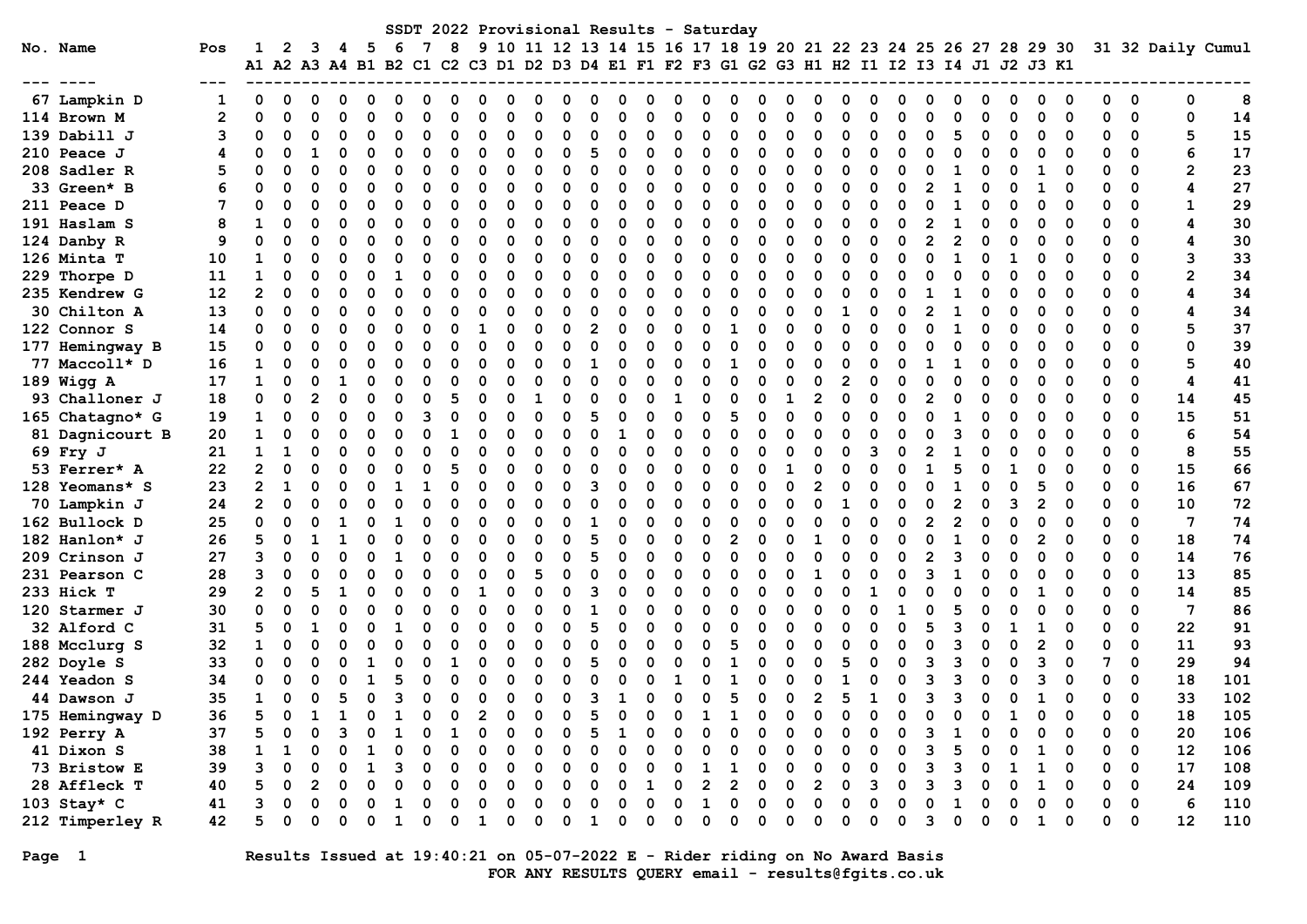|                 |     |              |          |   |          |    |              |          |   |    |          |   |          |          |          |          |   | SSDT 2022 Provisional Results - Saturday                                                  |          |   |                |          |   |          |   |              |   |   |              |          |              |             |                   |     |
|-----------------|-----|--------------|----------|---|----------|----|--------------|----------|---|----|----------|---|----------|----------|----------|----------|---|-------------------------------------------------------------------------------------------|----------|---|----------------|----------|---|----------|---|--------------|---|---|--------------|----------|--------------|-------------|-------------------|-----|
| No. Name        | Pos | 1            | 2        |   | 5        | -6 |              | 8        | 9 |    |          |   |          |          |          |          |   | 10 11 12 13 14 15 16 17 18 19 20 21 22 23 24 25 26 27 28 29 30                            |          |   |                |          |   |          |   |              |   |   |              |          |              |             | 31 32 Daily Cumul |     |
|                 |     |              |          |   |          |    |              |          |   |    |          |   |          |          |          |          |   | A1 A2 A3 A4 B1 B2 C1 C2 C3 D1 D2 D3 D4 E1 F1 F2 F3 G1 G2 G3 H1 H2 I1 I2 I3 I4 J1 J2 J3 K1 |          |   |                |          |   |          |   |              |   |   |              |          |              |             |                   |     |
| 67 Lampkin D    |     | 0            | 0        |   |          |    |              |          |   |    |          |   |          |          |          |          |   |                                                                                           |          |   |                |          |   |          |   |              |   |   |              |          |              | 0           | 0                 | 8   |
| 114 Brown M     | 2   |              | $\Omega$ |   | O        |    |              |          |   | ი  | O        |   | O        |          |          | O        |   | n                                                                                         |          |   | U              | O        |   | $\Omega$ |   |              | O |   | ი            | $\Omega$ |              | 0           | 0                 | 14  |
| 139 Dabill J    | 3   |              | 0        |   | 0        |    |              | $\Omega$ | O | 0  | 0        |   | 0        | n        | O        | 0        | O | O                                                                                         | ∩        |   | 0              | O        |   | 0        |   |              | 0 |   | 0            | 0        | 0            | 0           | 5                 | 15  |
| $210$ Peace J   | 4   | O            | 0        |   | 0        | 0  | ŋ            | O        | O | 0  | 0        | O | 5        | 0        | O        | 0        | 0 | 0                                                                                         | ∩        | O | 0              | 0        |   | 0        |   |              | O |   | 0            | 0        | 0            | 0           | 6                 | 17  |
| 208 Sadler R    | 5   |              | 0        | O | 0        |    |              |          |   | 0  | 0        |   | $\Omega$ | n        |          | $\Omega$ | O | O                                                                                         |          |   | O              | O        |   | $\Omega$ |   |              |   |   |              |          |              | $\Omega$    | $\mathbf{2}$      | 23  |
| 33 Green* B     |     |              | $\Omega$ | O | 0        |    |              | ∩        | ი | O  | 0        | n | $\Omega$ | O        | O        | $\Omega$ | O | O                                                                                         | ∩        |   | O              | O        |   | $\Omega$ | 2 |              | O |   | 1            | O        |              | $\Omega$    | 4                 | 27  |
| 211 Peace D     | 7   |              | $\Omega$ | O | 0        |    |              |          |   | O  | $\Omega$ | O | 0        | C        |          | 0        |   | ŋ                                                                                         |          |   | O              | O        |   | 0        | O |              | O |   | ი            | ∩        |              | 0           | 1                 | 29  |
| 191 Haslam S    | 8   |              | 0        | O | 0        |    |              |          |   | O  | 0        | O | $\Omega$ | O        |          | O        |   | ŋ                                                                                         |          |   | 0              | O        |   | $\Omega$ | 2 |              | O |   | 0            | O        | O            | $\Omega$    | 4                 | 30  |
| 124 Danby R     | 9   | O            | 0        | O | O        |    |              |          |   |    | O        |   | O        | O        |          | O        |   | O                                                                                         |          |   | O              |          |   | O        |   |              |   |   | 0            |          |              | 0           | 4                 | 30  |
| 126 Minta T     | 10  |              | $\Omega$ |   | O        |    |              |          |   |    | $\Omega$ |   | $\Omega$ | O        |          | O        |   |                                                                                           |          |   | U              |          |   | O        |   |              | ŋ |   |              |          |              | 0           | з                 | 33  |
| 229 Thorpe D    | 11  | 1            | O        |   | O        |    |              |          |   |    | O        |   | O        | C        |          | O        |   |                                                                                           |          |   | ი              |          |   |          |   |              |   |   |              |          |              | 0           | 2                 | 34  |
| 235 Kendrew G   | 12  | 2            | 0        |   | O        |    |              | O        |   | O  | O        |   | O        | O        |          | $\Omega$ |   | n                                                                                         |          |   | O              |          |   |          |   |              |   |   | O            |          |              | 0           | 4                 | 34  |
| 30 Chilton A    | 13  | 0            | $\Omega$ | O | 0        |    |              | $\Omega$ |   | O  | 0        |   | $\Omega$ | 0        | O        | $\Omega$ |   | O                                                                                         |          |   | 0              |          |   | O        |   |              | O |   | O            | O        |              | $\Omega$    | 4                 | 34  |
| 122 Connor S    | 14  | 0            | $\Omega$ | O | 0        | O  |              |          |   | O  | 0        |   | 2        | O        |          | $\Omega$ | O |                                                                                           |          |   | O              | $\Omega$ |   | O        |   |              | O |   | O            |          |              | $\Omega$    | 5                 | 37  |
| 177 Hemingway B | 15  | O            | $\Omega$ | O | O        |    |              |          |   | O  | $\Omega$ | O | $\Omega$ | O        | O        | $\Omega$ |   | n                                                                                         |          |   | O              | O        |   | 0        |   |              | ŋ |   | n            | ∩        |              | $\Omega$    | 0                 | 39  |
| 77 Maccoll* D   | 16  | 1            | 0        | O | O        |    |              |          |   |    | O        |   | 1        |          | O        | $\Omega$ |   |                                                                                           |          |   | O              | O        |   | O        |   |              | ŋ |   | n            |          |              | 0           | 5                 | 40  |
| 189 Wigg A      | 17  | 1            | 0        | 0 | O        |    |              |          |   |    | O        |   | $\Omega$ |          |          | O        |   | n                                                                                         |          |   | O              |          |   | O        |   |              | O |   | O            | O        | O            | $\Omega$    | 4                 | 41  |
| 93 Challoner J  | 18  | 0            | 0        |   | O        |    |              |          |   |    |          |   | O        |          |          |          |   | n                                                                                         |          |   | $\overline{2}$ | O        |   | O        |   |              |   |   | O            |          | ი            | 0           | 14                | 45  |
| 165 Chatagno* G | 19  |              | 0        | O | O        |    |              | O        |   | n  | $\Omega$ |   | 5        |          |          | $\Omega$ | O | 5                                                                                         |          |   | U              | O        |   | U        |   |              | O |   |              | O        |              | 0           | 15                | 51  |
| 81 Dagnicourt B | 20  |              | $\Omega$ |   | O        |    |              |          |   | ი  | O        |   | O        | 1        |          | $\Omega$ |   | n                                                                                         |          |   | U              | n        |   | O        |   |              |   |   | O            | ∩        | ŋ            | $\Omega$    | 6                 | 54  |
| 69 Fry J        | 21  |              | 1        | O | 0        |    |              | $\Omega$ |   | O  | $\Omega$ |   | O        | O        |          | $\Omega$ |   | ŋ                                                                                         |          |   | O              | $\Omega$ | ٩ | 0        |   |              |   |   | 0            | 0        | 0            | 0           | 8                 | 55  |
| 53 Ferrer* A    | 22  |              | 0        | O | 0        |    |              |          |   | 0  | 0        |   | O        | O        | O        | $\Omega$ | 0 | O                                                                                         |          |   | 0              | O        |   | 0        |   |              | O |   | 0            | 0        | 0            | 0           | 15                | 66  |
| 128 Yeomans* S  | 23  |              | 1        | O | O        |    |              |          |   | O  | 0        |   | 3        | n        |          | $\Omega$ | O | 0                                                                                         |          |   | 2              | O        |   | $\Omega$ | n |              | ŋ |   | 5            | 0        | 0            | 0           | 16                | 67  |
| 70 Lampkin J    | 24  | $\mathbf{2}$ | $\Omega$ | O | $\Omega$ |    |              | n        | ი | O  | $\Omega$ |   | 0        | C        | n        | $\Omega$ | O | O                                                                                         | ∩        |   | O              | -1       |   | 0        | Ω |              | ŋ | 3 | 2            | 0        | O            | 0           | 10                | 72  |
| 162 Bullock D   | 25  | O            | $\Omega$ | O | 0        |    |              |          |   | O  | $\Omega$ |   | 1        |          |          | O        |   | n                                                                                         |          |   | O              | O        |   | 0        | 2 |              | O |   | O            | ∩        | O            | 0           | 7                 | 74  |
| 182 Hanlon* J   | 26  |              | 0        |   | 0        |    |              |          |   |    | 0        | O | 5        | O        | O        | O        |   | 2                                                                                         |          |   |                | O        |   | $\Omega$ | O |              | O |   | 2            | O        | 0            | 0           | 18                | 74  |
| 209 Crinson J   | 27  |              | $\Omega$ |   | O        |    |              |          |   | ი  | O        |   | 5        | O        |          | O        |   |                                                                                           |          |   | O              |          |   | O        |   |              |   |   | O            | O        | 0            | 0           | 14                | 76  |
| 231 Pearson C   | 28  |              | $\Omega$ |   | O        |    |              |          |   |    |          |   | $\Omega$ | O        |          | ŋ        |   |                                                                                           |          |   |                |          |   | O        |   |              | O |   |              |          |              | 0           | 13                | 85  |
| 233 Hick T      | 29  |              | $\Omega$ |   | O        |    |              |          |   |    | O        |   | з        | C        |          | O        |   | n                                                                                         |          |   | O              |          |   | U        |   |              |   |   |              | O        | O            | $\Omega$    | 14                | 85  |
| 120 Starmer J   | 30  | 0            | $\Omega$ |   | 0        |    |              |          |   | O  | $\Omega$ |   | 1        | O        |          | 0        |   | ŋ                                                                                         |          |   | 0              |          |   |          |   |              | O |   | O            | O        | 0            | 0           | 7                 | 86  |
| 32 Alford C     | 31  |              | 0        |   | 0        |    |              | O        |   | 0  | Ω        |   | 5        | 0        | ŋ        | $\Omega$ | O | O                                                                                         |          | O | 0              | O        |   | O        |   |              | 0 |   |              | 0        | 0            | 0           | 22                | 91  |
| 188 Mcclurg S   | 32  |              | 0        | O | O        |    |              |          |   | O  | O        |   | 0        | C        | n        | 0        | O | 5                                                                                         |          |   | U              | O        |   | 0        |   |              | ŋ |   | 2            | O        | O            | 0           | 11                | 93  |
| 282 Doyle S     | 33  | O            | 0        | O | 1        |    |              |          |   | O  | O        | n | 5        | C        |          | $\Omega$ |   |                                                                                           |          |   | O              | 5        |   | 0        |   |              | O |   | 3            | O        | 7            | $\Omega$    | 29                | 94  |
| 244 Yeadon S    | 34  |              | 0        |   | 1        |    |              |          |   | n  | O        |   | O        |          |          | 1        |   |                                                                                           |          |   | ი              |          |   | 0        |   |              | O |   | ٩            |          |              | 0           | 18                | 101 |
| 44 Dawson J     | 35  |              | 0        | O | 0        |    |              | O        |   |    | 0        | O | 3        | 1        | O        | O        |   | 5                                                                                         |          | O | 2              | 5        |   | 0        | 3 | ٩            | 0 |   |              | 0        | 0            | 0           | 33                | 102 |
| 175 Hemingway D | 36  |              | 0        |   | 0        | 1  | <sup>0</sup> | $\Omega$ | 2 | O. | $\Omega$ | 0 | 5        | 0        | 0        | 0        |   |                                                                                           | 0        | 0 | 0              | 0        | 0 | 0        | 0 | <sup>0</sup> | 0 | 1 | 0            | 0        | <sup>0</sup> | 0           | 18                | 105 |
| 192 Perry A     | 37  |              |          |   |          |    |              |          |   |    |          |   |          |          |          |          |   |                                                                                           |          |   |                |          |   |          |   |              |   |   |              |          |              | 0           | 20                | 106 |
| 41 Dixon S      | 38  |              |          |   |          |    |              |          |   |    |          |   |          |          |          |          |   |                                                                                           |          |   |                |          |   |          |   |              |   |   |              |          |              | 0           | 12                | 106 |
| 73 Bristow E    | 39  |              |          |   |          |    |              |          |   |    |          |   | 0        |          |          | 0        |   |                                                                                           |          |   | 0              |          |   |          |   |              |   |   |              |          | 0            | 0           | 17                | 108 |
| 28 Affleck T    | 40  |              |          |   |          |    |              |          |   |    | Ω        |   | 0        | 0        |          | 0        | 2 | 2                                                                                         |          | 0 | 2              | 0        |   | 0        |   |              |   |   |              | 0        | 0            | $\mathbf 0$ | 24                | 109 |
| 103 Stay* C     | 41  |              |          |   |          |    |              |          |   | n  | Ω        |   | 0        | O        | $\Omega$ | 0        |   | O                                                                                         |          | O | 0              | 0        |   | 0        |   |              |   |   |              | 0        | 0            | 0           | 6                 | 110 |
| 212 Timperley R | 42  |              | 0        |   | 0        |    |              | O        | 1 | 0  | 0        | 0 | 1        | $\Omega$ | $\Omega$ | $\Omega$ | 0 | O                                                                                         | $\Omega$ |   | 0              | $\Omega$ |   | $\Omega$ | 3 | O            | 0 | 0 | $\mathbf{1}$ | 0        | 0            | $\mathbf 0$ | 12                | 110 |

Page 1 Results Issued at 19:40:21 on 05-07-2022 E - Rider riding on No Award Basis FOR ANY RESULTS QUERY email - results@fgits.co.uk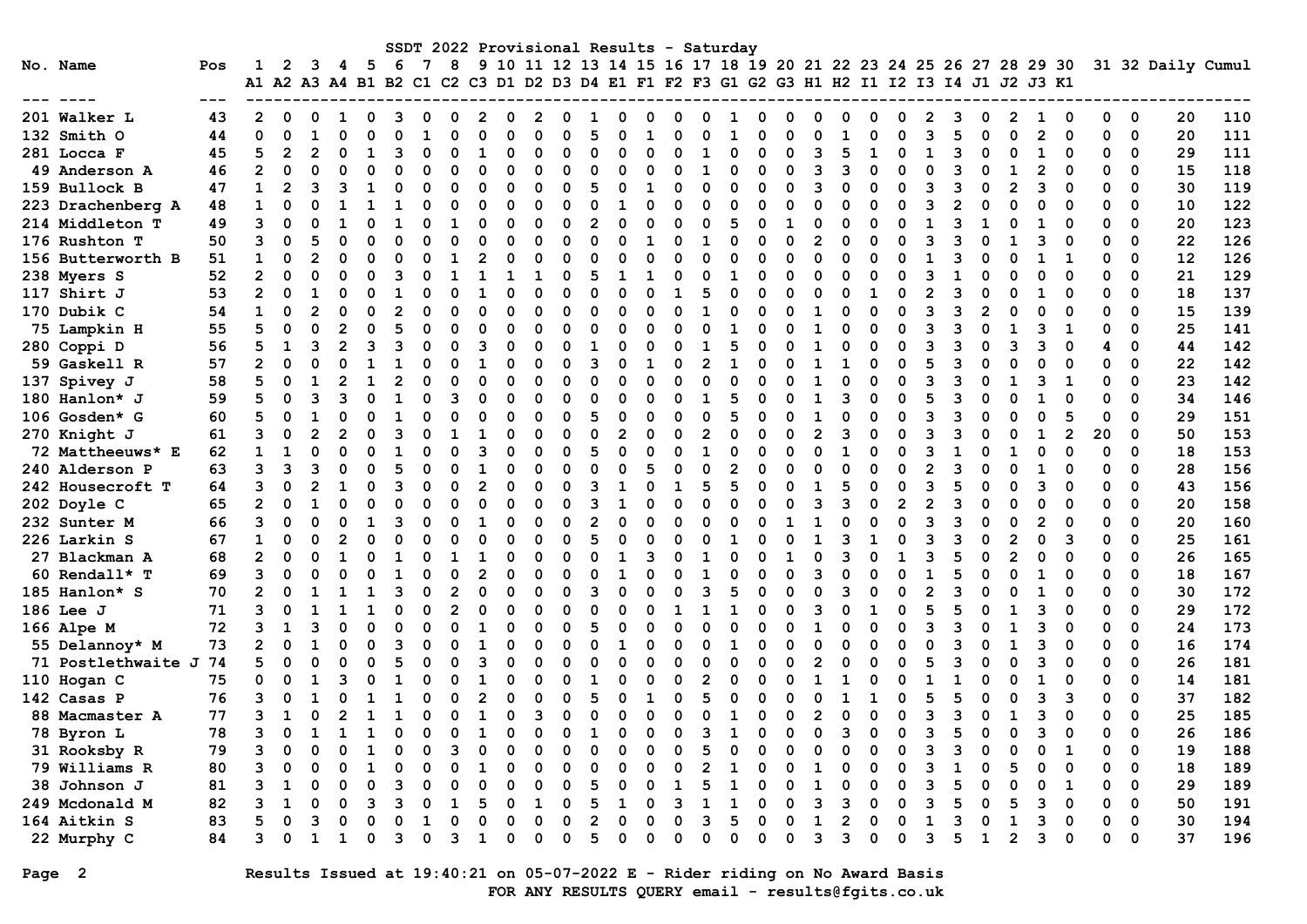|                    |     |                      |          |          |   |     |   |          |          |   |   |             |   |   |          |   |   |          | SSDT 2022 Provisional Results - Saturday |             |                                                                      |   |                |   |   |              |   |              |                |   |             |    |                          |    |                   |
|--------------------|-----|----------------------|----------|----------|---|-----|---|----------|----------|---|---|-------------|---|---|----------|---|---|----------|------------------------------------------|-------------|----------------------------------------------------------------------|---|----------------|---|---|--------------|---|--------------|----------------|---|-------------|----|--------------------------|----|-------------------|
| No. Name           | Pos |                      | 2        | 3        | 4 | - 5 | 6 |          | 8        |   |   |             |   |   |          |   |   |          |                                          |             | 9 10 11 12 13 14 15 16 17 18 19 20 21 22 23 24 25 26 27 28 29 30     |   |                |   |   |              |   |              |                |   |             |    |                          |    | 31 32 Daily Cumul |
|                    |     | A1 A2 A3 A4 B1 B2 C1 |          |          |   |     |   |          |          |   |   |             |   |   |          |   |   |          |                                          |             | C2 C3 D1 D2 D3 D4 E1 F1 F2 F3 G1 G2 G3 H1 H2 I1 I2 I3 I4 J1 J2 J3 K1 |   |                |   |   |              |   |              |                |   |             |    |                          |    |                   |
|                    |     |                      |          |          |   |     |   |          |          |   |   |             |   |   |          |   |   |          |                                          |             |                                                                      |   |                |   |   |              |   |              |                |   |             |    |                          |    |                   |
| 201 Walker L       | 43  | 2                    |          |          |   |     |   |          |          |   |   |             |   |   |          |   |   |          |                                          |             |                                                                      |   |                |   |   |              |   |              |                |   |             |    | 0                        | 20 | 110               |
| 132 Smith O        | 44  | O                    |          |          |   |     |   |          |          |   |   |             |   |   |          |   |   |          |                                          |             |                                                                      |   |                |   |   |              |   |              |                |   |             | ŋ  | $\mathbf 0$              | 20 | 111               |
| 281 Locca F        | 45  | 5                    |          |          |   |     |   |          |          |   |   |             |   |   |          |   |   |          |                                          |             |                                                                      |   |                |   |   |              |   |              |                |   |             |    | 0                        | 29 | 111               |
| 49 Anderson A      | 46  | $\overline{2}$       |          |          |   |     |   |          |          |   |   |             |   |   |          |   |   |          |                                          |             |                                                                      |   |                |   |   |              |   |              |                |   |             |    | 0                        | 15 | 118               |
| 159 Bullock B      | 47  | 1                    |          |          |   |     |   |          |          |   |   | U           |   |   |          |   |   |          |                                          |             |                                                                      |   |                |   |   |              |   |              |                |   |             |    | $\Omega$                 | 30 | 119               |
| 223 Drachenberg A  | 48  | 1                    |          |          |   |     |   |          |          |   |   |             |   |   |          |   |   |          |                                          |             |                                                                      |   |                |   |   |              |   |              |                |   |             |    | $\mathbf 0$              | 10 | 122               |
| 214 Middleton T    | 49  | 3                    | ი        |          |   |     |   |          |          |   |   | O           |   |   | O        |   |   | O        |                                          |             |                                                                      |   |                |   |   |              |   |              |                |   |             | 0  | $\mathbf 0$              | 20 | 123               |
| 176 Rushton T      | 50  | 3                    | ი        |          |   |     |   |          |          |   |   | U           |   |   |          |   | ი |          |                                          |             |                                                                      |   |                |   | O |              |   |              |                | 3 |             |    | $\mathbf 0$              | 22 | 126               |
| 156 Butterworth B  | 51  | 1                    | ი        | 2        |   | O   |   |          |          |   |   | O           |   |   |          |   | ი | C        |                                          | O           |                                                                      | n |                |   | O |              |   | ŋ            |                |   |             |    | $\mathbf 0$              | 12 | 126               |
| 238 Myers S        | 52  | $\overline{2}$       |          |          |   |     |   |          |          |   |   |             |   |   |          |   |   |          |                                          |             |                                                                      |   |                |   | O |              |   |              |                |   |             |    | $\Omega$                 | 21 | 129               |
| 117 Shirt J        | 53  | $\overline{2}$       |          |          |   |     |   |          |          |   |   |             |   |   |          |   |   |          |                                          |             |                                                                      |   |                |   |   |              |   |              |                |   |             |    | 0                        | 18 | 137               |
| 170 Dubik C        | 54  | 1                    |          |          |   |     |   |          |          |   |   |             |   |   |          |   |   |          |                                          |             |                                                                      |   |                |   |   |              |   |              |                |   |             |    | 0                        | 15 | 139               |
| 75 Lampkin H       | 55  | 5                    |          |          |   |     |   |          |          |   |   |             |   |   |          |   |   |          |                                          |             |                                                                      |   |                |   |   |              |   |              |                |   |             |    | 0                        | 25 | 141               |
| 280 Coppi D        | 56  |                      |          |          |   |     |   |          |          |   |   |             |   |   |          |   |   |          |                                          |             |                                                                      |   |                |   |   |              |   |              |                |   |             |    | $\Omega$                 | 44 | 142               |
| 59 Gaskell R       | 57  | $\mathbf{2}$         |          |          |   |     |   |          |          |   |   |             |   |   |          |   |   |          |                                          |             |                                                                      |   |                |   |   |              |   |              |                |   |             |    | $\Omega$                 | 22 | 142               |
| 137 Spivey J       | 58  | 5                    | O        |          |   |     |   |          |          |   |   | O           |   |   |          |   |   |          |                                          |             |                                                                      |   |                |   |   |              |   |              |                |   |             |    | $\Omega$                 | 23 | 142               |
| 180 Hanlon* J      | 59  |                      |          |          |   |     |   |          |          |   |   |             |   |   |          |   |   |          |                                          |             |                                                                      |   |                |   |   |              |   |              |                |   |             |    | $\Omega$                 | 34 | 146               |
| 106 Gosden* G      | 60  |                      |          |          |   |     |   |          |          |   |   | U           |   |   |          |   | O |          |                                          |             |                                                                      |   |                |   | O |              |   | n            |                |   |             |    | $\Omega$                 | 29 | 151               |
| 270 Knight J       | 61  |                      | O        |          |   | ი   |   |          |          |   |   | U           |   |   |          |   |   |          |                                          | O           |                                                                      |   |                |   | O |              |   |              |                |   | 2           | 20 | 0                        | 50 | 153               |
| 72 Mattheeuws* E   | 62  | 1                    |          | $\Omega$ |   |     |   |          |          |   |   | O           |   |   |          |   |   |          |                                          |             |                                                                      |   |                |   |   |              |   |              |                |   |             |    | 0                        | 18 | 153               |
| 240 Alderson P     | 63  | 3                    |          |          |   |     |   |          |          |   |   |             |   |   |          |   |   |          |                                          |             |                                                                      |   |                |   |   |              |   |              |                |   |             |    | 0                        | 28 | 156               |
| 242 Housecroft T   | 64  | 3                    |          |          |   |     |   |          |          |   |   |             |   |   |          |   |   |          |                                          |             |                                                                      |   |                |   |   |              |   |              |                |   |             |    | $\Omega$                 | 43 | 156               |
| 202 Doyle C        | 65  | $\overline{2}$       | O        |          |   |     |   |          |          |   |   | U           |   |   |          |   |   |          |                                          |             |                                                                      |   |                |   | 2 |              |   |              |                |   |             |    | $\Omega$                 | 20 | 158               |
| 232 Sunter M       | 66  | 3                    |          |          |   |     |   |          |          |   |   |             |   |   |          |   |   |          |                                          |             |                                                                      |   |                |   |   |              |   |              |                |   |             |    | $\mathbf 0$              | 20 | 160               |
| 226 Larkin S       | 67  | 1                    | ი        |          |   |     |   |          |          |   |   |             |   |   |          |   |   |          |                                          |             |                                                                      |   |                |   |   |              |   |              |                |   |             | 0  | $\mathbf 0$              | 25 | 161               |
| 27 Blackman A      | 68  | $\overline{2}$       | ი        | O        |   |     |   |          |          |   |   | U           |   |   |          |   |   |          |                                          |             |                                                                      |   |                |   |   |              |   |              |                |   |             |    | $\mathbf 0$              | 26 | 165               |
| 60 Rendall* T      | 69  | 3                    | ი        | n        |   |     |   |          |          |   |   | n           |   |   |          |   |   |          |                                          |             |                                                                      |   |                |   |   |              |   | n            |                |   |             |    | $\mathbf 0$              | 18 | 167               |
| 185 Hanlon* S      | 70  | $\overline{2}$       |          |          |   |     |   |          |          |   |   | ŋ           |   |   |          |   |   |          |                                          |             |                                                                      |   |                |   | O |              |   | ŋ            |                |   |             |    | 0                        | 30 | 172               |
| 186 Lee J          | 71  | ٩                    |          |          |   |     |   |          |          |   |   |             |   |   |          |   |   |          |                                          |             |                                                                      |   |                |   |   |              |   | ŋ            |                |   |             |    | 0                        | 29 | 172               |
| 166 Alpe M         | 72  |                      |          |          |   |     |   |          |          |   |   |             |   |   |          |   |   |          |                                          |             |                                                                      |   |                |   |   |              |   |              |                |   |             |    | 0                        | 24 | 173               |
| 55 Delannoy* M     | 73  |                      |          |          |   |     |   |          |          |   |   |             |   |   |          |   |   |          |                                          |             |                                                                      |   |                |   |   |              |   |              |                |   |             |    | 0                        | 16 | 174               |
| 71 Postlethwaite J | 74  |                      |          |          |   |     |   |          |          |   |   |             |   |   |          |   |   |          |                                          |             |                                                                      |   |                |   |   |              |   |              |                |   |             |    | $\Omega$                 | 26 | 181               |
| 110 Hogan C        | 75  |                      |          |          |   |     |   |          |          |   |   |             |   |   |          |   |   |          |                                          |             |                                                                      |   |                |   |   |              |   |              |                |   |             |    | $\Omega$                 | 14 | 181               |
| 142 Casas P        | 76  |                      |          |          |   |     |   |          |          |   |   |             |   |   |          |   |   |          |                                          |             |                                                                      |   |                |   |   |              |   |              |                |   | з           | O  | $\mathbf 0$              | 37 | 182               |
| 88 Macmaster A     | 77  |                      |          | O        |   |     |   |          |          |   |   | 3           |   |   |          |   |   |          |                                          |             | O                                                                    |   |                |   | O |              |   | U            |                | ٩ | $\Omega$    |    | $\Omega$                 | 25 | 185               |
| 78 Byron L         | 78  |                      | 0        |          |   |     |   |          |          |   |   |             |   |   |          |   |   |          |                                          |             |                                                                      | 0 | 3              |   |   |              |   |              |                |   |             |    | $\overline{\phantom{0}}$ | 26 | 186               |
| 31 Rooksby R       | 79  | 3                    | $\Omega$ | $\Omega$ |   | 1   | 0 | $\Omega$ | 3        | 0 | 0 | $\mathbf 0$ | 0 | 0 | $\Omega$ | O | 0 | 5        | O                                        | $\Omega$    |                                                                      | O | $\Omega$       |   | 0 | ٦            |   | 0            |                | 0 | 1           | U  | 0                        | 19 | 188               |
| 79 Williams R      | 80  | 3                    |          |          |   |     |   |          | 0        |   | ი | 0           | O |   |          |   | 0 | 2        |                                          | 0           |                                                                      |   |                |   | 0 |              |   | 0            |                |   | 0           | O  | 0                        | 18 | 189               |
| 38 Johnson J       | 81  | 3                    |          | $\Omega$ |   | 0   | 3 |          | 0        | 0 | 0 | 0           | 0 | 5 | 0        | 0 | 1 | 5        |                                          | $\mathbf 0$ | 0                                                                    | 1 | 0              | O | 0 | 3            |   | 0            | 0              | 0 | 1           | 0  | 0                        | 29 | 189               |
| 249 Mcdonald M     | 82  | 3                    |          | $\Omega$ |   | 3   |   |          | 1        | 5 | 0 | 1           | 0 | 5 | 1        | 0 | 3 | 1        |                                          | $\mathbf 0$ | 0                                                                    | з | 3              |   | 0 | 3            |   | 0            |                |   | 0           | 0  | $\mathbf 0$              | 50 | 191               |
| 164 Aitkin S       | 83  | 5                    | O        | 3        |   | O   |   |          | $\Omega$ |   |   | $\Omega$    |   | 2 | $\Omega$ |   | 0 | 3        |                                          | $\Omega$    | O                                                                    | 1 | $\overline{2}$ |   | 0 | $\mathbf{1}$ | 3 | 0            | 1              | 3 | $\mathbf 0$ | 0  | $\mathbf 0$              | 30 | 194               |
| 22 Murphy C        | 84  | 3                    | 0        | 1        | 1 | 0   | 3 |          | 3        | 1 | O | 0           | 0 | 5 | 0        | 0 | 0 | $\Omega$ | O                                        | $\Omega$    | O                                                                    | 3 | 3              | O | 0 | 3            | 5 | $\mathbf{1}$ | $\overline{2}$ | 3 | 0           | 0  | $\mathbf 0$              | 37 | 196               |

# Page 2 Results Issued at 19:40:21 on 05-07-2022 E - Rider riding on No Award Basis FOR ANY RESULTS QUERY email - results@fgits.co.uk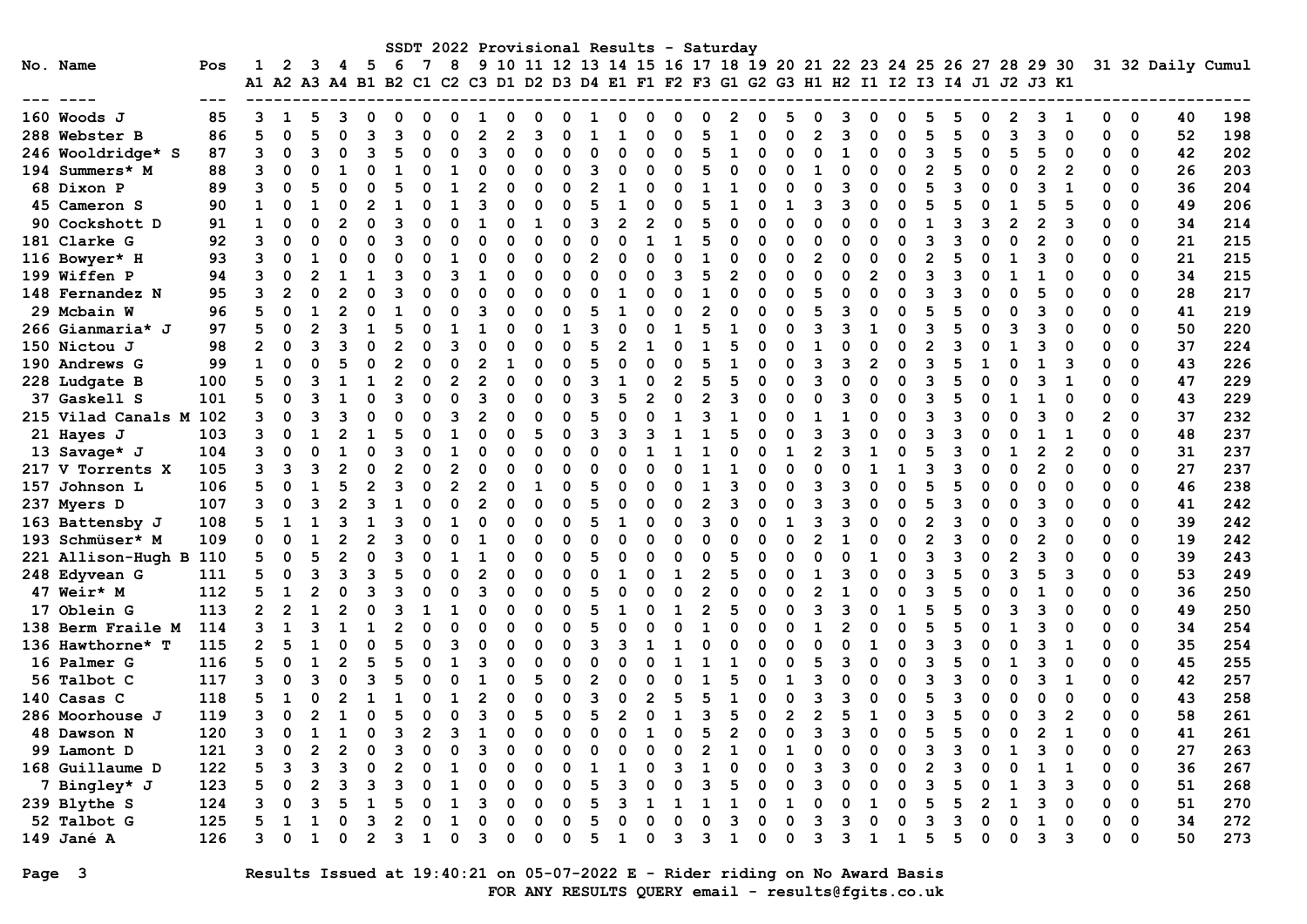|                    |     |                      |                |   |   |     |    |   |    |  |   |   |   |   |   |   |              | SSDT 2022 Provisional Results - Saturday |   |                                                                      |   |   |   |   |              |   |   |                |   |                         |    |                   |
|--------------------|-----|----------------------|----------------|---|---|-----|----|---|----|--|---|---|---|---|---|---|--------------|------------------------------------------|---|----------------------------------------------------------------------|---|---|---|---|--------------|---|---|----------------|---|-------------------------|----|-------------------|
| No. Name           | Pos |                      | 2              | 3 | 4 | - 5 | -6 | 7 | 8  |  |   |   |   |   |   |   |              |                                          |   | 9 10 11 12 13 14 15 16 17 18 19 20 21 22 23 24 25 26 27 28 29 30     |   |   |   |   |              |   |   |                |   |                         |    | 31 32 Daily Cumul |
|                    |     | A1 A2 A3 A4 B1 B2 C1 |                |   |   |     |    |   |    |  |   |   |   |   |   |   |              |                                          |   | C2 C3 D1 D2 D3 D4 E1 F1 F2 F3 G1 G2 G3 H1 H2 I1 I2 I3 I4 J1 J2 J3 K1 |   |   |   |   |              |   |   |                |   |                         |    |                   |
|                    |     |                      |                |   |   |     |    |   |    |  |   |   |   |   |   |   |              |                                          |   |                                                                      |   |   |   |   |              |   |   |                |   |                         |    |                   |
| 160 Woods J        | 85  |                      |                |   |   |     |    |   |    |  |   |   |   |   |   |   |              |                                          |   |                                                                      |   |   |   |   |              |   |   |                |   | 0                       | 40 | 198               |
| 288 Webster B      | 86  | 5                    | O              |   |   |     |    |   |    |  |   |   |   |   |   |   |              |                                          |   |                                                                      |   |   |   |   |              |   |   |                |   | $\mathbf 0$             | 52 | 198               |
| 246 Wooldridge* S  | 87  | 3                    | O              |   |   |     |    |   |    |  |   |   |   |   |   |   |              |                                          | O |                                                                      |   |   |   |   | O            |   |   |                |   | 0                       | 42 | 202               |
| 194 Summers* M     | 88  | 3                    |                |   |   |     |    |   |    |  |   |   |   |   |   |   |              |                                          |   |                                                                      |   |   |   |   |              |   |   |                |   | $\Omega$                | 26 | 203               |
| 68 Dixon P         | 89  | 3                    | O              |   |   |     |    |   |    |  |   |   |   |   |   |   |              |                                          |   |                                                                      |   |   |   |   |              |   |   |                |   | $\Omega$                | 36 | 204               |
| 45 Cameron S       | 90  |                      |                |   |   |     |    |   |    |  |   |   |   |   |   |   |              |                                          |   |                                                                      |   |   | ი |   |              |   |   |                |   | $\Omega$                | 49 | 206               |
| 90 Cockshott D     | 91  | $\mathbf{1}$         | n              |   |   |     |    |   |    |  |   |   | 3 | 2 |   |   |              |                                          |   |                                                                      |   |   |   |   |              |   |   |                | O | $\Omega$                | 34 | 214               |
| 181 Clarke G       | 92  | 3                    | O              |   |   | O   |    |   |    |  |   |   | ი |   |   |   |              |                                          |   |                                                                      |   |   | ი |   |              |   |   |                |   | $\Omega$                | 21 | 215               |
| 116 Bowyer* H      | 93  | ٩                    | O              |   |   | O   |    |   |    |  | n | ი | 2 |   |   | n |              |                                          | n |                                                                      | 2 |   | O |   | n            |   | ٩ |                |   | $\Omega$                | 21 | 215               |
| 199 Wiffen P       | 94  |                      | n              |   |   |     |    |   |    |  |   |   |   |   |   |   |              |                                          |   |                                                                      |   |   | ŋ |   |              |   |   |                |   | $\Omega$                | 34 | 215               |
| 148 Fernandez N    | 95  |                      | $\overline{2}$ |   |   |     |    |   |    |  |   |   |   |   |   |   |              |                                          |   |                                                                      |   |   |   |   |              |   |   |                |   | 0                       | 28 | 217               |
| 29 Mcbain W        | 96  |                      |                |   |   |     |    |   |    |  |   |   |   |   |   |   |              |                                          |   |                                                                      |   |   |   |   |              |   |   |                |   | 0                       | 41 | 219               |
| 266 Gianmaria* J   | 97  | 5                    |                |   |   |     |    |   |    |  |   |   |   |   |   |   |              |                                          |   |                                                                      |   |   |   |   |              |   |   |                |   | $\mathbf 0$             | 50 | 220               |
| 150 Nictou J       | 98  |                      |                |   |   |     |    |   |    |  |   |   |   |   |   |   |              |                                          |   |                                                                      |   |   |   |   |              |   |   |                |   | $\Omega$                | 37 | 224               |
| 190 Andrews G      | 99  |                      |                |   |   |     |    |   |    |  |   |   |   |   |   |   |              |                                          |   |                                                                      |   |   |   |   |              |   |   |                |   | 0                       | 43 | 226               |
| 228 Ludgate B      | 100 | 5                    | O              |   |   |     |    |   |    |  |   |   |   |   |   |   |              |                                          |   |                                                                      |   |   |   |   |              |   |   |                | O | $\Omega$                | 47 | 229               |
| 37 Gaskell S       | 101 | 5                    | n              |   |   |     |    |   |    |  |   |   |   |   |   |   |              |                                          |   |                                                                      |   |   | U |   |              |   |   |                |   | $\Omega$                | 43 | 229               |
| 215 Vilad Canals M | 102 | 3                    | O              |   |   | ŋ   |    |   |    |  |   |   |   |   |   |   |              |                                          |   |                                                                      |   |   | ŋ |   | n            |   |   |                |   | $\Omega$                | 37 | 232               |
| 21 Hayes J         | 103 |                      | O              |   |   |     |    |   |    |  |   |   |   | З |   |   |              |                                          |   |                                                                      |   |   | ŋ |   |              |   |   |                |   | $\Omega$                | 48 | 237               |
| 13 Savage* J       | 104 |                      |                |   |   |     |    |   |    |  |   |   |   |   |   |   |              |                                          | ŋ |                                                                      |   |   |   |   |              |   |   |                |   | $\mathbf 0$             | 31 | 237               |
| 217 V Torrents X   | 105 |                      |                |   |   |     |    |   |    |  |   |   |   |   |   |   |              |                                          |   |                                                                      |   |   |   |   |              |   |   |                |   | 0                       | 27 | 237               |
| 157 Johnson L      | 106 | 5                    |                |   |   |     |    |   |    |  |   |   |   |   |   |   |              |                                          |   |                                                                      |   |   |   |   |              |   |   |                |   | $\mathbf 0$             | 46 | 238               |
| 237 Myers D        | 107 |                      |                |   |   |     |    |   | n  |  | ∩ |   |   | O |   |   |              | ٩                                        |   |                                                                      | ว |   |   |   |              |   |   |                |   | $\Omega$                | 41 | 242               |
| 163 Battensby J    | 108 |                      |                |   |   |     |    |   |    |  |   |   |   |   |   |   |              |                                          |   |                                                                      |   |   | ი |   |              |   |   |                |   | $\Omega$                | 39 | 242               |
| 193 Schmüser* M    | 109 | 0                    |                |   |   |     |    |   |    |  |   |   |   |   |   |   |              |                                          |   |                                                                      |   |   | ი |   |              |   |   |                | O | $\mathbf 0$             | 19 | 242               |
| 221 Allison-Hugh B | 110 | 5                    |                |   |   |     |    |   |    |  |   |   |   |   |   |   |              |                                          |   |                                                                      |   |   | ი |   | O            |   | 3 |                |   | $\mathbf 0$             | 39 | 243               |
| 248 Edyvean G      | 111 |                      | O              |   |   |     |    |   |    |  |   |   |   |   |   |   |              |                                          |   |                                                                      |   |   |   |   | n            |   | 5 | 3              |   | $\Omega$                | 53 | 249               |
| 47 Weir* M         | 112 |                      | 1              |   |   |     |    |   |    |  |   |   |   |   |   |   |              |                                          |   |                                                                      |   |   | ŋ |   | n            |   |   |                |   | $\Omega$                | 36 | 250               |
| 17 Oblein G        | 113 | 2                    |                |   |   |     |    |   |    |  |   |   |   |   |   |   |              |                                          |   |                                                                      |   |   |   |   |              |   |   |                |   | 0                       | 49 | 250               |
| 138 Berm Fraile M  | 114 |                      |                |   |   |     |    |   |    |  |   |   |   |   |   |   |              |                                          |   |                                                                      |   |   |   |   |              |   |   |                |   | 0                       | 34 | 254               |
| 136 Hawthorne* T   | 115 |                      |                |   |   |     |    |   |    |  |   |   |   |   |   |   |              |                                          |   |                                                                      |   |   |   |   |              |   |   |                |   | 0                       | 35 | 254               |
| 16 Palmer G        | 116 |                      |                |   |   |     |    |   |    |  |   |   |   |   |   |   |              |                                          |   |                                                                      |   |   |   |   |              |   |   |                |   | $\Omega$                | 45 | 255               |
| 56 Talbot C        | 117 |                      |                |   |   |     |    |   |    |  |   |   |   |   |   |   |              |                                          |   |                                                                      |   |   |   |   |              |   |   |                |   | $\Omega$                | 42 | 257               |
| 140 Casas C        | 118 |                      |                |   |   |     |    |   |    |  |   |   |   |   |   |   |              |                                          |   |                                                                      |   |   |   |   |              |   |   | ∩              |   | $\mathbf 0$             | 43 | 258               |
| 286 Moorhouse J    | 119 | 3                    | ŋ              |   |   | ი   |    |   | U  |  | 5 |   | 5 |   |   |   |              |                                          |   | 2                                                                    | 2 |   | O |   | O            | O | 3 | $\overline{2}$ |   | $\Omega$                | 58 | 261               |
| 48 Dawson N        | 120 | 3                    | $\mathbf 0$    |   |   | 0   |    |   | 3  |  |   |   |   |   |   |   |              |                                          |   |                                                                      |   | 3 | 0 |   | 0            | 0 |   |                |   | $\overline{\mathbf{0}}$ | 41 | 261               |
| 99 Lamont D        | 121 | 3                    | 0              | 2 |   | 0   | 3  |   | O  |  | 0 |   |   |   |   | 0 | $\mathbf{2}$ |                                          | 0 |                                                                      | ი | 0 | 0 | 3 | 0            |   | ٩ | 0              |   | 0                       | 27 | 263               |
| 168 Guillaume D    | 122 |                      |                |   |   |     |    |   |    |  |   |   |   |   |   | з |              |                                          | 0 |                                                                      |   |   | 0 |   | 0            |   |   |                |   | 0                       | 36 | 267               |
| 7 Bingley* J       | 123 | 5                    | 0              | 2 |   |     |    |   |    |  | 0 |   | 5 |   |   |   | 3            | 5                                        | 0 | 0                                                                    | 3 |   | 0 | 3 | 0            |   | 3 | 3              | 0 | 0                       | 51 | 268               |
| 239 Blythe S       | 124 |                      | 0              |   |   |     |    |   |    |  |   |   | 5 |   |   | 1 |              |                                          | 0 |                                                                      | 0 | 0 | 0 | 5 | $\mathbf{2}$ |   |   |                |   | 0                       | 51 | 270               |
| 52 Talbot G        | 125 | 5.                   | 1              |   |   | 3   |    |   | -1 |  |   |   | 5 |   |   |   |              | ٩                                        |   |                                                                      | 3 |   | 0 |   | O            |   |   |                | 0 | 0                       | 34 | 272               |
| 149 Jané A         | 126 | 3                    | 0              | 1 | 0 | 2   | 3  |   | 0  |  | Ω | O | 5 | 1 | 0 | 3 | з            | $\mathbf{1}$                             | 0 | 0                                                                    | 3 | 3 | 1 | 5 | 0            |   | 3 | 3              | 0 | 0                       | 50 | 273               |

# Page 3 Results Issued at 19:40:21 on 05-07-2022 E - Rider riding on No Award Basis FOR ANY RESULTS QUERY email - results@fgits.co.uk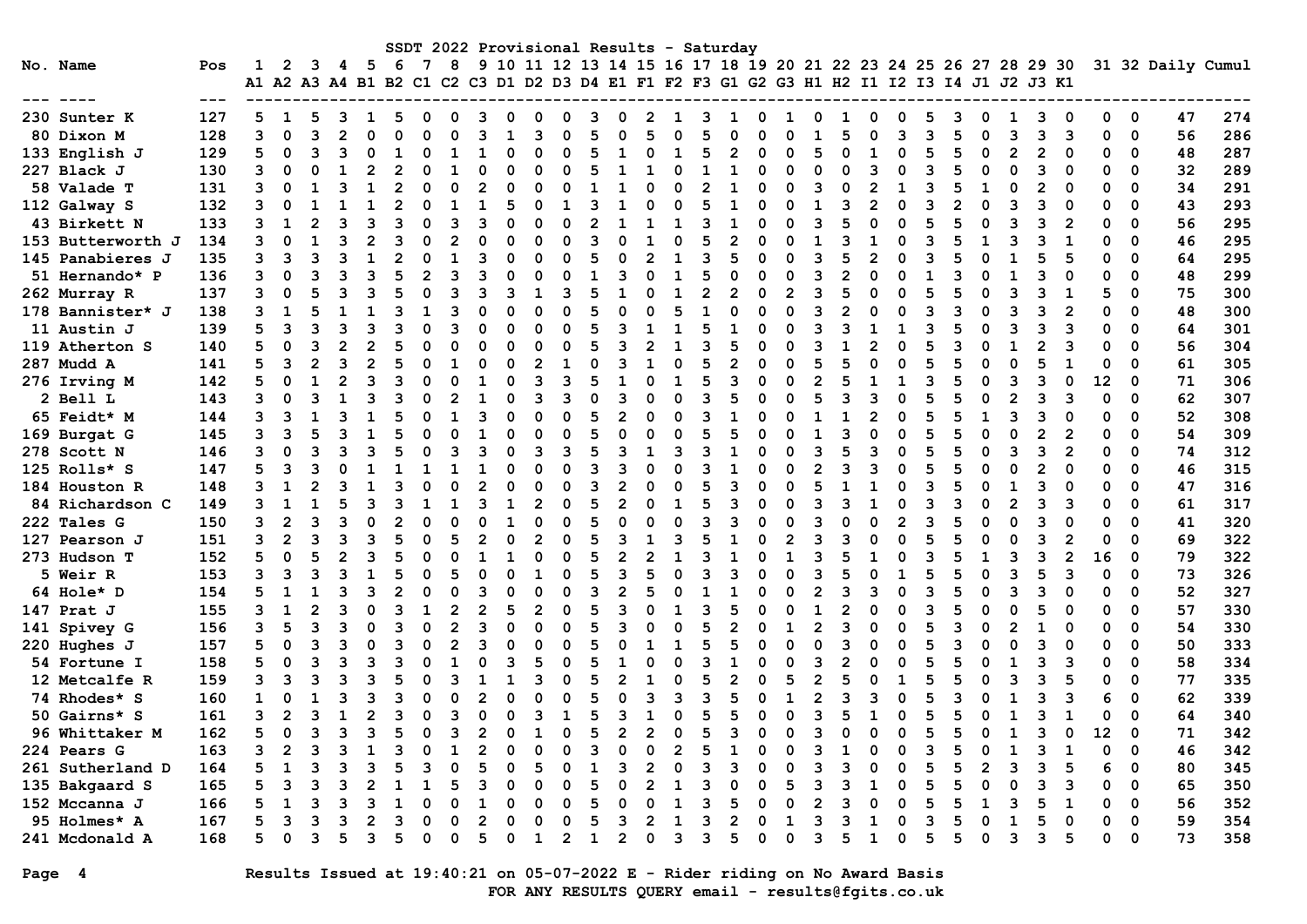|                   |     |                                                                                           |                |   |    |   |     |   |    |   |   |                |   |   |              |   |   |   | SSDT 2022 Provisional Results - Saturday                         |          |   |              |   |   |   |          |   |    |    |                          |    |                   |
|-------------------|-----|-------------------------------------------------------------------------------------------|----------------|---|----|---|-----|---|----|---|---|----------------|---|---|--------------|---|---|---|------------------------------------------------------------------|----------|---|--------------|---|---|---|----------|---|----|----|--------------------------|----|-------------------|
| No. Name          | Pos |                                                                                           | $\mathbf{2}$   | 3 | 45 |   | - 6 | 7 | -8 |   |   |                |   |   |              |   |   |   | 9 10 11 12 13 14 15 16 17 18 19 20 21 22 23 24 25 26 27 28 29 30 |          |   |              |   |   |   |          |   |    |    |                          |    | 31 32 Daily Cumul |
|                   |     | A1 A2 A3 A4 B1 B2 C1 C2 C3 D1 D2 D3 D4 E1 F1 F2 F3 G1 G2 G3 H1 H2 I1 I2 I3 I4 J1 J2 J3 K1 |                |   |    |   |     |   |    |   |   |                |   |   |              |   |   |   |                                                                  |          |   |              |   |   |   |          |   |    |    |                          |    |                   |
|                   |     |                                                                                           |                |   |    |   |     |   |    |   |   |                |   |   |              |   |   |   |                                                                  |          |   |              |   |   |   |          |   |    |    |                          |    |                   |
| 230 Sunter K      | 127 | 5                                                                                         |                |   |    |   |     |   |    |   |   |                |   |   |              |   |   |   |                                                                  |          |   |              |   |   |   |          |   |    |    | 0                        | 47 | 274               |
| 80 Dixon M        | 128 | 3                                                                                         | $\Omega$       | २ |    |   |     |   |    |   |   |                |   |   |              |   |   |   |                                                                  |          |   |              |   | ঽ |   | O        |   | ิว |    | $\mathbf 0$              | 56 | 286               |
| 133 English J     | 129 | 5                                                                                         | $\Omega$       |   |    |   |     |   |    |   |   |                |   |   |              |   |   |   |                                                                  | $\Omega$ |   |              |   |   |   | $\Omega$ |   |    |    | $\Omega$                 | 48 | 287               |
| 227 Black J       | 130 | 3                                                                                         |                |   |    |   |     |   |    |   |   |                |   |   |              |   |   |   |                                                                  |          |   |              |   |   |   |          |   |    |    | $\Omega$                 | 32 | 289               |
| 58 Valade T       | 131 | 3                                                                                         |                |   |    |   |     |   |    |   |   |                |   |   |              |   |   |   |                                                                  |          |   |              |   |   |   |          |   |    |    | $\Omega$                 | 34 | 291               |
| 112 Galway S      | 132 |                                                                                           |                |   |    |   |     |   |    |   |   |                |   |   |              |   |   |   |                                                                  |          |   |              |   |   |   |          |   |    |    | $\Omega$                 | 43 | 293               |
| 43 Birkett N      | 133 | 3                                                                                         |                |   |    |   |     |   |    |   |   |                |   |   |              |   |   |   |                                                                  |          |   |              |   |   |   |          |   |    |    | $\Omega$                 | 56 | 295               |
| 153 Butterworth J | 134 |                                                                                           |                |   |    |   |     |   |    |   |   |                |   |   |              |   |   |   |                                                                  |          |   |              |   |   |   |          |   |    |    | $\Omega$                 | 46 | 295               |
| 145 Panabieres J  | 135 | 3                                                                                         | ٩              |   |    |   |     |   |    |   |   |                |   |   |              |   |   |   |                                                                  |          |   |              |   | O |   |          |   |    |    | $\Omega$                 | 64 | 295               |
| 51 Hernando* P    | 136 |                                                                                           |                |   |    |   |     |   |    |   |   |                |   |   |              |   |   |   |                                                                  |          |   |              |   |   |   |          |   |    |    | $\Omega$                 | 48 | 299               |
| 262 Murray R      | 137 |                                                                                           |                |   |    |   |     |   |    |   |   |                |   |   |              |   |   |   |                                                                  |          |   |              |   |   |   |          |   |    |    | $\Omega$                 | 75 | 300               |
| 178 Bannister* J  | 138 |                                                                                           |                |   |    |   |     |   |    |   |   |                |   |   |              |   |   |   |                                                                  |          |   |              |   |   |   |          |   |    |    | $\Omega$                 | 48 | 300               |
| 11 Austin J       | 139 |                                                                                           |                |   |    |   |     |   |    |   |   |                |   |   |              |   |   |   |                                                                  |          |   |              |   |   |   |          |   |    |    | $\Omega$                 | 64 | 301               |
| 119 Atherton S    | 140 |                                                                                           |                |   |    |   |     |   |    |   |   |                |   |   |              |   |   |   |                                                                  |          |   |              |   |   |   |          |   |    |    | $\Omega$                 | 56 | 304               |
| 287 Mudd A        | 141 |                                                                                           |                |   |    |   |     |   |    |   |   |                |   |   |              |   |   |   |                                                                  |          |   |              |   |   |   |          |   |    |    | $\Omega$                 | 61 | 305               |
| 276 Irving M      | 142 |                                                                                           |                |   |    |   |     |   |    |   |   |                |   |   |              |   |   |   |                                                                  |          |   |              |   |   |   |          |   |    | 12 | $\Omega$                 | 71 | 306               |
| 2 Bell L          | 143 |                                                                                           |                |   |    |   |     |   |    |   |   |                |   |   |              |   |   |   |                                                                  |          |   |              |   |   |   |          |   |    |    | $\Omega$                 | 62 | 307               |
| 65 Feidt* M       | 144 | 3                                                                                         |                |   |    |   |     |   |    |   |   |                |   |   |              |   | O |   |                                                                  | U        |   |              |   | 0 |   |          |   |    |    | $\Omega$                 | 52 | 308               |
| 169 Burgat G      | 145 |                                                                                           | 3              |   |    |   |     |   |    |   |   |                |   |   |              |   |   |   |                                                                  |          |   |              |   | 0 |   |          |   |    |    | $\Omega$                 | 54 | 309               |
| 278 Scott N       | 146 |                                                                                           |                |   |    |   |     |   |    |   |   |                |   |   |              |   |   |   |                                                                  | O        |   |              |   | 0 |   | $\Omega$ |   | 2  |    | $\Omega$                 | 74 | 312               |
| 125 Rolls* S      | 147 |                                                                                           |                |   |    |   |     |   |    |   |   |                |   |   |              |   |   |   |                                                                  |          |   |              |   |   |   |          |   |    |    | $\Omega$                 | 46 | 315               |
| 184 Houston R     | 148 |                                                                                           |                |   |    |   |     |   |    |   |   |                |   |   |              |   |   |   |                                                                  |          |   |              |   |   |   |          |   |    |    | $\Omega$                 | 47 | 316               |
| 84 Richardson C   | 149 |                                                                                           |                |   |    |   |     |   |    |   |   |                |   |   |              |   |   |   |                                                                  |          |   |              |   |   |   |          |   |    |    | $\Omega$                 | 61 | 317               |
| 222 Tales G       | 150 |                                                                                           | $\overline{2}$ |   |    |   |     |   |    |   |   |                |   |   |              |   |   |   |                                                                  |          |   |              |   |   |   |          |   |    |    | $\Omega$                 | 41 | 320               |
| 127 Pearson J     | 151 | 3                                                                                         |                |   |    |   |     |   |    |   |   |                |   |   |              |   |   |   |                                                                  |          |   |              |   |   |   |          |   |    |    | $\Omega$                 | 69 | 322               |
| 273 Hudson T      | 152 | 5                                                                                         | O              |   |    |   |     |   |    |   |   |                |   |   |              |   |   |   |                                                                  |          |   |              |   |   |   |          |   | 2  | 16 | $\mathbf 0$              | 79 | 322               |
| 5 Weir R          | 153 | 3                                                                                         | 3              |   |    |   |     |   |    |   |   |                |   |   | २            |   |   |   |                                                                  |          |   |              |   |   |   | U        |   |    |    | $\Omega$                 | 73 | 326               |
| 64 Hole* D        | 154 |                                                                                           |                |   |    |   |     |   |    |   |   |                |   |   |              |   |   |   |                                                                  |          |   |              |   | O |   |          |   |    |    | $\Omega$                 | 52 | 327               |
| 147 Prat J        | 155 | 3                                                                                         |                |   |    |   |     |   |    |   |   | $\mathfrak{p}$ |   |   |              |   |   |   |                                                                  |          |   |              |   |   |   |          |   |    |    | 0                        | 57 | 330               |
| 141 Spivey G      | 156 |                                                                                           |                |   |    |   |     |   |    |   |   |                |   |   |              |   |   |   |                                                                  |          |   |              |   |   |   |          |   |    |    | $\Omega$                 | 54 | 330               |
| 220 Hughes J      | 157 |                                                                                           |                |   |    |   |     |   |    |   |   |                |   |   |              |   |   |   |                                                                  |          |   |              |   |   |   |          |   |    |    | $\Omega$                 | 50 | 333               |
| 54 Fortune I      | 158 |                                                                                           |                |   |    |   |     |   |    |   |   |                |   |   |              |   |   |   |                                                                  |          |   |              |   |   |   |          |   |    |    | $\Omega$                 | 58 | 334               |
| 12 Metcalfe R     | 159 | 3                                                                                         |                |   |    |   |     |   |    |   |   |                |   |   |              |   |   |   |                                                                  |          |   |              |   |   |   |          |   |    |    | $\Omega$                 | 77 | 335               |
| 74 Rhodes* S      | 160 |                                                                                           |                |   |    |   |     |   |    |   |   |                |   |   |              |   |   |   |                                                                  |          |   |              |   |   |   |          |   |    |    | $\Omega$                 | 62 | 339               |
| 50 Gairns* S      | 161 | 3                                                                                         | 2              | ٦ |    | 2 |     |   | 3  |   |   | 3              |   | 5 |              |   |   | 5 |                                                                  |          |   | ٩            |   | 0 |   |          |   |    |    | $\Omega$                 | 64 | 340               |
| 96 Whittaker M    | 162 | 5                                                                                         | $\mathbf 0$    | 3 |    | 3 |     |   | 3  |   |   |                |   |   |              |   | 0 |   |                                                                  | 0        |   |              |   | 0 |   |          |   | 0  | 12 | $\overline{\phantom{0}}$ | 71 | 342               |
| 224 Pears G       | 163 | 3                                                                                         | $\overline{2}$ | 3 |    |   |     |   | 1  |   | 0 | 0              |   | 3 | 0            |   | 2 | 5 |                                                                  | 0        |   | 3            |   | 0 | 3 | 0        | 3 | 1  | O  | 0                        | 46 | 342               |
| 261 Sutherland D  | 164 |                                                                                           |                |   |    |   |     |   |    |   |   |                |   |   |              |   | 0 |   |                                                                  | 0        |   |              |   | 0 |   | 2        |   |    |    | 0                        | 80 | 345               |
| 135 Bakgaard S    | 165 | 5                                                                                         | 3              |   |    | 2 |     |   |    |   |   | 0              |   | 5 | 0            | 2 | 1 | 3 | 0                                                                | 0        | 5 | 3            | 3 | 0 | 5 | 0        | 3 | 3  | 0  | 0                        | 65 | 350               |
| 152 Mccanna J     | 166 | 5                                                                                         |                |   |    | з |     |   | O  |   |   | 0              |   | 5 | 0            | 0 | 1 | 3 | 5                                                                | 0        | 0 | $\mathbf{2}$ |   | 0 | 5 |          |   | 1  | 0  | 0                        | 56 | 352               |
| 95 Holmes* A      | 167 | 5                                                                                         | 3              |   |    |   |     |   | O  |   |   | O              |   | 5 | 3            |   | 1 | з | 2                                                                | 0        | 1 | 3            | з | 0 |   | O        |   |    | 0  | 0                        | 59 | 354               |
| 241 Mcdonald A    | 168 | 5.                                                                                        | 0              | 3 |    | 3 | 5   |   | 0  | 5 | 0 | 1              | 2 | 1 | $\mathbf{2}$ | 0 | 3 | 3 | 5                                                                | 0        | 0 | 3            | 5 | 0 | 5 | 0        | 3 | 5  | 0  | 0                        | 73 | 358               |

Page 4 Results Issued at 19:40:21 on 05-07-2022 E - Rider riding on No Award Basis FOR ANY RESULTS QUERY email - results@fgits.co.uk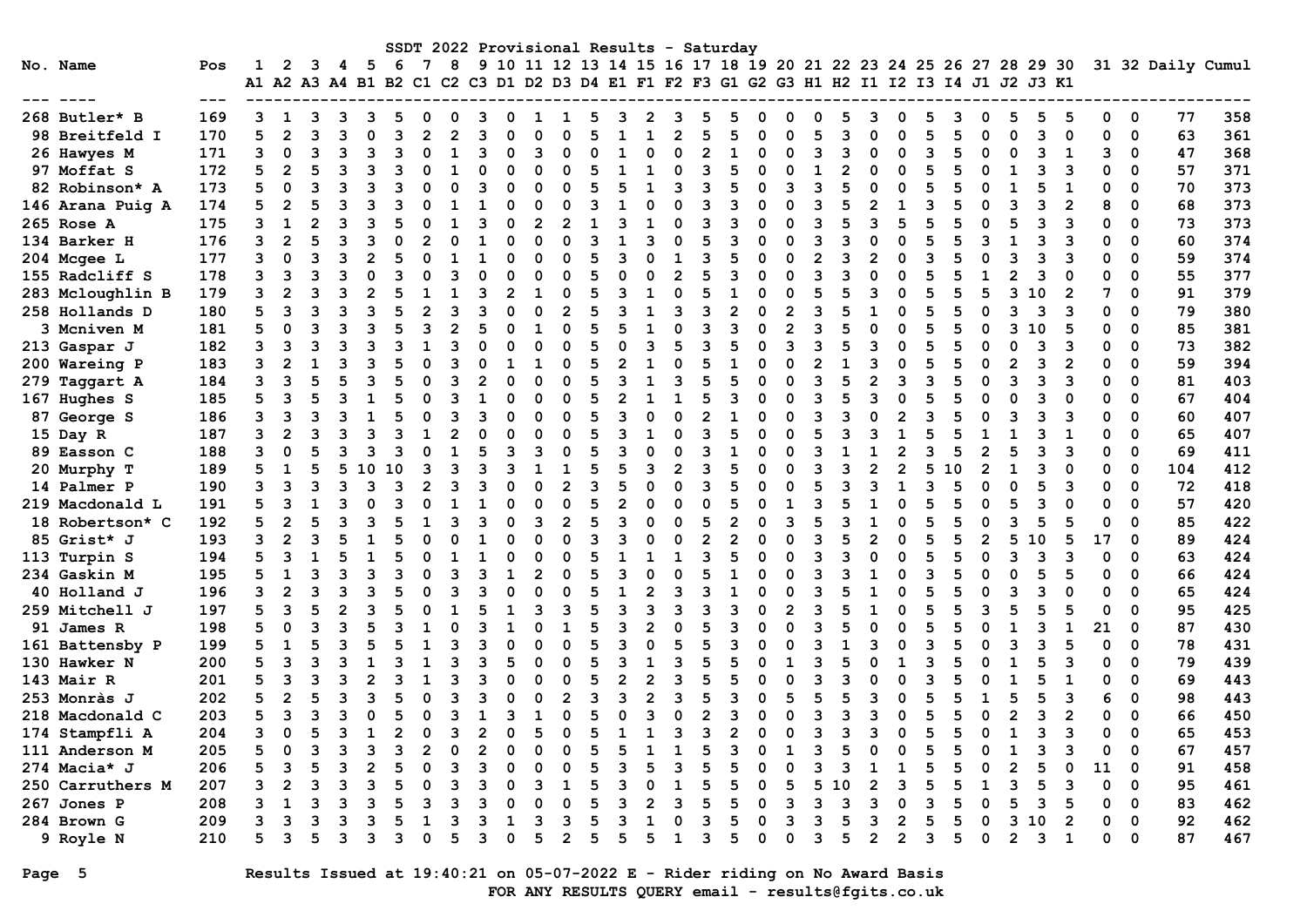|                  |     |   |                |    |   |                |    |   |                |   |          |               |                |          |                |               |                |   | SSDT 2022 Provisional Results - Saturday                                                  |          |                |          |    |   |                |   |   |                |                |    |                |          |             |                   |     |
|------------------|-----|---|----------------|----|---|----------------|----|---|----------------|---|----------|---------------|----------------|----------|----------------|---------------|----------------|---|-------------------------------------------------------------------------------------------|----------|----------------|----------|----|---|----------------|---|---|----------------|----------------|----|----------------|----------|-------------|-------------------|-----|
| No. Name         | Pos | 1 | $\mathbf{2}$   | 3  | 4 | - 5            | 6  | 7 | 8              |   |          |               |                |          |                |               |                |   | 9 10 11 12 13 14 15 16 17 18 19 20 21 22 23 24 25 26 27 28 29 30                          |          |                |          |    |   |                |   |   |                |                |    |                |          |             | 31 32 Daily Cumul |     |
|                  |     |   |                |    |   |                |    |   |                |   |          |               |                |          |                |               |                |   | A1 A2 A3 A4 B1 B2 C1 C2 C3 D1 D2 D3 D4 E1 F1 F2 F3 G1 G2 G3 H1 H2 I1 I2 I3 I4 J1 J2 J3 K1 |          |                |          |    |   |                |   |   |                |                |    |                |          |             |                   |     |
|                  |     |   |                |    |   |                |    |   |                |   |          |               |                |          |                |               |                |   |                                                                                           |          |                |          |    |   |                |   |   |                |                |    |                |          |             |                   |     |
| 268 Butler* B    | 169 | 3 | 1              | 3  |   | 3              |    |   | $\Omega$       |   | 0        | 1             | 1              | 5        | З              | 2             | 3              | 5 |                                                                                           | $\Omega$ | O              | $\Omega$ | 5  | з | O              |   |   | 0              |                | 5  |                | O        | 0           | 77                | 358 |
| 98 Breitfeld I   | 170 | 5 | $\overline{2}$ | 3  |   | $\Omega$       | З  |   | $\overline{2}$ | З |          | $\Omega$      | $\Omega$       | 5        |                |               | $\overline{2}$ | 5 | 5                                                                                         | $\Omega$ | O              | 5        | ર  |   | $\Omega$       | 5 |   | $\Omega$       | O              | 3  | $\Omega$       | $\Omega$ | $\mathbf 0$ | 63                | 361 |
| 26 Hawyes M      | 171 | 3 | 0              | 3  |   | 3              | З  |   | $\mathbf{1}$   |   | $\Omega$ | 3             | O              | $\Omega$ |                |               | $\Omega$       | 2 |                                                                                           | $\Omega$ |                | ٩        | ٦  |   | 0              | Р |   | $\Omega$       | O              | 3  | 1              | 3        | 0           | 47                | 368 |
| 97 Moffat S      | 172 | 5 | $\mathbf{2}$   | 5  |   | 3              |    |   | 1              |   | ŋ        | $\Omega$      | O              | 5        |                |               | O              | З | 5                                                                                         | $\Omega$ | n              | 1        |    |   | 0              | 5 |   | $\Omega$       |                | 3  | 3              | O        | 0           | 57                | 371 |
| 82 Robinson* A   | 173 | 5 | $\Omega$       | В  |   | ٩              |    |   | $\Omega$       | Р |          | $\Omega$      | O              | 5        |                |               | 3              | ٩ |                                                                                           | $\Omega$ | ٩              | ٩        | 5  |   | 0              |   |   | O              |                | 5  | $\mathbf{1}$   | O        | 0           | 70                | 373 |
| 146 Arana Puig A | 174 | 5 | $\overline{2}$ | 5  |   | 3              | 3  |   | $\mathbf{1}$   |   | n        | $\Omega$      | O              | 3        |                |               | $\Omega$       | 3 | ॎ                                                                                         | $\Omega$ | $\Omega$       | 3        | 5  |   | 1              | Р |   | $\Omega$       | ٦              | 3  | $\overline{2}$ | 8        | $\Omega$    | 68                | 373 |
| 265 Rose A       | 175 | ٩ | $\mathbf{1}$   |    |   |                |    |   |                |   |          | $\mathcal{P}$ |                |          | ٩              |               | O              |   | ٩                                                                                         | $\Omega$ | O              | २        |    |   | 5              |   |   | $\Omega$       |                | ٩  | з              | 0        | 0           | 73                | 373 |
| 134 Barker H     | 176 | 3 | $\overline{2}$ | 5  |   | 3              | O  |   | O              |   | n        | $\Omega$      | O              | 3        |                |               | 0              | 5 | ٩                                                                                         | $\Omega$ |                | ٩        | ٩  |   | 0              | 5 |   | 3              |                | 3  | 3              | O        | 0           | 60                | 374 |
| 204 Mcgee L      | 177 | 3 | O              | З  |   | 2              |    |   | $\mathbf{1}$   |   | n        | $\Omega$      | O              | 5        | ٩              |               | $\mathbf{1}$   | ॎ |                                                                                           | O        | O              | 2        | Р  |   | $\Omega$       | ٩ |   | $\Omega$       |                | ٩  | з              | O        | $\Omega$    | 59                | 374 |
| 155 Radcliff S   | 178 | 3 | 3              |    |   | $\Omega$       |    |   | २              |   |          | ∩             | O              | 5        |                |               | $\overline{2}$ | 5 | ิว                                                                                        |          | O              | २        | ্ব |   | 0              | 5 |   |                |                | ٩  |                | O        | $\Omega$    | 55                | 377 |
| 283 Mcloughlin B | 179 | 3 | $\overline{2}$ | 3  |   | $\overline{2}$ |    |   |                |   |          |               | O              | 5        |                |               | 0              |   |                                                                                           | $\Omega$ | O              | 5        |    |   | $\Omega$       | 5 |   |                | 3              | 10 | $\overline{2}$ | 7        | 0           | 91                | 379 |
| 258 Hollands D   | 180 | 5 | ٩              | З  |   | 3              |    |   | २              |   |          | $\Omega$      |                | 5        | ٩              |               | ٩              | ٩ | 2                                                                                         | $\Omega$ | 2              | २        | 5  |   | O              | 5 |   | $\Omega$       | ٩              | 3  | 3              | O        | 0           | 79                | 380 |
| 3 Mcniven M      | 181 | 5 | $\Omega$       | З  |   | 3              | 5  |   | $\overline{2}$ |   |          | 1             | O              | 5        |                |               | $\Omega$       | ٩ | ٩                                                                                         | $\Omega$ | $\mathfrak{p}$ | २        | 5  |   | $\Omega$       | 5 |   | O              | 3              | 10 | 5              | $\Omega$ | 0           | 85                | 381 |
| 213 Gaspar J     | 182 | 3 | 3              | В  |   | 3              | Р  |   | २              |   | n        |               | O              | 5        |                |               | 5              | 3 | 5                                                                                         | $\Omega$ | 3              | 3        | 5  |   | $\Omega$       | 5 |   | $\Omega$       | O              | 3  | 3              | U        | 0           | 73                | 382 |
| 200 Wareing P    | 183 | 3 | 2              |    |   |                |    |   | ર              |   |          |               |                | 5        |                |               | O              |   |                                                                                           |          | O              |          |    |   | O              |   |   | O              |                | 3  | $\overline{2}$ | 0        | 0           | 59                | 394 |
| 279 Taggart A    | 184 | 3 | 3              |    |   | 3              |    |   | 3              |   |          |               |                | 5        |                |               | 3              |   |                                                                                           |          |                | R        |    |   | 3              | 3 |   | $\Omega$       |                | 3  | 3              | O        | 0           | 81                | 403 |
| 167 Hughes S     | 185 | 5 | ٩              |    |   | 1              |    |   | २              |   | n        | ∩             | O              | 5        | $\overline{2}$ |               | $\mathbf{1}$   | 5 | ٩                                                                                         | $\Omega$ | $\Omega$       | ٩        | 5  |   | $\Omega$       | 5 |   | $\Omega$       |                | ٩  | ∩              | $\Omega$ | $\Omega$    | 67                | 404 |
| 87 George S      | 186 | 3 | 3              |    |   |                |    |   | २              | Р |          | $\Omega$      | $\Omega$       | 5        | २              |               | $\Omega$       | 2 |                                                                                           | O        | $\Omega$       | R        | २  |   | $\mathfrak{p}$ | Р |   | O              |                | ٩  | з              | O        | $\Omega$    | 60                | 407 |
| 15 Day R         | 187 | 3 | $\overline{2}$ | 3  |   | 3              | 3  |   | $\mathfrak{p}$ |   | n        | $\Omega$      | O              | 5        | ٩              |               | $\Omega$       | 3 | 5                                                                                         | $\Omega$ | ∩              | 5        | 3  |   | 1              |   |   |                |                | 3  | 1              | O        | 0           | 65                | 407 |
| 89 Easson C      | 188 | 3 | O              |    |   | ٩              |    |   |                |   |          | 3             |                | 5        |                |               | O              | ٩ |                                                                                           |          |                | ٩        |    |   |                |   |   | 2              |                | 3  | 3              | 0        | 0           | 69                | 411 |
| 20 Murphy T      | 189 | 5 | 1              |    |   | 0              | 10 | ٩ | 3              |   | ٩        |               | 1              | 5        | 5              | ิว            | $\mathbf{2}$   | ٩ | 5                                                                                         | O        |                | ٩        | ٩  |   | $\overline{2}$ | 5 |   | $\mathfrak{p}$ |                | ٩  | $\Omega$       | O        | 0           | 104               | 412 |
| 14 Palmer P      | 190 | २ | 3              | ิว |   | ঽ              | Р  |   | २              | Р |          | $\Omega$      | 2              | २        | 5              |               | $\Omega$       | 3 |                                                                                           | O        | ი              |          | Р  |   | $\mathbf{1}$   | Р |   | O              |                | 5  | 3              | O        | 0           | 72                | 418 |
| 219 Macdonald L  | 191 | 5 | २              |    |   | n              |    |   |                |   |          | $\Omega$      | O              | 5        | $\mathfrak{p}$ |               | O              | n | 5                                                                                         |          |                | 3        |    |   | Ò              |   |   | $\Omega$       |                | 3  | $\Omega$       | O        | 0           | 57                | 420 |
| 18 Robertson* C  | 192 | 5 | $\overline{2}$ |    |   | ٩              |    |   | २              |   |          | 3             | $\overline{2}$ | 5        | 3              |               | $\Omega$       | 5 | $\overline{2}$                                                                            | $\Omega$ |                | 5        | 3  |   | O              |   |   | $\Omega$       | ٩              |    | 5              | $\Omega$ | 0           | 85                | 422 |
| 85 Grist* J      | 193 | 3 | $\mathbf{2}$   | З  |   | 1              |    |   | $\Omega$       |   |          | $\Omega$      | O              | 3        | ٩              |               | $\Omega$       | 2 |                                                                                           | O        |                | ٩        |    |   | O              |   |   |                | 5              | 10 | 5              | 17       | 0           | 89                | 424 |
| 113 Turpin S     | 194 | 5 | 3              |    |   | 1              |    |   |                |   |          | $\Omega$      | O              | 5        |                |               | 1              | ٩ | 5                                                                                         | O        | O              | ٩        | Р  |   | 0              |   |   | $\Omega$       | ٩              | ٩  | з              | $\Omega$ | 0           | 63                | 424 |
| 234 Gaskin M     | 195 | 5 | $\mathbf{1}$   | 3  |   | 3              | ٩  |   | 3              |   |          |               | O              | 5        | ٩              |               | O              |   |                                                                                           | O        | O              | ٩        | 3  |   | O              | 3 |   | $\Omega$       |                |    |                | O        | 0           | 66                | 424 |
| 40 Holland J     | 196 | 3 | $\overline{2}$ | З  |   | 3              |    |   | 3              |   |          | $\Omega$      | O              | 5        |                |               | 3              | 3 |                                                                                           | $\Omega$ | O              | २        |    |   | $\Omega$       |   |   | $\Omega$       |                | 3  |                | O        | 0           | 65                | 424 |
| 259 Mitchell J   | 197 | 5 | 3              | 5  |   | 3              |    |   | $\mathbf{1}$   |   |          | З             |                | 5        | ٩              | ึ่ง           | ٩              | ٩ | ٩                                                                                         | $\Omega$ | 2              | ٩        | 5  |   | $\Omega$       | 5 |   | ٦              |                |    |                | $\Omega$ | 0           | 95                | 425 |
| 91 James R       | 198 | 5 | $\Omega$       | В  |   | 5              |    |   | $\Omega$       |   |          | $\Omega$      | 1              |          | २              |               | $\Omega$       | 5 | ٩                                                                                         | O        | ი              | ٩        | 5  |   | O              |   |   | $\Omega$       |                | ٩  | $\mathbf{1}$   | 21       | 0           | 87                | 430 |
| 161 Battensby P  | 199 | 5 | 1              |    |   | 5              |    |   |                |   |          |               | ∩              | 5        |                |               | 5              | 5 | З                                                                                         |          | n              | २        |    |   | O              | ٩ |   |                |                | 3  |                | $\Omega$ | $\Omega$    | 78                | 431 |
| 130 Hawker N     | 200 | 5 | 3              |    |   |                |    |   |                |   |          |               | O              |          | 3              |               | 3              |   |                                                                                           | $\Omega$ |                | २        |    |   |                |   |   | $\Omega$       |                |    | 3              | O        | 0           | 79                | 439 |
| 143 Mair R       | 201 | 5 | २              |    |   | 2              | ٩  |   | २              |   |          | $\Omega$      | O              | 5        | 2              |               | २              | 5 | 5                                                                                         | $\Omega$ | O              | २        | ٩  |   | $\Omega$       | ٩ |   | $\Omega$       |                | 5  | 1              | O        | 0           | 69                | 443 |
| 253 Monràs J     | 202 | 5 | $\overline{2}$ |    |   | 3              |    |   | २              | Р |          | $\Omega$      | $\overline{2}$ | 3        | 3              | $\mathcal{P}$ | 3              | 5 | 3                                                                                         | $\Omega$ | 5              | 5        | 5  |   | 0              | 5 |   | 1              | 5              | 5  | 3              | 6        | 0           | 98                | 443 |
| 218 Macdonald C  | 203 | 5 | 3              | 3  |   | n              | 5  |   | २              |   | 3        | 1             | O              | 5        |                |               | O              | 2 | З                                                                                         |          |                | ٩        | 3  |   | O              | 5 |   | O              |                | 3  | $\overline{2}$ | n        | 0           | 66                | 450 |
| 174 Stampfli A   | 204 | ٩ | O              |    |   |                |    |   | २              |   |          | 5             |                |          |                |               |                |   |                                                                                           |          | O              | २        | Р  |   | O              |   |   |                |                | 3  | з              | O        | $\Omega$    | 65                | 453 |
| 111 Anderson M   | 205 | 5 | O              | З  |   | ٩              | ٩  |   | $\mathbf 0$    |   |          | $\Omega$      | O              | 5        |                |               | 1              | 5 | ٩                                                                                         | O        | 1              | ٩        | 5  |   | 0              | 5 |   | O              |                | ٩  | з              | 0        | 0           | 67                | 457 |
| 274 Macia* J     | 206 | 5 | 3              | 5  | з | $\overline{2}$ | 5  |   | 3              | З | n        | $\Omega$      | O              | 5        | 3              |               | 3              | 5 | 5                                                                                         | $\Omega$ | $\Omega$       | 3        | 3  |   | $\mathbf{1}$   | 5 |   | $\Omega$       | 2              | 5  | $\Omega$       | 11       | 0           | 91                | 458 |
| 250 Carruthers M | 207 | 3 | 2              | З  |   | ٩              |    |   | २              |   |          | Р             |                | 5        |                |               | 1              | 5 | 5                                                                                         | O        | 5              | 5        | O  |   | ٩              | 5 |   |                | ٩              | 5  | 3              | $\Omega$ | $\Omega$    | 95                | 461 |
| 267 Jones P      | 208 | ٩ | 1              | В  |   | ٩              |    |   |                |   |          |               |                |          |                |               | ٩              |   | 5                                                                                         | $\Omega$ |                | २        | ٦  |   | $\Omega$       | ٩ |   | $\Omega$       |                | З  | 5              | O        | $\Omega$    | 83                | 462 |
| 284 Brown G      | 209 | ٩ | २              | З  |   | ٩              |    |   | ર              |   |          | Р             |                | 5        | ٩              |               | O              | ٩ | 5                                                                                         | $\Omega$ | ٩              | ٩        | 5  | ٩ | $\overline{2}$ | 5 | 5 | $\Omega$       | 3              | 10 | 2              | O        | 0           | 92                | 462 |
| 9 Royle N        | 210 | 5 | 3              | 5  |   | 3              | ٩  |   | 5              | 3 | ŋ        | 5             | 2              | 5        | 5              |               | 1              | 3 | 5                                                                                         | $\Omega$ | $\Omega$       | 3        | 5  | 2 | $\overline{2}$ | 3 | 5 | $\Omega$       | $\overline{2}$ | 3  | 1              | 0        | $\Omega$    | 87                | 467 |
|                  |     |   |                |    |   |                |    |   |                |   |          |               |                |          |                |               |                |   |                                                                                           |          |                |          |    |   |                |   |   |                |                |    |                |          |             |                   |     |

### Page 5 Results Issued at 19:40:21 on 05-07-2022 E - Rider riding on No Award Basis FOR ANY RESULTS QUERY email - results@fgits.co.uk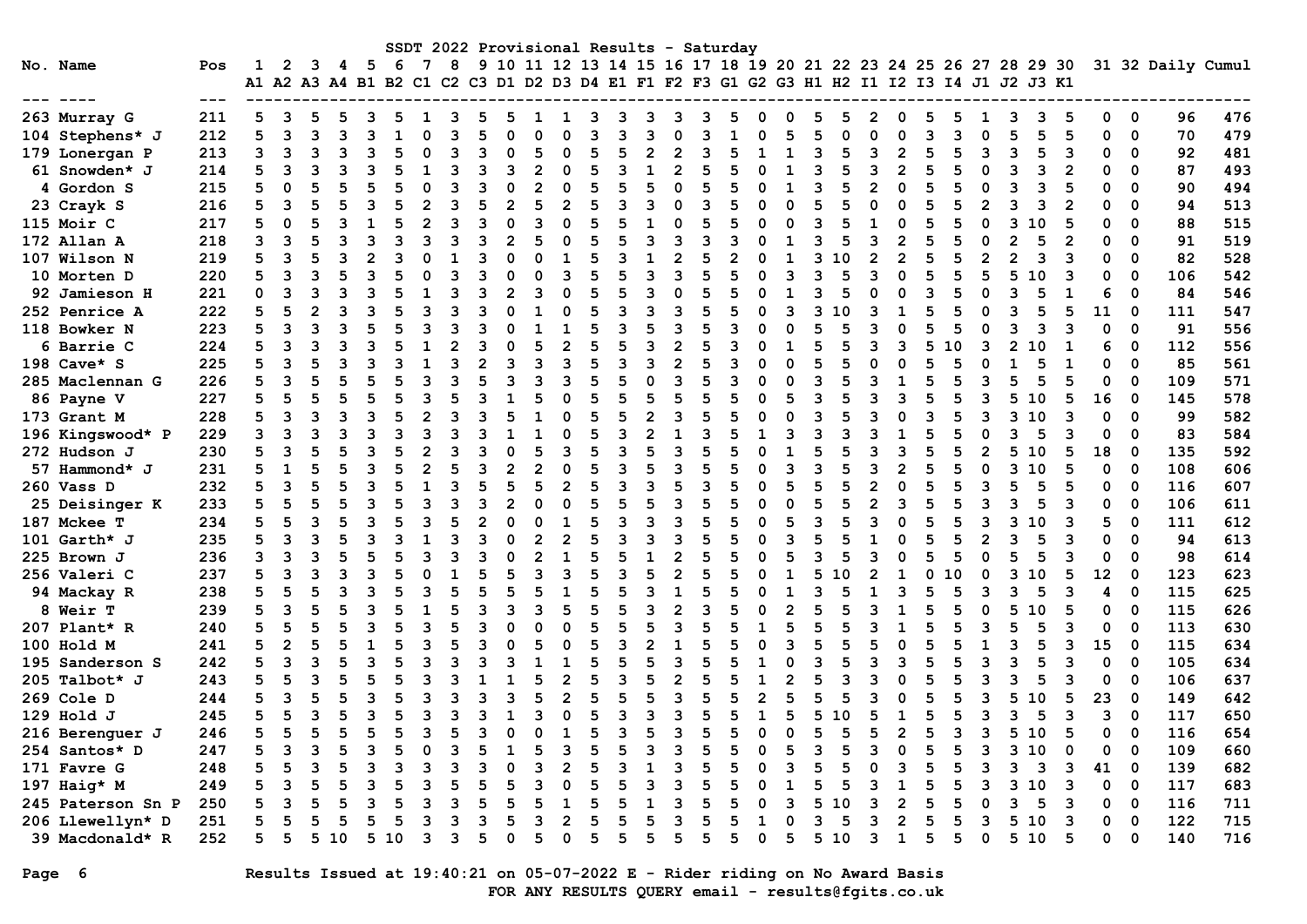|                   |     |                      |     |      |     |      |    |   |    |   |   |   |   |   |   |   |   |   | SSDT 2022 Provisional Results - Saturday |   |                                                                      |   |              |                |   |   |   |      |   |    |             |                   |     |
|-------------------|-----|----------------------|-----|------|-----|------|----|---|----|---|---|---|---|---|---|---|---|---|------------------------------------------|---|----------------------------------------------------------------------|---|--------------|----------------|---|---|---|------|---|----|-------------|-------------------|-----|
| No. Name          | Pos |                      | 2   | 3.   | 4 5 |      | -6 | 7 | 8  |   |   |   |   |   |   |   |   |   |                                          |   | 9 10 11 12 13 14 15 16 17 18 19 20 21 22 23 24 25 26 27 28 29 30     |   |              |                |   |   |   |      |   |    |             | 31 32 Daily Cumul |     |
|                   |     | A1 A2 A3 A4 B1 B2 C1 |     |      |     |      |    |   |    |   |   |   |   |   |   |   |   |   |                                          |   | C2 C3 D1 D2 D3 D4 E1 F1 F2 F3 G1 G2 G3 H1 H2 I1 I2 I3 I4 J1 J2 J3 K1 |   |              |                |   |   |   |      |   |    |             |                   |     |
|                   |     |                      |     |      |     |      |    |   |    |   |   |   |   |   |   |   |   |   |                                          |   |                                                                      |   |              |                |   |   |   |      |   |    |             |                   |     |
| 263 Murray G      | 211 |                      |     |      |     |      |    |   |    |   |   |   |   |   |   |   |   |   |                                          |   |                                                                      |   |              |                |   |   |   |      |   |    | 0           | 96                | 476 |
| 104 Stephens* J   | 212 |                      | 3   | 3    |     |      |    |   |    |   |   |   |   |   |   |   |   |   |                                          |   |                                                                      |   |              |                |   |   |   |      |   |    | 0           | 70                | 479 |
| 179 Lonergan P    | 213 |                      | 3   | ٦    |     |      |    |   |    |   |   |   |   |   |   |   |   |   |                                          |   |                                                                      |   |              |                |   |   |   |      |   |    | $\Omega$    | 92                | 481 |
| 61 Snowden* J     | 214 |                      | २   |      |     |      |    |   |    |   |   |   |   |   |   |   | 2 |   |                                          |   |                                                                      |   | 2            |                |   |   |   |      |   |    | $\Omega$    | 87                | 493 |
| 4 Gordon S        | 215 |                      |     |      |     |      |    |   |    |   |   |   |   |   |   |   |   |   |                                          |   |                                                                      |   |              |                |   |   |   |      |   |    | $\Omega$    | 90                | 494 |
| 23 Crayk S        | 216 |                      | २   |      |     |      |    |   |    |   |   |   |   | 5 |   |   |   |   |                                          |   |                                                                      |   |              |                |   |   |   |      |   |    | $\Omega$    | 94                | 513 |
| 115 Moir C        | 217 |                      |     |      |     |      |    |   |    |   |   |   |   |   |   |   |   |   |                                          |   |                                                                      |   |              |                |   |   |   | 1 O  |   |    | $\Omega$    | 88                | 515 |
| 172 Allan A       | 218 |                      | 3   |      |     |      |    |   |    |   |   |   |   |   |   |   |   |   |                                          |   | ٩                                                                    |   | 2            |                |   |   |   |      |   |    | $\Omega$    | 91                | 519 |
| 107 Wilson N      | 219 |                      | २   |      |     |      |    |   |    |   |   |   |   |   |   |   | 2 |   |                                          |   | ิว                                                                   |   | 2            |                |   |   |   | ٩    | 3 |    | $\Omega$    | 82                | 528 |
| 10 Morten D       | 220 |                      | २   |      |     |      |    |   |    |   |   |   |   |   |   |   |   |   |                                          |   |                                                                      |   |              |                |   |   |   | 1 ດ  |   |    | $\Omega$    | 106               | 542 |
| 92 Jamieson H     | 221 |                      |     |      |     |      |    |   |    |   |   |   |   |   |   |   |   |   |                                          |   |                                                                      |   |              |                |   |   |   |      |   |    | 0           | 84                | 546 |
| 252 Penrice A     | 222 |                      |     |      |     |      |    |   |    |   |   |   |   |   |   |   |   |   |                                          |   |                                                                      |   |              |                |   |   |   |      |   | 11 | 0           | 111               | 547 |
| 118 Bowker N      | 223 |                      | २   |      |     |      |    |   |    |   |   |   |   |   |   |   |   |   |                                          |   |                                                                      |   |              |                |   |   |   |      |   |    | 0           | 91                | 556 |
| 6 Barrie C        | 224 |                      |     |      |     |      |    |   |    |   |   |   |   |   |   |   |   |   |                                          |   |                                                                      |   |              |                |   |   |   |      |   |    | $\Omega$    | 112               | 556 |
| 198 $Cave* S$     | 225 |                      |     |      |     |      |    |   |    |   |   |   |   |   |   |   |   |   |                                          |   |                                                                      |   |              |                |   |   |   |      |   |    | $\Omega$    | 85                | 561 |
| 285 Maclennan G   | 226 |                      |     |      |     |      |    |   |    |   |   |   |   |   |   |   |   |   |                                          |   |                                                                      |   |              |                |   |   |   |      |   | O  | $\Omega$    | 109               | 571 |
| <b>86 Payne V</b> | 227 |                      |     |      |     |      |    |   |    |   |   |   |   |   |   |   |   |   |                                          |   |                                                                      |   |              |                |   |   |   | 10   |   | 16 | 0           | 145               | 578 |
| 173 Grant M       | 228 |                      | ٩   |      |     | २    |    |   | ิจ |   |   |   |   |   |   |   |   |   |                                          |   | ิว                                                                   |   |              | <sup>0</sup>   |   |   | ٩ |      | 3 | O  | $\Omega$    | 99                | 582 |
| 196 Kingswood* P  | 229 |                      |     |      |     |      |    |   |    |   |   |   |   |   |   |   |   |   |                                          |   |                                                                      |   |              |                |   |   |   |      |   |    | $\Omega$    | 83                | 584 |
| 272 Hudson J      | 230 |                      | २   |      |     |      |    |   |    |   |   |   |   |   |   |   |   |   |                                          |   |                                                                      |   |              |                |   |   |   |      |   | 18 | 0           | 135               | 592 |
| 57 Hammond* J     | 231 |                      |     |      |     |      |    |   |    |   |   |   |   |   |   |   |   |   |                                          |   |                                                                      |   |              |                |   |   |   |      |   |    | $\Omega$    | 108               | 606 |
| 260 Vass D        | 232 |                      | २   |      |     |      |    |   |    |   |   |   |   |   |   |   |   |   |                                          |   |                                                                      |   |              |                |   |   |   |      |   |    | $\Omega$    | 116               | 607 |
| 25 Deisinger K    | 233 |                      |     |      |     |      |    |   |    |   |   |   |   |   |   |   |   |   |                                          |   |                                                                      |   |              |                |   |   |   |      |   |    | $\Omega$    | 106               | 611 |
| 187 Mckee T       | 234 |                      | 5   |      |     |      |    |   |    |   |   |   |   |   |   |   |   |   |                                          |   |                                                                      |   |              |                |   |   |   |      |   |    | $\Omega$    | 111               | 612 |
| 101 Garth* J      | 235 |                      |     |      |     |      |    |   |    |   |   |   |   |   |   |   |   |   |                                          |   |                                                                      |   |              |                |   |   |   |      | 3 | O  | $\Omega$    | 94                | 613 |
| 225 Brown J       | 236 |                      | ٩   |      |     |      |    |   |    |   |   |   |   |   |   |   | 2 |   |                                          |   |                                                                      |   | ŋ            |                |   |   |   |      |   |    | 0           | 98                | 614 |
| 256 Valeri C      | 237 |                      | २   |      |     |      |    |   |    |   |   |   |   |   |   |   |   |   |                                          |   |                                                                      |   |              |                |   |   |   |      |   | 12 | 0           | 123               | 623 |
| 94 Mackay R       | 238 |                      | 5   |      |     |      |    |   |    |   |   |   |   |   |   |   |   |   |                                          |   |                                                                      |   |              |                |   |   |   |      |   |    | 0           | 115               | 625 |
| 8 Weir T          | 239 |                      | ર   |      |     |      |    |   |    |   |   |   |   |   |   |   |   |   |                                          |   |                                                                      |   |              |                |   |   |   |      |   |    | 0           | 115               | 626 |
| 207 Plant* R      | 240 |                      |     |      |     |      |    |   |    |   |   |   |   |   |   |   |   |   |                                          |   |                                                                      |   |              |                |   |   |   |      |   |    | $\Omega$    | 113               | 630 |
| 100 Hold M        | 241 |                      |     |      |     |      |    |   |    |   |   |   |   |   |   |   |   |   |                                          |   |                                                                      |   |              |                |   |   |   |      |   |    | $\Omega$    | 115               | 634 |
| 195 Sanderson S   | 242 |                      |     |      |     |      |    |   |    |   |   |   |   |   |   |   |   |   |                                          |   |                                                                      |   |              |                |   |   |   |      |   |    | $\Omega$    | 105               | 634 |
| 205 Talbot* J     | 243 |                      | 5   |      |     |      |    |   |    |   |   |   |   |   |   |   |   |   |                                          |   |                                                                      |   |              |                |   |   |   |      |   |    | $\Omega$    | 106               | 637 |
| 269 Cole D        | 244 |                      |     |      |     |      |    |   |    |   |   |   |   |   |   |   |   |   |                                          |   |                                                                      |   |              |                |   |   |   | 1 ດ  | 5 | 23 | 0           | 149               | 642 |
| 129 Hold J        | 245 |                      | 5   |      |     | ٦    |    |   | ิว |   |   | З |   | 5 |   |   |   |   |                                          |   | 5<br>10                                                              |   |              | 5              |   | 3 | 3 |      | 3 | 3  | $\mathbf 0$ | 117               | 650 |
| 216 Berenguer J   | 246 |                      | - 5 |      |     |      |    |   |    |   |   |   |   |   |   |   |   |   |                                          |   |                                                                      |   | ົ            |                |   | 3 |   | 5 10 |   |    | $0\quad 0$  | 116               | 654 |
| 254 Santos* D     | 247 |                      | 3   |      |     |      |    |   |    |   |   |   |   |   |   |   |   |   |                                          |   | 3                                                                    |   |              | 0              |   | 3 | 3 | 10   | 0 | 0  | 0           | 109               | 660 |
| 171 Favre G       | 248 |                      |     |      |     |      |    |   |    |   |   |   |   |   |   |   |   |   |                                          |   |                                                                      |   |              | 3              |   | 3 |   | 3    | 3 | 41 | $\mathbf 0$ | 139               | 682 |
| 197 Haig* M       | 249 |                      | 3   |      |     |      |    |   |    |   |   |   |   | 5 |   |   |   |   |                                          |   | 5                                                                    |   |              |                |   | 3 | 3 | 10   | з | 0  | $\mathbf 0$ | 117               | 683 |
| 245 Paterson Sn P | 250 | 5                    | 3   |      |     |      |    |   |    |   |   |   |   | 5 |   |   | 3 |   |                                          |   | 5.<br>10                                                             |   | $\mathbf{2}$ |                |   | 0 | 3 | 5    | 3 | 0  | $\mathbf 0$ | 116               | 711 |
| 206 Llewellyn* D  | 251 |                      | 5   |      |     | 5    |    |   | 3  |   |   | 3 |   | 5 |   |   | з |   |                                          |   | 3                                                                    | 5 |              | $\overline{2}$ |   | 3 |   | 5 10 | 3 | 0  | $\mathbf 0$ | 122               | 715 |
| 39 Macdonald* R   | 252 | 5                    | 5   | 5 10 |     | 5 10 |    | 3 | 3  | 5 | ი | 5 | 0 | 5 | 5 | 5 | 5 | 5 | 5                                        | 0 | 510                                                                  |   | 1<br>3       | 5              | 5 | 0 |   | 510  | 5 | 0  | $\mathbf 0$ | 140               | 716 |

# Page 6 Results Issued at 19:40:21 on 05-07-2022 E - Rider riding on No Award Basis FOR ANY RESULTS QUERY email - results@fgits.co.uk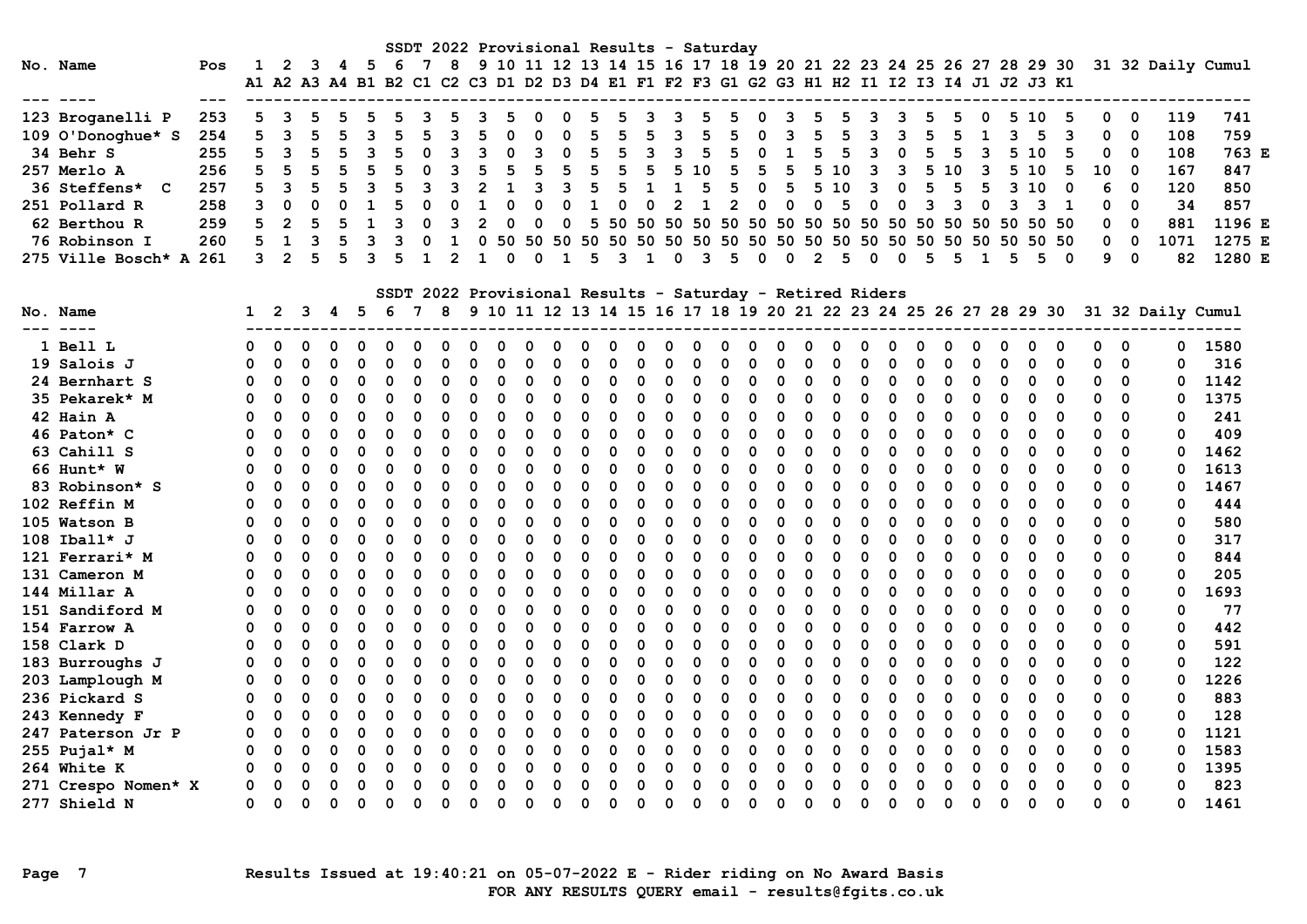|                              |     |              |                |          |          |             |          | SSDT 2022 Provisional Results - Saturday |                |          |              |             |              |              |             |                |                |              |              |             |                                                                                           |                |          |             |             |                |                |                |              |          |              |             |             |                                                                                    |        |  |
|------------------------------|-----|--------------|----------------|----------|----------|-------------|----------|------------------------------------------|----------------|----------|--------------|-------------|--------------|--------------|-------------|----------------|----------------|--------------|--------------|-------------|-------------------------------------------------------------------------------------------|----------------|----------|-------------|-------------|----------------|----------------|----------------|--------------|----------|--------------|-------------|-------------|------------------------------------------------------------------------------------|--------|--|
| No. Name                     | Pos | 1            | 2              | - 3      | - 4      | - 5         | - 6      | $\overline{7}$                           | 8              |          |              |             |              |              |             |                |                |              |              |             |                                                                                           |                |          |             |             |                |                |                |              |          |              |             |             | 9 10 11 12 13 14 15 16 17 18 19 20 21 22 23 24 25 26 27 28 29 30 31 32 Daily Cumul |        |  |
| --- ----                     | --- |              |                |          |          |             |          |                                          |                |          |              |             |              |              |             |                |                |              |              |             | A1 A2 A3 A4 B1 B2 C1 C2 C3 D1 D2 D3 D4 E1 F1 F2 F3 G1 G2 G3 H1 H2 I1 I2 I3 I4 J1 J2 J3 K1 |                |          |             |             |                |                |                |              |          |              |             |             |                                                                                    |        |  |
| 123 Broganelli P             | 253 | 5            |                |          |          |             |          |                                          |                |          | 5            | $\Omega$    |              | 5            | 5           |                | 3              | 5            | 5            | 0           | 3                                                                                         | 5              |          | 3           |             |                |                |                | 5            | 10       | 5            | 0           | - 0         | 119                                                                                | 741    |  |
| 109 O'Donoghue* S            | 254 | 5            | 3              |          | 5        |             |          | 5                                        | ٦              |          | $\Omega$     | $\Omega$    |              | 5            | 5           |                | 3              | 5            |              | O           | 3                                                                                         | 5.             | 5        | 3           | 3           | 5              | 5              |                | 3            | 5        | 3            | 0           | $\Omega$    | 108                                                                                | 759    |  |
| 34 Behr S                    | 255 | 5            | 3              |          |          |             |          | $\Omega$                                 | 3              | 3        | $\Omega$     | 3           | O            | 5            | 5           | $\overline{3}$ | $\mathbf{3}$   | 5            | 5            | $\mathbf 0$ | $\mathbf{1}$                                                                              | 5              | 5        | 3           | $\mathbf 0$ | 5              | -5             | $\overline{3}$ | 5            | 10       |              | 0           | $\Omega$    | 108                                                                                | 763 E  |  |
| 257 Merlo A                  | 256 | 5            | .5             |          | 5        |             |          | $\Omega$                                 | 3              |          | 5            | 5           | 5            | 5            | 5           | 5              |                | 510          | 5            | 5           | 5                                                                                         |                | 5 10     | 3           | 3           | 5              | 10             | 3              | 5.           | 10       | 5            | 10          | $\Omega$    | 167                                                                                | 847    |  |
| 36 Steffens* C               | 257 | 5            |                |          |          |             |          |                                          |                |          | $\mathbf{1}$ | з           | 3            | 5            | 5           |                | $\mathbf{1}$   |              | 5            | $\Omega$    | 5                                                                                         | 5              | 10       | 3           | $\mathbf 0$ | 5              | 5              | 5              | $\mathbf{3}$ | 10       | $\Omega$     | 6           | $\Omega$    | 120                                                                                | 850    |  |
| 251 Pollard R                | 258 | 3            | $\Omega$       | $\Omega$ | $\Omega$ |             |          | $\Omega$                                 | $\Omega$       |          | $\Omega$     | $\Omega$    | $\Omega$     | $\mathbf{1}$ | $\mathbf 0$ | $\Omega$       | $\overline{2}$ | $\mathbf{1}$ | $\mathbf{2}$ | $\mathbf 0$ | $\mathbf 0$                                                                               | $\mathbf 0$    | 5        | $\mathbf 0$ | $\mathbf 0$ | $\overline{3}$ | $\overline{3}$ | $\mathbf 0$    | 3            | 3        | $\mathbf{1}$ | 0           | $\Omega$    | 34                                                                                 | 857    |  |
| 62 Berthou R                 | 259 | 5            | $\overline{2}$ |          |          |             |          | 0                                        | 3              |          | $\mathbf 0$  | $\mathbf 0$ | 0            | 5            |             |                |                |              |              |             |                                                                                           |                |          |             |             |                |                |                |              | 50 50 50 |              | 0           | $\mathbf 0$ | 881                                                                                | 1196 E |  |
| 76 Robinson I                | 260 | 5            | $\mathbf{1}$   | 3        | 5        | ॎ           | 3        | $\Omega$                                 | $\mathbf{1}$   | $\Omega$ | 50           |             |              |              |             |                |                |              |              |             |                                                                                           |                |          |             |             |                |                |                | 50 50        |          | 50 50        | 0           | $\mathbf 0$ | 1071                                                                               | 1275 E |  |
| 275 Ville Bosch* A 261       |     | 3            | $\mathcal{P}$  |          | 5        | 3           |          | $\mathbf{1}$                             | $\overline{2}$ | 1        | $\Omega$     | $\Omega$    | $\mathbf{1}$ | 5            | 3           | $\mathbf{1}$   | $\Omega$       | 3            | 5            | $\Omega$    | $\Omega$                                                                                  | $\overline{2}$ | 5        | $\Omega$    | $\Omega$    | 5              | 5              | $\mathbf{1}$   | .5           | 5.       | $\Omega$     | 9           | $\Omega$    | 82                                                                                 | 1280 E |  |
|                              |     |              |                |          |          |             |          |                                          |                |          |              |             |              |              |             |                |                |              |              |             | SSDT 2022 Provisional Results - Saturday - Retired Riders                                 |                |          |             |             |                |                |                |              |          |              |             |             |                                                                                    |        |  |
| No. Name                     |     | $\mathbf{1}$ | -2             | 3        | 4 5      |             | - 6      | 78                                       |                |          |              |             |              |              |             |                |                |              |              |             | 9 10 11 12 13 14 15 16 17 18 19 20 21 22 23 24 25 26 27 28 29 30                          |                |          |             |             |                |                |                |              |          |              |             |             | 31 32 Daily Cumul                                                                  |        |  |
| --- ----<br>1 Bell L         |     | O            | ∩              |          |          |             | 0        | 0                                        |                | 0        | 0            |             |              |              |             | 0              |                | 0            | 0            |             | 0                                                                                         | $\Omega$       |          | O           |             |                | 0              |                |              | 0        | 0            | 0           | $\mathbf 0$ |                                                                                    | 0 1580 |  |
|                              |     | O            | $\Omega$       | O        | $\Omega$ | $\Omega$    | $\Omega$ | 0                                        | $\mathbf 0$    | 0        | $\Omega$     | $\Omega$    | $\Omega$     | 0            | $\Omega$    | 0              | 0              | 0            | O            | $\Omega$    | 0                                                                                         | $\Omega$       | ∩        | 0           | $\Omega$    | O              | 0              | 0              | 0            | 0        | 0            | $\Omega$    | 0           | 0                                                                                  | 316    |  |
| 19 Salois J<br>24 Bernhart S |     | $\Omega$     | $\Omega$       | O        | $\Omega$ | $\Omega$    | $\Omega$ | O                                        | $\Omega$       | $\Omega$ | $\Omega$     | $\Omega$    | $\Omega$     | $\Omega$     | $\Omega$    | $\Omega$       | 0              | $\Omega$     | $\Omega$     | $\Omega$    | $\Omega$                                                                                  | $\Omega$       | $\Omega$ | $\Omega$    | $\Omega$    | 0              | $\Omega$       | $\mathbf 0$    | $\Omega$     | $\Omega$ | $\Omega$     | $\Omega$    | $\Omega$    | 0                                                                                  | 1142   |  |
| 35 Pekarek* M                |     | $\Omega$     | $\Omega$       |          | $\Omega$ | $\Omega$    | $\Omega$ | O                                        | $\Omega$       | $\Omega$ | O            | $\Omega$    | $\Omega$     | $\Omega$     | $\Omega$    | $\Omega$       | 0              | $\Omega$     | $\Omega$     | $\Omega$    | $\Omega$                                                                                  | $\Omega$       |          | $\Omega$    | $\Omega$    | O              | $\mathbf 0$    | $\mathbf 0$    | O            | 0        | $\Omega$     | $\Omega$    | $\mathbf 0$ | 0                                                                                  | 1375   |  |
| 42 Hain A                    |     | 0            | $\Omega$       |          | 0        | $\Omega$    | O        | O                                        | $\Omega$       | 0        | O            | $\Omega$    | $\Omega$     | $\Omega$     | $\Omega$    | O              | $\Omega$       | $\Omega$     | $\Omega$     | $\Omega$    | $\Omega$                                                                                  | $\Omega$       | $\Omega$ | $\Omega$    | $\Omega$    | O              | $\Omega$       | $\Omega$       | O            | $\Omega$ | $\Omega$     | $\Omega$    | $\Omega$    | 0                                                                                  | 241    |  |
| 46 Paton* C                  |     | 0            | $\Omega$       | $\Omega$ | $\Omega$ | $\Omega$    | $\Omega$ | $\Omega$                                 | $\mathbf 0$    | $\Omega$ | 0            | $\mathbf 0$ | 0            | $\mathbf 0$  | $\mathbf 0$ | 0              | $\Omega$       | $\mathbf 0$  | 0            | $\mathbf 0$ | $\mathbf 0$                                                                               | $\Omega$       | $\Omega$ | $\Omega$    | $\mathbf 0$ | 0              | $\mathbf 0$    | $\mathbf 0$    | $\Omega$     | $\Omega$ | $\Omega$     | $\mathbf 0$ | $\mathbf 0$ | 0                                                                                  | 409    |  |
| 63 Cahill S                  |     | 0            | $\Omega$       | O        | $\Omega$ | ∩           | $\Omega$ | 0                                        | $\Omega$       | $\Omega$ | U            | $\Omega$    | 0            | 0            | $\mathbf 0$ | 0              | 0              | $\mathbf 0$  | O            | $\Omega$    | $\mathbf 0$                                                                               | ∩              | ∩        | 0           | $\Omega$    | O              | $\mathbf 0$    | $\Omega$       | O            | 0        | 0            | 0           | $\mathbf 0$ | $\mathbf 0$                                                                        | 1462   |  |
| 66 Hunt* W                   |     | O            | $\Omega$       | O        | 0        | $\Omega$    | O        | O                                        | 0              | $\Omega$ | U            | $\mathbf 0$ | 0            | $\mathbf 0$  | $\Omega$    | O              | $\Omega$       | $\Omega$     | O            | O           | $\mathbf 0$                                                                               | $\Omega$       | ∩        | $\Omega$    | $\Omega$    | O              | $\mathbf 0$    | $\mathbf 0$    | O            | 0        | 0            | ∩           | 0           | 0                                                                                  | 1613   |  |
| 83 Robinson* S               |     | $\Omega$     | $\Omega$       | O        | $\Omega$ | $\Omega$    | $\Omega$ | O                                        | $\Omega$       | $\Omega$ | O            | $\Omega$    | $\Omega$     | $\Omega$     | $\Omega$    | O              | 0              | $\Omega$     | $\Omega$     | $\Omega$    | $\mathbf 0$                                                                               | $\Omega$       | ∩        | 0           | $\Omega$    | $\Omega$       | 0              | $\mathbf 0$    | O            | 0        | $\Omega$     | $\Omega$    | 0           | 0                                                                                  | 1467   |  |
| 102 Reffin M                 |     | $\Omega$     | $\Omega$       | O        | 0        | $\Omega$    | O        | O                                        | $\Omega$       | $\Omega$ | O            | $\Omega$    | $\Omega$     | $\Omega$     | $\Omega$    | $\Omega$       | $\Omega$       | $\Omega$     | $\Omega$     | $\Omega$    | $\Omega$                                                                                  | $\Omega$       | ∩        | $\Omega$    | $\Omega$    | O              | $\Omega$       | $\Omega$       | O            | $\Omega$ | $\Omega$     | $\Omega$    | $\Omega$    | 0                                                                                  | 444    |  |
| 105 Watson B                 |     | $\Omega$     | $\Omega$       | O        | $\Omega$ | $\Omega$    | O        | O                                        | $\Omega$       | $\Omega$ | O            | $\Omega$    | $\Omega$     | $\Omega$     | $\Omega$    | $\Omega$       | $\Omega$       | $\Omega$     | $\Omega$     | $\Omega$    | $\Omega$                                                                                  | $\Omega$       | $\Omega$ | $\Omega$    | $\Omega$    | O              | $\mathbf 0$    | 0              | O            | $\Omega$ | 0            | $\Omega$    | 0           | 0                                                                                  | 580    |  |
| $108$ Iball* J               |     | $\Omega$     | $\Omega$       | O        | $\Omega$ | $\Omega$    | O        | $\Omega$                                 | $\Omega$       | O        | O            | $\Omega$    | $\Omega$     | $\Omega$     | $\Omega$    | $\Omega$       | $\Omega$       | $\Omega$     | $\Omega$     | $\Omega$    | $\Omega$                                                                                  | $\Omega$       | O        | $\Omega$    | $\Omega$    | O              | 0              | $\Omega$       | O            | 0        | $\Omega$     | $\Omega$    | $\mathbf 0$ | 0                                                                                  | 317    |  |
| 121 Ferrari* M               |     | 0            | $\Omega$       | $\Omega$ | 0        | $\Omega$    | $\Omega$ | 0                                        | $\mathbf 0$    | 0        | 0            | $\mathbf 0$ | $\Omega$     | $\mathbf 0$  | 0           | 0              | 0              | $\mathbf 0$  | $\Omega$     | $\mathbf 0$ | $\mathbf 0$                                                                               | $\Omega$       | $\Omega$ | $\Omega$    | $\Omega$    | $\Omega$       | $\mathbf 0$    | $\mathbf 0$    | O            | 0        | 0            | $\mathbf 0$ | $\mathbf 0$ | $\mathbf 0$                                                                        | 844    |  |
| 131 Cameron M                |     | $\Omega$     | $\Omega$       | O        | $\Omega$ | ∩           | 0        | 0                                        | $\Omega$       | $\Omega$ | U            | $\Omega$    | $\Omega$     | O            | $\Omega$    | 0              | 0              | $\mathbf 0$  | O            | O           | $\mathbf 0$                                                                               | ∩              | ∩        | 0           | ∩           | O              | $\mathbf 0$    | $\Omega$       | O            | 0        | 0            | 0           | $\mathbf 0$ | $\mathbf 0$                                                                        | 205    |  |
| 144 Millar A                 |     | O            | $\Omega$       | O        | $\Omega$ | $\Omega$    | $\Omega$ | O                                        | $\mathbf 0$    | 0        | O            | $\mathbf 0$ | 0            | $\Omega$     | $\Omega$    | O              | 0              | $\Omega$     | O            | $\Omega$    | $\mathbf 0$                                                                               | $\Omega$       | ∩        | $\Omega$    | $\Omega$    | $\Omega$       | $\mathbf 0$    | $\mathbf 0$    | 0            | 0        | 0            | ∩           | 0           | 0                                                                                  | 1693   |  |
| 151 Sandiford M              |     | $\Omega$     | 0              | $\Omega$ | $\Omega$ | $\mathbf 0$ | $\Omega$ | $\Omega$                                 | $\mathbf 0$    | $\Omega$ | $\Omega$     | $\Omega$    | $\Omega$     | $\Omega$     | $\Omega$    | 0              | $\Omega$       | $\Omega$     | $\Omega$     | $\Omega$    | $\Omega$                                                                                  | $\Omega$       | $\Omega$ | $\Omega$    | $\Omega$    | $\Omega$       | $\mathbf 0$    | $\mathbf 0$    | O            | 0        | $\Omega$     | $\Omega$    | $\Omega$    | 0                                                                                  | 77     |  |
| 154 Farrow A                 |     | $\Omega$     | $\Omega$       | O        | $\Omega$ | $\Omega$    | $\Omega$ | O                                        | $\Omega$       | 0        | O            | $\Omega$    | $\Omega$     | O            | $\Omega$    | $\Omega$       | $\Omega$       | $\Omega$     | $\Omega$     | $\Omega$    | $\Omega$                                                                                  | $\Omega$       | ∩        | $\Omega$    | $\Omega$    | O              | $\Omega$       | $\Omega$       | ŋ            | $\Omega$ | $\Omega$     | $\Omega$    | $\Omega$    | O                                                                                  | 442    |  |
| 158 Clark D                  |     | $\Omega$     | $\Omega$       |          | $\Omega$ | $\Omega$    | O        | $\Omega$                                 | $\Omega$       | $\Omega$ | O            | $\Omega$    | $\Omega$     | $\Omega$     | $\Omega$    | $\Omega$       | $\Omega$       | $\Omega$     | $\Omega$     | $\Omega$    | $\Omega$                                                                                  | $\Omega$       |          | $\Omega$    | $\Omega$    | $\Omega$       | 0              | $\Omega$       | O            | 0        | 0            | O           | $\mathbf 0$ | $\mathbf 0$                                                                        | 591    |  |
| 183 Burroughs J              |     | $\Omega$     | $\Omega$       | O        | $\Omega$ | $\Omega$    | O        | $\Omega$                                 | $\Omega$       | O        | O            | $\Omega$    | O            | $\Omega$     | $\Omega$    | O              | O              | $\Omega$     | O            | $\Omega$    | $\Omega$                                                                                  | O              |          | $\Omega$    | $\Omega$    | O              | 0              | $\Omega$       | O            | $\Omega$ | $\Omega$     | $\Omega$    | $\Omega$    | $\mathbf 0$                                                                        | 122    |  |
| 203 Lamplough M              |     | 0            | 0              | $\Omega$ | 0        | $\Omega$    | $\Omega$ | 0                                        | $\mathbf 0$    | $\Omega$ | 0            | $\Omega$    | $\Omega$     | $\mathbf 0$  | $\Omega$    | 0              | $\Omega$       | $\Omega$     | $\Omega$     | $\mathbf 0$ | $\Omega$                                                                                  | $\Omega$       | $\Omega$ | $\Omega$    | $\Omega$    | $\Omega$       | $\mathbf 0$    | $\mathbf 0$    | $\Omega$     | 0        | 0            | $\mathbf 0$ | $\mathbf 0$ | $\mathbf 0$                                                                        | 1226   |  |
| 236 Pickard S                |     | 0            | O              | O        | 0        | $\Omega$    | 0        | O                                        | 0              | $\Omega$ | O            | $\mathbf 0$ | 0            | 0            | $\mathbf 0$ | O              | O              | $\mathbf 0$  | O            | O           | $\mathbf 0$                                                                               | $\Omega$       |          | 0           | $\Omega$    | O              | $\mathbf 0$    | $\mathbf 0$    | O            | 0        | 0            | $\Omega$    | 0           | $\Omega$                                                                           | 883    |  |
| 243 Kennedy F                |     | $\Omega$     | $\Omega$       |          | 0        | $\Omega$    | O        | O                                        | $\Omega$       | $\Omega$ | U            | $\Omega$    | 0            | $\Omega$     | $\Omega$    | O              | $\Omega$       | $\Omega$     | O            | $\Omega$    | $\Omega$                                                                                  | $\Omega$       | ∩        | $\Omega$    | $\Omega$    | O              | $\Omega$       | $\Omega$       | $\Omega$     | $\Omega$ | $\Omega$     | $\Omega$    | $\Omega$    | $\Omega$                                                                           | 128    |  |
| 247 Paterson Jr P            |     | $\Omega$     | $\Omega$       | O        | $\Omega$ | $\mathbf 0$ | $\Omega$ | O                                        | $\mathbf 0$    | 0        | O            | $\Omega$    | $\Omega$     | $\Omega$     | $\Omega$    | $\Omega$       | $\Omega$       | $\Omega$     | $\Omega$     | $\Omega$    | $\Omega$                                                                                  | $\Omega$       |          | $\Omega$    | $\Omega$    | $\Omega$       | 0              | $\Omega$       | O            | $\Omega$ | $\Omega$     | $\Omega$    | $\Omega$    | 0                                                                                  | 1121   |  |
| $255$ Pujal* M               |     | $\Omega$     | $\Omega$       | O        | $\Omega$ | $\Omega$    | $\Omega$ | O                                        | $\Omega$       | 0        | O            | $\Omega$    | $\Omega$     | O            | $\Omega$    | $\Omega$       | $\Omega$       | $\Omega$     | $\Omega$     | $\Omega$    | $\Omega$                                                                                  | $\Omega$       | ∩        | $\Omega$    | $\Omega$    | O              | $\Omega$       | $\Omega$       | ŋ            | $\Omega$ | $\Omega$     | $\Omega$    | $\Omega$    | 0                                                                                  | 1583   |  |
| 264 White K                  |     | $\Omega$     | $\Omega$       | O        |          |             | $\Omega$ | $\Omega$                                 | $\Omega$       | O        | O            | $\Omega$    | $\Omega$     | $\Omega$     | $\Omega$    | $\Omega$       | $\Omega$       | $\Omega$     | $\Omega$     |             | $\Omega$                                                                                  | $\Omega$       |          | $\Omega$    | $\Omega$    |                | $\Omega$       | $\Omega$       |              | 0        | $\Omega$     | O           | $\mathbf 0$ | 0                                                                                  | 1395   |  |
| 271 Crespo Nomen* X          |     | 0            | $\Omega$       | $\Omega$ | $\Omega$ | $\Omega$    | $\Omega$ | $\Omega$                                 | $\Omega$       | 0        | O            | $\Omega$    | O            | $\Omega$     | $\Omega$    | O              | O              | $\Omega$     | O            | $\Omega$    | $\Omega$                                                                                  | $\Omega$       | $\Omega$ | $\Omega$    | $\Omega$    | $\Omega$       | 0              | $\Omega$       | O            | 0        | $\Omega$     | $\Omega$    | $\mathbf 0$ | 0                                                                                  | 823    |  |
| 277 Shield N                 |     | $\Omega$     | $\Omega$       | $\Omega$ | $\Omega$ | $\Omega$    | $\Omega$ | 0                                        | $\Omega$       | $\Omega$ | $\Omega$     | $\Omega$    | $\Omega$     | $\Omega$     | $\Omega$    | $\Omega$       | $\Omega$       | $\Omega$     | $\Omega$     | $\Omega$    | $\Omega$                                                                                  | $\Omega$       | $\Omega$ | $\Omega$    | $\Omega$    | $\Omega$       | $\Omega$       | $\Omega$       | $\Omega$     | $\Omega$ | $\Omega$     | $\Omega$    | 0           | 0                                                                                  | 1461   |  |
|                              |     |              |                |          |          |             |          |                                          |                |          |              |             |              |              |             |                |                |              |              |             |                                                                                           |                |          |             |             |                |                |                |              |          |              |             |             |                                                                                    |        |  |

Page 7 Results Issued at 19:40:21 on 05-07-2022 E - Rider riding on No Award Basis FOR ANY RESULTS QUERY email - results@fgits.co.uk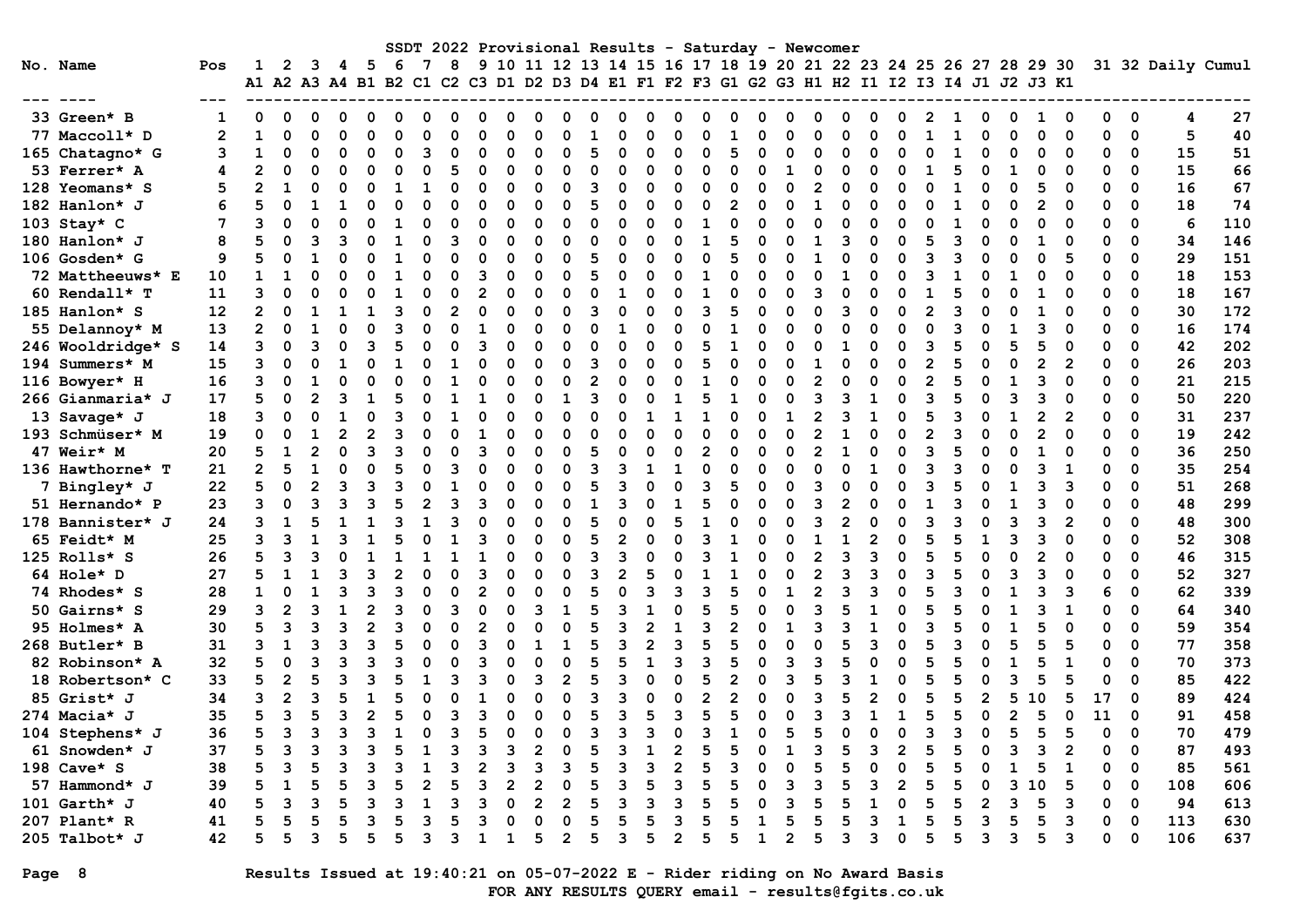|                   |                |                                                                                                |                |                |   |                |              |              |                |          |          |                            |                |              |                |          |                     |                | SSDT 2022 Provisional Results - Saturday - Newcomer |               |                |                |              |              |                |                |    |                |          |                                                                  |                |          |                      |                   |     |
|-------------------|----------------|------------------------------------------------------------------------------------------------|----------------|----------------|---|----------------|--------------|--------------|----------------|----------|----------|----------------------------|----------------|--------------|----------------|----------|---------------------|----------------|-----------------------------------------------------|---------------|----------------|----------------|--------------|--------------|----------------|----------------|----|----------------|----------|------------------------------------------------------------------|----------------|----------|----------------------|-------------------|-----|
| No. Name          | Pos            | 1<br>A1 A2 A3 A4 B1 B2 C1 C2 C3 D1 D2 D3 D4 E1 F1 F2 F3 G1 G2 G3 H1 H2 I1 I2 I3 I4 J1 J2 J3 K1 | 2              | 3              | 4 | - 5            | -6           | 7            | 8              |          |          |                            |                |              |                |          |                     |                |                                                     |               |                |                |              |              |                |                |    |                |          | 9 10 11 12 13 14 15 16 17 18 19 20 21 22 23 24 25 26 27 28 29 30 |                |          |                      | 31 32 Daily Cumul |     |
|                   |                |                                                                                                |                |                |   |                |              |              |                |          |          |                            |                |              |                |          |                     |                |                                                     |               |                |                |              |              |                |                |    |                |          |                                                                  |                |          |                      |                   |     |
| 33 Green* B       | 1              | 0                                                                                              | 0              | 0              | 0 | 0              | $\Omega$     | <sup>0</sup> | 0              | 0        | 0        | 0                          | 0              | O            | O              | O        | 0                   | O              | 0                                                   | 0             | <sup>0</sup>   | $\Omega$       | 0            | <sup>0</sup> | 0              | $\mathbf{2}$   |    | 0              | 0        | 1                                                                | 0              | 0        | $\mathbf 0$          | 4                 | 27  |
| 77 Maccoll* D     | $\overline{2}$ | $\mathbf{1}$                                                                                   | 0              | $\Omega$       | O | $\Omega$       | $\Omega$     | O            | $\Omega$       | O        | O        | $\Omega$                   | O              |              | O              | n        | $\Omega$            | n              |                                                     | $\Omega$      | n              | O              | $\Omega$     | U            | $\Omega$       | 1              |    | $\Omega$       | $\Omega$ | $\Omega$                                                         | $\Omega$       | 0        | $\mathbf 0$          | 5                 | 40  |
| 165 Chatagno* G   | 3              | $\mathbf{1}$                                                                                   | 0              | $\Omega$       |   | 0              | $\Omega$     | 3            | $\mathbf 0$    | 0        | 0        | $\Omega$                   | 0              | 5            | $\Omega$       | $\Omega$ | $\Omega$            | 0              | 5                                                   | 0             | 0              | $\Omega$       | $\Omega$     | O            | 0              | 0              |    | $\Omega$       | 0        | 0                                                                |                | 0        | 0                    | 15                | 51  |
| 53 Ferrer* A      | 4              | $\overline{2}$                                                                                 | $\Omega$       | $\Omega$       | O | $\Omega$       | $\Omega$     | O            | 5              | $\Omega$ | 0        | $\Omega$                   | $\Omega$       | 0            | $\Omega$       | $\Omega$ | 0                   | $\Omega$       | $\Omega$                                            | $\Omega$      | 1              | $\Omega$       | $\Omega$     | O            | $\Omega$       | 1              | 5  | $\Omega$       | 1        | O                                                                | $\Omega$       | $\Omega$ | 0                    | 15                | 66  |
| 128 Yeomans* S    | 5              | $\overline{2}$                                                                                 | $\mathbf{1}$   | $\Omega$       | O | 0              | 1            |              | $\Omega$       | $\Omega$ | O        | $\Omega$                   | $\Omega$       | 3            | $\Omega$       | O        | $\Omega$            | $\Omega$       | $\Omega$                                            | $\Omega$      | $\Omega$       | $\overline{2}$ | $\Omega$     | O            | $\Omega$       | $\Omega$       |    | $\Omega$       | O        | 5                                                                | $\Omega$       | $\Omega$ | $\Omega$             | 16                | 67  |
| 182 Hanlon* J     | 6              | 5                                                                                              | $\Omega$       | 1              |   | $\Omega$       | $\Omega$     | $\Omega$     | $\Omega$       | O        | $\Omega$ | $\Omega$                   | $\Omega$       | 5            | $\Omega$       | $\Omega$ | $\Omega$            | O              | 2                                                   | $\Omega$      | $\Omega$       | $\mathbf{1}$   | $\Omega$     | O            | $\Omega$       | $\Omega$       |    | $\Omega$       | $\Omega$ | $\overline{2}$                                                   | $\Omega$       | $\Omega$ | $\Omega$             | 18                | 74  |
| 103 Stay* $C$     | 7              | 3                                                                                              | $\Omega$       | $\Omega$       | O | 0              | 1            | O            | $\Omega$       | O        | O        | $\Omega$                   | O              | 0            | $\Omega$       | O        | 0                   | $\mathbf{1}$   | $\Omega$                                            | $\Omega$      |                | O              | $\Omega$     | O            | 0              | 0              |    | $\Omega$       | 0        | 0                                                                | $\Omega$       | 0        | 0                    | 6                 | 110 |
| 180 Hanlon* J     | 8              | 5                                                                                              | $\Omega$       | ٦              |   | 0              | 1            | O            | 3              | O        | O        | $\Omega$                   | O              | 0            | $\Omega$       |          | $\Omega$            | $\mathbf{1}$   | 5                                                   | O             | O              | 1              | 3            | O            | 0              | 5              |    | O              | O        | 1                                                                | $\Omega$       | O        | 0                    | 34                | 146 |
| $106$ Gosden* G   | 9              | 5                                                                                              | $\Omega$       |                |   | 0              | 1            | O            | $\Omega$       | O        | ŋ        | $\Omega$                   | $\Omega$       | 5            | 0              |          | $\Omega$            | $\Omega$       | 5                                                   | $\Omega$      | ი              | 1              | 0            |              | $\Omega$       | ٩              |    | $\Omega$       | O        | O                                                                |                | O        | $\Omega$             | 29                | 151 |
| 72 Mattheeuws* E  | 10             | $\mathbf{1}$                                                                                   | 1              | $\Omega$       |   | $\Omega$       |              | 0            | $\mathbf 0$    | 3        | 0        | $\Omega$                   | $\Omega$       | 5            | $\Omega$       | $\Omega$ | 0                   |                | $\Omega$                                            | $\Omega$      | O              | $\Omega$       | $\mathbf{1}$ | O            | $\Omega$       | 3              |    | $\Omega$       |          | O                                                                | $\Omega$       | O        | 0                    | 18                | 153 |
| 60 Rendall* T     | 11             | 3                                                                                              | O              | $\Omega$       |   | $\Omega$       | $\mathbf{1}$ | O            | $\mathbf 0$    | 2        | $\Omega$ | $\Omega$                   | O              | 0            | $\mathbf{1}$   |          | 0                   | $\mathbf{1}$   | O                                                   | $\Omega$      | O              | २              | $\Omega$     | O            | 0              |                |    | $\Omega$       |          | 1                                                                | $\Omega$       | $\Omega$ | 0                    | 18                | 167 |
| 185 Hanlon* S     | 12             | $\overline{2}$                                                                                 | $\Omega$       | $\mathbf{1}$   | 1 | $\mathbf{1}$   | В            | O            | $\overline{2}$ | O        | O        | $\Omega$                   | $\Omega$       | २            | $\Omega$       |          | $\Omega$            | 3              | 5                                                   | $\Omega$      | 0              | $\Omega$       | 3            | O            | $\Omega$       | $\overline{2}$ | ৭  | $\Omega$       | O        | 1                                                                | $\Omega$       | $\Omega$ | $\Omega$             | 30                | 172 |
| 55 Delannoy* M    | 13             | $\mathbf{2}$                                                                                   | $\Omega$       | $\mathbf{1}$   | O | 0              | З            | O            | $\mathbf 0$    |          | $\Omega$ | $\Omega$                   | 0              | 0            | $\mathbf{1}$   |          | $\Omega$            | O              |                                                     | $\Omega$      | U              | O              | $\Omega$     | O            | 0              | $\Omega$       |    | O              | -1       | 3                                                                | $\Omega$       | U        | 0                    | 16                | 174 |
| 246 Wooldridge* S | 14             | 3                                                                                              | $\Omega$       | 3              |   | 3              | 5            |              | $\mathbf 0$    | 3        | O        | $\mathbf 0$                | $\Omega$       | $\Omega$     | $\Omega$       | O        | $\Omega$            | 5              | $\mathbf{1}$                                        | O             | U              | $\Omega$       | 1            | O            | 0              | 3              |    | O              |          | 5                                                                | ∩              | 0        | 0                    | 42                | 202 |
| 194 Summers* M    | 15             | 3                                                                                              | 0              | $\Omega$       |   | 0              |              |              | 1              | 0        | ŋ        | $\Omega$                   | 0              | 3            | 0              | O        | 0                   | 5              | $\Omega$                                            | $\Omega$      | O              | 1              | 0            | U            | 0              | $\overline{2}$ |    | $\Omega$       | O        | $\overline{2}$                                                   | $\overline{2}$ | O        | $\mathbf 0$          | 26                | 203 |
| 116 Bowyer* H     | 16             | 3                                                                                              | $\Omega$       | 1              | O | 0              | O            |              | $\mathbf{1}$   | 0        | ŋ        | $\Omega$                   | 0              | $\mathbf{2}$ | $\Omega$       |          | 0                   | 1              | $\Omega$                                            | $\Omega$      | $\Omega$       | $\overline{2}$ | $\Omega$     | O            | 0              | $\overline{2}$ |    | $\Omega$       | 1        | 3                                                                | $\Omega$       | $\Omega$ | 0                    | 21                | 215 |
| 266 Gianmaria* J  | 17             | 5                                                                                              | $\Omega$       | 2              |   | $\mathbf{1}$   | 5            |              | $\mathbf{1}$   |          | n        | $\Omega$                   | 1              | २            | $\Omega$       |          | 1                   | 5              |                                                     | $\Omega$      | O              | २              | ٩            |              | $\Omega$       | २              |    | $\Omega$       | ٩        | 3                                                                | $\Omega$       | 0        | $\Omega$             | 50                | 220 |
| 13 Savage* J      | 18             | 3                                                                                              | $\Omega$       | $\Omega$       |   | $\Omega$       | З            |              |                |          | ŋ        | $\Omega$                   | $\Omega$       | $\Omega$     | $\Omega$       |          | 1                   |                | $\Omega$                                            | $\Omega$      |                | $\mathfrak{p}$ | २            |              | $\Omega$       | 5              |    | $\Omega$       |          | $\overline{2}$                                                   | $\overline{2}$ | $\Omega$ | 0                    | 31                | 237 |
| 193 Schmüser* M   | 19             | 0                                                                                              | O              |                |   | $\overline{2}$ | 3            |              | $\Omega$       |          | n        | $\Omega$                   | O              | $\Omega$     | O              |          | 0                   | ი              | n                                                   | $\Omega$      | O              | $\mathfrak{p}$ |              | O            | 0              |                | ิว | O              |          | 2                                                                | $\Omega$       | 0        | 0                    | 19                | 242 |
| 47 Weir* M        | 20             | 5                                                                                              | 1              | $\overline{2}$ | O | 3              | ঽ            |              | $\Omega$       | 3        | n        | $\Omega$                   | 0              | 5            | O              |          | $\Omega$            | 2              | O                                                   | O             | O              | $\overline{2}$ | 1            |              | $\Omega$       | 3              |    | O              | ŋ        | 1                                                                | ∩              | $\Omega$ | 0                    | 36                | 250 |
| 136 Hawthorne* T  | 21             | $\overline{2}$                                                                                 | 5              | 1              | O | $\Omega$       | 5            | n            | 3              | C        | ŋ        | $\Omega$                   | 0              | 3            | 3              | 1        | 1                   | O              | O                                                   | $\Omega$      | O              | U              | 0            |              | $\Omega$       | 3              | З  | $\Omega$       | O        | 3                                                                | 1              | O        | 0                    | 35                | 254 |
| 7 Bingley* J      | 22             | 5                                                                                              | $\Omega$       | $\mathfrak{p}$ |   | 3              | ٩            |              | $\mathbf{1}$   |          | O        | $\Omega$                   | $\Omega$       | 5            | 3              |          | $\Omega$            | 3              | 5                                                   | $\Omega$      | $\Omega$       | 3              |              |              | $\Omega$       | Р              |    | $\Omega$       |          | 3                                                                | 3              | 0        | $\Omega$             | 51                | 268 |
| 51 Hernando* P    | 23             | 3                                                                                              | $\Omega$       | З              |   | 3              | 5            |              | 3              | Р        | n        | $\Omega$                   | $\Omega$       | $\mathbf{1}$ | ٩              |          | -1                  | 5              | $\Omega$                                            | $\Omega$      | 0              | 3              | 2            | O            | $\Omega$       | -1             |    | $\Omega$       |          | 3                                                                | $\Omega$       | O        | $\mathbf 0$          | 48                | 299 |
| 178 Bannister* J  | 24             | 3                                                                                              | $\mathbf{1}$   | 5              |   | $\mathbf{1}$   | Р            |              | २              |          | O        | $\Omega$                   | O              | 5            | $\Omega$       |          | 5                   | $\mathbf{1}$   | $\Omega$                                            | $\Omega$      | $\Omega$       | २              | 2            |              | $\Omega$       | В              |    | $\Omega$       | ٦        | 3                                                                | $\overline{2}$ | O        | $\Omega$             | 48                | 300 |
| 65 Feidt* M       | 25             | 3                                                                                              | 3              |                |   |                |              |              | $\mathbf{1}$   | Р        | n        | $\Omega$                   | 0              | 5            |                |          | $\Omega$            | ٩              |                                                     | $\Omega$      | U              | $\mathbf{1}$   |              |              | 0              | 5              |    |                | ٩        | ٩                                                                | $\Omega$       | O        | 0                    | 52                | 308 |
| 125 Rolls* S      | 26             | 5                                                                                              | 3              | 3              |   | $\mathbf{1}$   |              |              | $\mathbf{1}$   |          | n        | $\Omega$                   | 0              | 3            | 3              |          | 0                   | 3              |                                                     | $\Omega$      | O              | $\overline{2}$ | 3            |              | 0              |                |    | $\Omega$       |          |                                                                  | $\Omega$       | 0        | 0                    | 46                | 315 |
| 64 Hole* D        | 27             | 5                                                                                              | 1              | 1              |   | 3              |              | O            | $\mathbf 0$    | З        | ŋ        | $\Omega$                   | O              | 3            | $\overline{2}$ |          | $\Omega$            |                |                                                     | $\Omega$      | $\Omega$       | $\mathbf{2}$   | 3            | 3            | 0              | ٩              |    | $\Omega$       | 3        | 3                                                                | $\Omega$       | 0        | 0                    | 52                | 327 |
| 74 Rhodes* S      | 28             | $\mathbf{1}$                                                                                   | $\Omega$       | $\mathbf{1}$   |   | 3              | З            |              | $\Omega$       | 2        | n        | $\Omega$                   | $\Omega$       | 5            | $\Omega$       | ॎ        | ٩                   | 3              | 5                                                   | $\Omega$      | 1              | $\overline{2}$ | २            |              | $\Omega$       | 5              |    | $\Omega$       |          | 3                                                                | з              | 6        | $\Omega$             | 62                | 339 |
| 50 Gairns* S      | 29             | 3                                                                                              | $\overline{2}$ | 3              |   | $\overline{2}$ | 3            |              | 3              | 0        | 0        | 3                          | 1              | 5            | 3              |          | $\Omega$            | 5              | 5                                                   | $\Omega$      | O              | २              | 5            |              | $\Omega$       | 5              |    | $\Omega$       |          | 3                                                                | 1              | O        | 0                    | 64                | 340 |
| 95 Holmes* A      | 30             | 5                                                                                              | 3              | З              |   | $\mathfrak{p}$ | ٩            |              | $\Omega$       |          | $\Omega$ | $\Omega$                   | $\Omega$       | 5            |                |          |                     | ٩              |                                                     | $\Omega$      |                | २              |              |              | $\Omega$       | ٩              |    | $\Omega$       |          |                                                                  | $\Omega$       | O        | $\Omega$             | 59                | 354 |
| 268 Butler* B     | 31             | ٩                                                                                              | $\mathbf{1}$   | З              |   | 3              | 5            |              | $\mathbf 0$    | Р        | n        | 1                          | -1             | 5            | ٩              |          | 3                   | 5              | 5                                                   | $\Omega$      |                | O              | 5            | ٩            | 0              | 5              |    | $\Omega$       | 5        | 5                                                                | 5              | O        | $\mathbf 0$          | 77                | 358 |
| 82 Robinson* A    | 32             | 5                                                                                              | $\Omega$       | 3              |   | 3              | 3            |              | $\Omega$       | 3        | n        | $\Omega$                   | $\Omega$       | 5            | 5              |          | 3                   | 3              | 5                                                   | $\Omega$      | 3              | 3              | 5            | O            | $\Omega$       | 5              |    | $\Omega$       | 1        | 5                                                                | $\mathbf{1}$   | $\Omega$ | 0                    | 70                | 373 |
| 18 Robertson* C   | 33             | 5                                                                                              | $\overline{2}$ | 5              |   | 3              |              |              | 3              |          | ŋ        | 3                          | $\overline{2}$ | 5            | 3              |          | $\Omega$            | 5              | $\overline{2}$                                      | $\Omega$      | 3              | 5              | 3            |              | $\Omega$       | 5              |    | $\Omega$       | 3        | 5                                                                | 5              | 0        | $\Omega$             | 85                | 422 |
| 85 Grist* J       | 34             | 3                                                                                              | $\overline{2}$ | 3              |   | $\mathbf{1}$   |              |              | $\Omega$       |          |          | $\Omega$                   | $\Omega$       | 3            | 3              |          | 0                   | $\overline{2}$ | $\overline{2}$                                      | $\Omega$      | O              | 3              |              |              | $\Omega$       |                |    | $\overline{2}$ | 5        | 10                                                               | 5              | 17       | 0                    | 89                | 424 |
| 274 Macia* J      | 35             | 5                                                                                              | 3              | 5              |   | $\overline{2}$ | 5            |              | 3              |          | n        | $\Omega$                   | O              | 5            | ٩              |          | 3                   | 5              | 5                                                   | $\Omega$      | U              | ٩              | ٦            |              | 1              | 5              |    | $\Omega$       |          | 5                                                                | $\Omega$       | 11       | 0                    | 91                | 458 |
| 104 Stephens* J   | 36             | 5                                                                                              | 3              | ิว             |   | 3              |              |              | २              | 5        | n        | $\Omega$                   | O              | २            | ॎ              | ิจ       | $\Omega$            | Р              |                                                     | O             | 5<br>1         | 5              | $\Omega$     |              | $\Omega$       | ্ব             |    | $\Omega$       | 5        | 5                                                                | 5              | $\Omega$ | $\Omega$             | 70                | 479 |
| 61 Snowden* J     | 37             | 5                                                                                              | 3              | В              |   | 3              |              |              | २              |          | ٩        | 2                          | O              | 5            | २              |          | $\overline{2}$      | 5              | 5                                                   | $\Omega$      |                | २              | 5            | २            | $\mathfrak{p}$ | 5              |    | O              | ٩        | ٩                                                                | $\overline{2}$ | 0        | 0                    | 87                | 493 |
| 198 Cave* S       | 38             | 5                                                                                              | 3              | 5              |   | 3              |              |              | 3              |          | 3        | 3<br>2                     | 3              | 5            | 3<br>٩         | २        | $\overline{2}$<br>٩ | 5<br>5         | 3                                                   | $\Omega$<br>∩ | O              | 5              | 5            |              | $\Omega$       | 5              |    | O              |          | 5                                                                | 1              | 0        | $\mathbf 0$          | 85                | 561 |
| 57 Hammond* J     | 39             | 5                                                                                              | $\mathbf{1}$   | 5              |   | 3              | 5            |              | 5<br>२         | Р        | 2        |                            | O              | 5            | ิจ             |          |                     | 5              | 5                                                   |               | ٦              | 3<br>5         | 5<br>5       |              | $\mathbf{2}$   | 5              |    | O              | ٦        | . 0                                                              | 5              | 0        | $\mathbf 0$          | 108               | 606 |
| 101 Garth* J      | 40             | 5                                                                                              | 3<br>5         | В<br>5         | 5 | 3<br>٩         | Р            | २            | 5              | 3        | O<br>n   | $\overline{2}$<br>$\Omega$ | 2<br>O         | 5<br>5       |                |          | 3<br>3              | 5              | 5                                                   | O<br>1        | 3<br>5         | 5              |              |              | 0              | 5<br>5         |    | 2<br>٦         | ٦        | 5<br>5                                                           | з              | $\Omega$ | $\Omega$<br>$\Omega$ | 94                | 613 |
| 207 Plant* R      | 41             | 5                                                                                              |                |                |   |                |              |              |                |          |          |                            |                |              |                |          |                     |                |                                                     |               |                |                |              |              | $\mathbf{1}$   |                |    |                |          |                                                                  | 3              | $\Omega$ |                      | 113               | 630 |
| 205 Talbot* J     | 42             | 5                                                                                              | 5              | 3              |   | 5              | 5            | २            | 3              | 1        | 1        | 5                          | $\mathfrak{p}$ | 5.           | 3              | 5        | $\overline{2}$      | 5              | 5                                                   | $\mathbf{1}$  | $\overline{2}$ | 5              | 3            | 3            | $\Omega$       | 5              |    | 3              | 3        | 5                                                                | 3              | O        | $\Omega$             | 106               | 637 |

# Page 8 Results Issued at 19:40:21 on 05-07-2022 E - Rider riding on No Award Basis FOR ANY RESULTS QUERY email - results@fgits.co.uk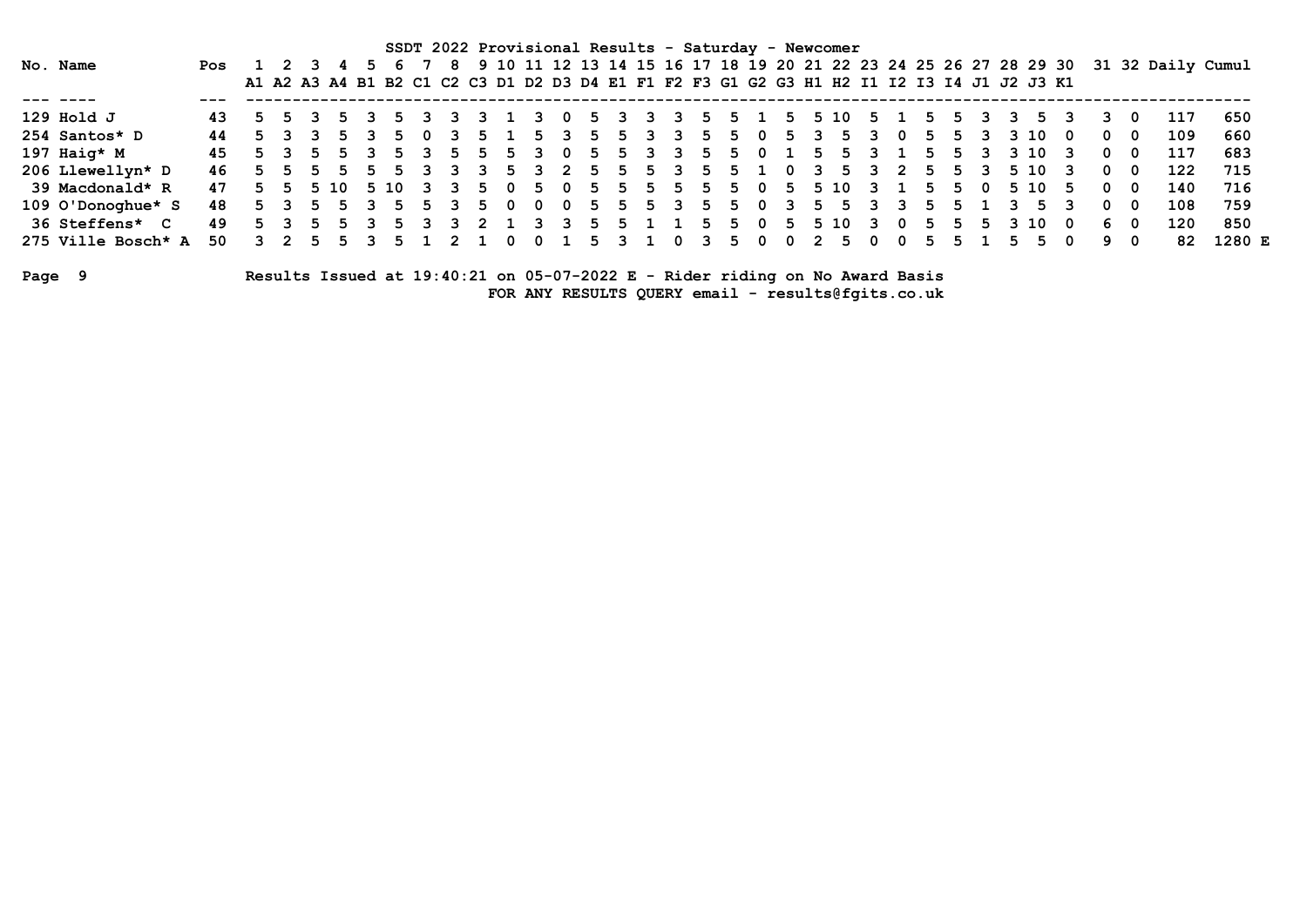|        |                       |     |                |       |               |              |    |         |                         |         |              | SSDT 2022 Provisional Results - Saturday - Newcomer                                       |     |              |    |           |                         |     |     |          |          |              |        |              |                |     |    |    |    |      |     |    |     |                                                                                      |        |
|--------|-----------------------|-----|----------------|-------|---------------|--------------|----|---------|-------------------------|---------|--------------|-------------------------------------------------------------------------------------------|-----|--------------|----|-----------|-------------------------|-----|-----|----------|----------|--------------|--------|--------------|----------------|-----|----|----|----|------|-----|----|-----|--------------------------------------------------------------------------------------|--------|
|        | No. Name              | Pos | 1 2 3 4        |       |               |              |    |         |                         |         |              |                                                                                           |     |              |    |           |                         |     |     |          |          |              |        |              |                |     |    |    |    |      |     |    |     | 8 9 10 11 12 13 14 15 16 17 18 19 20 21 22 23 24 25 26 27 28 29 30 31 32 Daily Cumul |        |
|        |                       |     |                |       |               |              |    |         |                         |         |              | A1 A2 A3 A4 B1 B2 C1 C2 C3 D1 D2 D3 D4 E1 F1 F2 F3 G1 G2 G3 H1 H2 I1 I2 I3 I4 J1 J2 J3 K1 |     |              |    |           |                         |     |     |          |          |              |        |              |                |     |    |    |    |      |     |    |     |                                                                                      |        |
|        |                       |     |                |       |               |              |    |         |                         |         |              |                                                                                           |     |              |    |           |                         |     |     |          |          |              |        |              |                |     |    |    |    |      |     |    |     |                                                                                      |        |
|        | 129 Hold J            | 43. |                | 5 5 3 |               | 53           | 5. | - 3     |                         | ્વ      |              | $\mathbf{3}$                                                                              |     | $\mathbf{p}$ | 3  | -31       | $\mathbf{3}$            | -5  |     | 5 1      |          |              | 5 5 10 |              | 5 <sub>1</sub> | 5.  | 5. | -3 | 3  | 5.   |     | 3  | - 0 | 117                                                                                  | 650    |
|        | 254 Santos* D         | 44  |                |       | 5 3 3 5 3     |              | 5. | - 0     | $\mathbf{3}$            | .5.     |              | -5.                                                                                       | - २ | 5.           | 5. | 3         | $\overline{\mathbf{3}}$ | 5.  |     | 50       | -5-      | 3            | -5.    | 3            | 0              | 5.  | 5. | 3  |    | 3 10 | റ   | 0  | - 0 | 109                                                                                  | 660    |
|        | 197 Haig* $M$         | 45. |                |       | 5 3 5 5 3     |              | 5. | 3       | 5.                      | -5.     | 5.           | 3                                                                                         | - 0 | 5.           |    | 5 3 3     |                         | - 5 |     | 50       |          | -5.          | .5.    | 3            |                | 5.  | 5. | 3  |    | 3 10 |     | 0  | - 0 | 117                                                                                  | 683    |
|        | 206 Llewellyn* D      | 46  |                |       | 55555         |              | 5. | २       |                         |         | 5.           | -3                                                                                        | - 2 |              | 55 |           | 53                      | -5. | 5 1 |          | . റ      | $\mathbf{3}$ | -5.    | 3            | - 2            | 5.  | 5. | 3  |    | 5 10 |     | 0  | 0   | 122                                                                                  | 715    |
|        | 39 Macdonald* R       | 47  |                |       | 5 5 5 10 5 10 |              |    |         |                         | 3 3 5 0 |              | 5                                                                                         | . O | 5            | 5  |           | 5 5                     | 5.  |     | 50       |          |              | 5 5 10 | $\mathbf{3}$ |                | 5.  |    | 50 |    | 5 10 | -5. | 0  | - 0 | 140                                                                                  | 716    |
|        | 109 O'Donoghue* S     | 48  |                |       | 5 3 5 5       | $\mathbf{3}$ | -5 | - 5     | $\overline{\mathbf{3}}$ | - 5     | - 0          | - 0                                                                                       | - 0 | 5.           | 5  | 5 3       |                         | -5. | 5.  | $\Omega$ | 3        | 5.           | - 5    | 3            |                | .5. |    |    |    |      |     | 0  | - 0 | 108                                                                                  | 759    |
|        | <b>36 Steffens* C</b> | 49  | 5 <sup>3</sup> |       | 5 5 3         |              | 5. | ર       |                         |         |              | ़ २                                                                                       |     | 5.           |    | 5 1 1 5   |                         |     | 5.  | 0        | - 5      |              | 5 10   | ર            | . റ            | 5.  | 5. | 5. |    | 3 10 | - റ | 6  | - 0 | 120                                                                                  | 850    |
|        | 275 Ville Bosch* A    | 50  |                |       | 3 2 5 5 3     |              |    | 5 1 2 1 |                         |         | $\mathbf{0}$ | - 0                                                                                       |     |              |    | 5 3 1 0 3 |                         |     |     | 50       | <b>O</b> |              | 2 5 0  |              | 0              | 5.  |    |    | 5. |      | 0   | 9. | 0   | 82                                                                                   | 1280 E |
| Page 9 |                       |     |                |       |               |              |    |         |                         |         |              | Results Issued at 19:40:21 on 05-07-2022 E - Rider riding on No Award Basis               |     |              |    |           |                         |     |     |          |          |              |        |              |                |     |    |    |    |      |     |    |     |                                                                                      |        |

FOR ANY RESULTS QUERY email - results@fgits.co.uk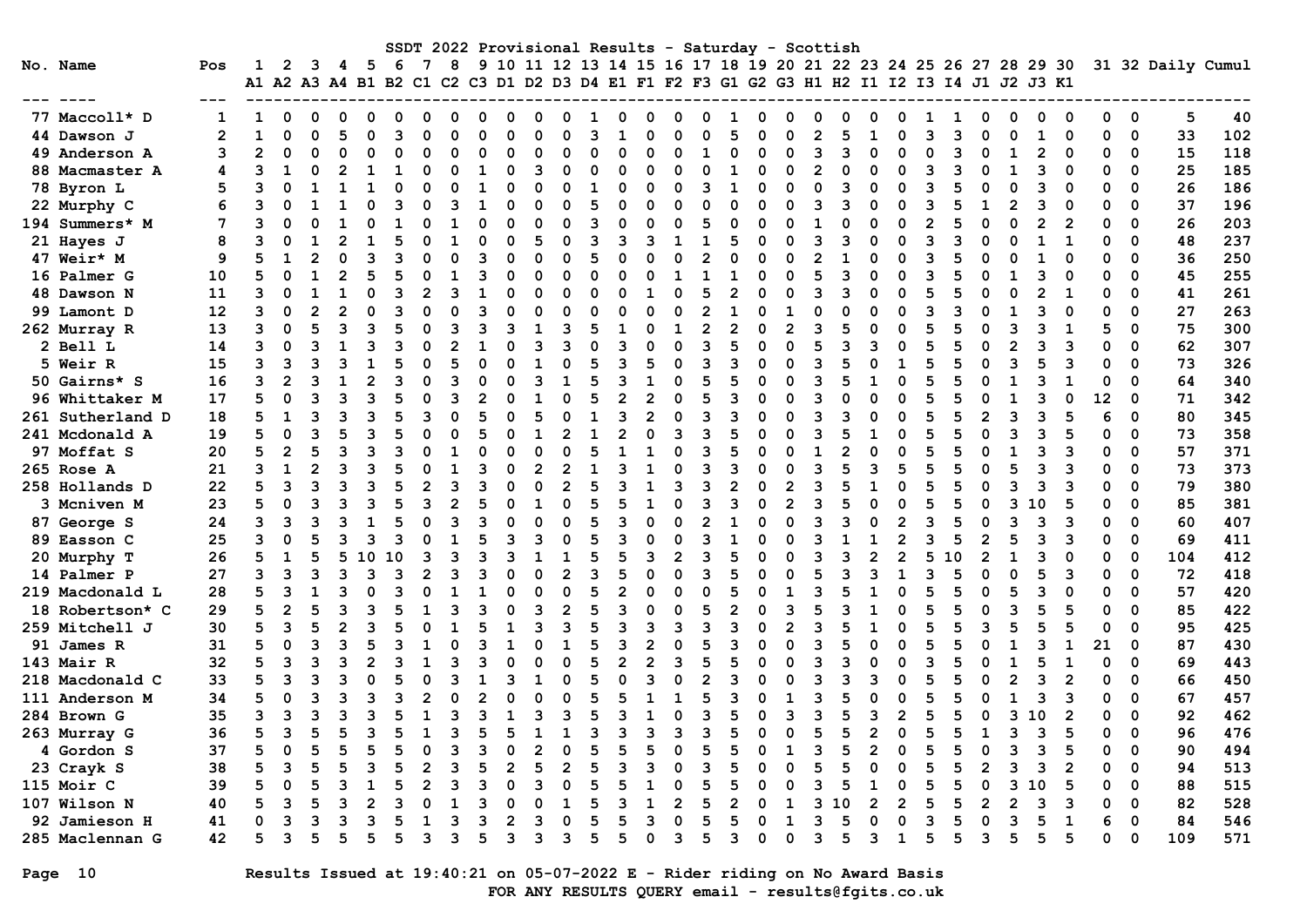|                  |                |                |                |                |   |                |          |   |                |   |   |                |          |   |                |          |                |              | SSDT 2022 Provisional Results - Saturday - Scottish                                                                                                           |          |                |                |               |   |                |          |    |                |    |                |                |          |             |                   |     |
|------------------|----------------|----------------|----------------|----------------|---|----------------|----------|---|----------------|---|---|----------------|----------|---|----------------|----------|----------------|--------------|---------------------------------------------------------------------------------------------------------------------------------------------------------------|----------|----------------|----------------|---------------|---|----------------|----------|----|----------------|----|----------------|----------------|----------|-------------|-------------------|-----|
| No. Name         | Pos            | 1              | 2              | 3              | 4 | -5             | 6        | 7 | 8              |   |   |                |          |   |                |          |                |              | 9 10 11 12 13 14 15 16 17 18 19 20 21 22 23 24 25 26 27 28 29 30<br>A1 A2 A3 A4 B1 B2 C1 C2 C3 D1 D2 D3 D4 E1 F1 F2 F3 G1 G2 G3 H1 H2 I1 I2 I3 I4 J1 J2 J3 K1 |          |                |                |               |   |                |          |    |                |    |                |                |          |             | 31 32 Daily Cumul |     |
|                  |                |                |                |                |   |                |          |   |                |   |   |                |          |   |                |          |                |              |                                                                                                                                                               |          |                |                |               |   |                |          |    |                |    |                |                |          |             |                   |     |
| 77 Maccoll* D    | 1              | 1              | $\Omega$       | $\Omega$       | 0 | 0              | O        |   | $\Omega$       | ი | O | 0              | $\Omega$ | 1 | 0              | O        | $\Omega$       | O            | 1                                                                                                                                                             | $\Omega$ | O              | $\Omega$       | 0             | O | 0              | ٦        |    | $\Omega$       | 0  | $\Omega$       | $\Omega$       | $\Omega$ | $\mathbf 0$ | 5                 | 40  |
| 44 Dawson J      | $\overline{2}$ | $\mathbf{1}$   | $\Omega$       | $\Omega$       |   | $\Omega$       | 3        |   | $\Omega$       | O | O | $\Omega$       | O        | ٩ |                |          | O              | C            | 5                                                                                                                                                             | $\Omega$ |                | $\mathfrak{p}$ | 5             |   | 0              | Р        |    | $\Omega$       | O  | 1              | 0              | 0        | $\mathbf 0$ | 33                | 102 |
| 49 Anderson A    | 3              | $\overline{2}$ | $\Omega$       |                |   | $\Omega$       | $\Omega$ |   | 0              | n | ი | $\mathbf 0$    | ი        | 0 | $\Omega$       |          | 0              | 1            |                                                                                                                                                               | $\Omega$ |                | 3              | 3             |   | 0              | $\Omega$ | ิว | $\Omega$       |    | $\overline{2}$ | $\Omega$       | 0        | 0           | 15                | 118 |
| 88 Macmaster A   | 4              | ٩              | 1              | O              |   | 1              | 1        |   | $\Omega$       | 1 | O | 3              | 0        | O | $\Omega$       | O        | $\Omega$       | 0            | 1                                                                                                                                                             | $\Omega$ | O              | $\overline{2}$ | $\Omega$      | O | 0              | 3        |    | O              | -1 | 3              | $\Omega$       | $\Omega$ | $\mathbf 0$ | 25                | 185 |
| 78 Byron L       | 5              | ٩              | $\Omega$       | 1              |   | 1              | $\Omega$ |   | $\Omega$       |   | O | $\Omega$       | $\Omega$ | 1 | $\Omega$       | O        | $\Omega$       | ٩            |                                                                                                                                                               | $\Omega$ | O              | $\Omega$       | 3             | O | 0              | 3        |    | $\Omega$       | O  | 3              | $\Omega$       | $\Omega$ | $\Omega$    | 26                | 186 |
| 22 Murphy C      | 6              | 3              | O              |                |   | $\Omega$       | ٩        |   | 3              |   | O | $\Omega$       | O        | 5 | $\Omega$       |          | $\Omega$       | O            | $\Omega$                                                                                                                                                      | $\Omega$ | $\Omega$       | ٩              | Р             |   | 0              | ٩        |    |                |    | 3              | $\Omega$       | $\Omega$ | $\Omega$    | 37                | 196 |
| 194 Summers* M   | 7              | २              | $\Omega$       | $\Omega$       |   | O              |          |   | 1              |   | O | $\Omega$       | O        | 3 | $\Omega$       | O        | $\Omega$       | 5            | O                                                                                                                                                             | $\Omega$ |                |                | O             |   | $\Omega$       | 2        |    | $\Omega$       |    | $\overline{2}$ | $\overline{2}$ | $\Omega$ | $\Omega$    | 26                | 203 |
| 21 Hayes J       | 8              | 3              | O              |                |   |                |          |   | 1              |   | O | 5              | O        | ٩ | ॎ              |          | $\mathbf{1}$   | $\mathbf{1}$ |                                                                                                                                                               | O        | O              | २              | Р             | O | 0              | В        |    | $\Omega$       |    | $\mathbf{1}$   | $\mathbf{1}$   | O        | $\Omega$    | 48                | 237 |
| 47 Weir* M       | 9              | 5              |                |                |   | 3              | ว        |   | O              | ٩ |   | $\Omega$       | $\Omega$ | 5 | $\Omega$       |          | $\Omega$       | 2            |                                                                                                                                                               | O        | $\Omega$       | 2              |               |   | $\Omega$       | 3        |    | O              |    |                |                | 0        | $\Omega$    | 36                | 250 |
| 16 Palmer G      | 10             | 5              | $\Omega$       |                |   | 5              | 5        |   | $\mathbf{1}$   | З | O | $\Omega$       | O        | O | $\Omega$       | $\Omega$ | $\mathbf{1}$   |              |                                                                                                                                                               | O        | $\Omega$       | 5              | 3             |   | 0              | 3        |    | $\Omega$       |    | 3              | $\Omega$       | $\Omega$ | $\Omega$    | 45                | 255 |
| 48 Dawson N      | 11             | 3              | ŋ              |                |   | O              | ٩        |   | 3              |   | O | $\Omega$       | ი        | O | $\Omega$       |          | O              | 5            |                                                                                                                                                               | $\Omega$ | O              | ٩              | Р             |   | 0              | 5        |    | $\Omega$       |    | 2              | 1              | 0        | $\mathbf 0$ | 41                | 261 |
| 99 Lamont D      | 12             | 3              | $\Omega$       | $\mathcal{P}$  |   | $\Omega$       | ্ব       |   | $\Omega$       | ٩ | n | $\Omega$       | O        | O | $\Omega$       | O        | $\Omega$       | 2            |                                                                                                                                                               | $\Omega$ | -1             | O              | $\Omega$      |   | 0              | В        |    | $\Omega$       |    | ٩              | $\Omega$       | $\Omega$ | $\Omega$    | 27                | 263 |
| 262 Murray R     | 13             | 3              | $\Omega$       | 5              |   | 3              | 5        |   | 3              | ٩ | ٩ | 1              | ٩        | 5 |                |          | 1              | 2            |                                                                                                                                                               | $\Omega$ | 2              | ٩              | 5             |   | 0              | 5        |    | O              | З  | 3              | 1              | 5        | $\mathbf 0$ | 75                | 300 |
| 2 Bell L         | 14             | 3              | $\Omega$       | В              |   | २              |          |   | 2              |   |   | 3              | ٩        | O | 3              |          | $\Omega$       | ٩            |                                                                                                                                                               | $\Omega$ | O              | 5              | Р             |   | $\Omega$       |          |    | O              |    | ٩              | з              | $\Omega$ | $\Omega$    | 62                | 307 |
| 5 Weir R         | 15             | 3              | २              | В              |   | 1              |          |   | 5              |   |   | $\mathbf{1}$   | O        | 5 | ٩              |          | 0              | ٩            | ٩                                                                                                                                                             | $\Omega$ | $\Omega$       | ٩              | 5             |   | $\mathbf{1}$   | 5        |    | $\Omega$       |    | 5              | з              | $\Omega$ | $\Omega$    | 73                | 326 |
| 50 Gairns* S     | 16             | 3              | $\overline{2}$ | 3              | 1 | $\overline{2}$ | 3        |   | २              |   | ი | 3              | 1        | 5 | 3              |          | $\Omega$       | 5            |                                                                                                                                                               | $\Omega$ | $\Omega$       | 3              | 5             | 1 | 0              | 5        |    | $\Omega$       |    | 3              | $\mathbf{1}$   | 0        | $\Omega$    | 64                | 340 |
| 96 Whittaker M   | 17             | 5              | $\Omega$       |                |   | २              |          |   | २              |   |   |                | ∩        |   | 2              |          | $\Omega$       | 5            | ٩                                                                                                                                                             | O        | U              | ٩              |               |   | $\Omega$       | 5        |    | O              |    | ٩              | $\Omega$       | 12       | $\mathbf 0$ | 71                | 342 |
| 261 Sutherland D | 18             | 5              | $\mathbf{1}$   | В              |   | 3              |          |   | O              |   |   | 5              |          |   | 3              |          | $\Omega$       | ٩            | २                                                                                                                                                             | $\Omega$ |                | ٩              | Р             |   | $\Omega$       |          |    | 2              |    | 3              |                | 6        | $\mathbf 0$ | 80                | 345 |
| 241 Mcdonald A   | 19             | 5              | $\Omega$       | В              |   | 3              |          |   | O              |   |   | 1              |          |   |                |          | 3              | З            | 5                                                                                                                                                             | $\Omega$ | n              | ٩              | 5             |   | $\Omega$       |          |    | $\Omega$       |    | 3              | 5              | O        | $\Omega$    | 73                | 358 |
| 97 Moffat S      | 20             | 5              | $\overline{2}$ | 5              |   | २              |          |   | 1              |   |   | $\Omega$       | O        | 5 |                |          | $\Omega$       | Р            |                                                                                                                                                               | O        | O              | 1              |               |   | 0              |          |    | $\Omega$       |    | ٩              | з              | O        | $\Omega$    | 57                | 371 |
| 265 Rose A       | 21             | 3              | $\mathbf{1}$   | $\overline{2}$ |   | २              |          |   | 1              | ٩ | O | $\mathfrak{p}$ | 2        |   | ٩              |          | O              | २            | ٩                                                                                                                                                             | $\Omega$ | $\Omega$       | ٩              | 5             | २ | 5              | 5        |    | O              |    | 3              | з              | O        | $\Omega$    | 73                | 373 |
| 258 Hollands D   | 22             | 5              | 3              | २              |   | 3              |          |   | 3              |   |   | $\Omega$       |          | 5 | 3              |          | 3              | 3            |                                                                                                                                                               | $\Omega$ | $\overline{2}$ | 3              |               |   | $\Omega$       |          |    | O              |    | 3              | 3              | 0        | $\Omega$    | 79                | 380 |
| 3 Mcniven M      | 23             | 5              | $\Omega$       | 3              |   | 3              | 5        |   | $\overline{2}$ |   |   | 1              | ∩        | 5 | 5              |          | $\Omega$       | ٩            | ર                                                                                                                                                             | $\Omega$ | $\overline{2}$ | 3              |               |   | O              | 5        |    | O              | 3  | 10             | 5              | 0        | $\mathbf 0$ | 85                | 381 |
| 87 George S      | 24             | 3              | 3              | В              |   | 1              | 5        |   | 3              | ٩ |   | O              | O        | 5 | ॎ              |          | $\Omega$       |              |                                                                                                                                                               | O        | O              | २              | В             |   | $\overline{2}$ | Р        |    | $\Omega$       | ٦  | 3              | 3              | O        | $\Omega$    | 60                | 407 |
| 89 Easson C      | 25             | 3              | $\Omega$       |                |   | २              | ٩        |   | 1              |   |   | २              |          | 5 | ٩              |          | O              | ٩            |                                                                                                                                                               |          | n              | ٩              |               |   | $\mathfrak{p}$ | ٩        |    | $\mathfrak{p}$ |    | 3              | 3              | 0        | $\mathbf 0$ | 69                | 411 |
| 20 Murphy T      | 26             | 5              | 1              |                |   |                | 0        |   | 3              |   |   |                |          | 5 |                |          | $\overline{2}$ |              |                                                                                                                                                               | O        |                | ٩              |               |   | $\overline{2}$ | 5        |    | $\overline{2}$ |    | 3              | $\Omega$       | $\Omega$ | $\Omega$    | 104               | 412 |
| 14 Palmer P      | 27             | 3              | 3              | З              |   | २              | ٩        |   | २              |   |   | $\Omega$       | 2        | ٩ | 5              |          | $\Omega$       | ٩            |                                                                                                                                                               | $\Omega$ | n              | 5              | Р             |   | $\mathbf{1}$   | Р        |    | $\Omega$       |    | 5              | з              | $\Omega$ | $\Omega$    | 72                | 418 |
| 219 Macdonald L  | 28             | 5              | 3              | $\mathbf{I}$   |   | $\Omega$       | ্ব       |   | 1              |   |   | $\Omega$       | $\Omega$ | 5 | 2              |          | $\Omega$       | $\Omega$     |                                                                                                                                                               | $\Omega$ | 1              | २              |               |   | $\Omega$       | 5        |    | O              | 5  | ว              | $\Omega$       | O        | $\Omega$    | 57                | 420 |
| 18 Robertson* C  | 29             | 5              | $\overline{2}$ | 5              |   | २              | 5        |   | २              |   | ი | 3              | 2        | 5 | 3              |          | 0              | 5            |                                                                                                                                                               | $\Omega$ | २              | 5              | Р             |   | $\Omega$       | 5        |    | O              |    |                | 5              | $\Omega$ | $\Omega$    | 85                | 422 |
| 259 Mitchell J   | 30             | 5              | 3              |                |   | 3              |          |   |                |   |   | २              |          | 5 | ্ব             |          | २              | 3            | २                                                                                                                                                             | O        |                | २              |               |   | n              |          |    | 3              |    |                | 5              | 0        | $\Omega$    | 95                | 425 |
| 91 James R       | 31             | 5              | 0              | 3              |   | 5              | ٩        |   | 0              | ۹ |   | O              | 1        | 5 | 3              |          | 0              | 5            | ٩                                                                                                                                                             | O        | U              | 3              | 5             |   | 0              | 5        |    | O              |    | ٩              | 1              | 21       | $\mathbf 0$ | 87                | 430 |
| 143 Mair R       | 32             | 5              | 3              | В              |   | $\mathfrak{p}$ | ٩        |   | २              | ٩ |   | $\Omega$       | $\Omega$ | 5 | $\overline{2}$ | 2        | 3              | 5            |                                                                                                                                                               | $\Omega$ | O              | ٩              | В             | O | 0              | В        |    | $\Omega$       |    | 5              | $\mathbf{1}$   | $\Omega$ | $\Omega$    | 69                | 443 |
| 218 Macdonald C  | 33             | 5              | २              |                |   | $\Omega$       |          |   | २              |   |   |                | O        | 5 | $\Omega$       |          | $\Omega$       | 2            | ٩                                                                                                                                                             | $\Omega$ | O              |                |               |   | 0              |          |    | $\Omega$       |    | ٩              | 2              | $\Omega$ | $\Omega$    | 66                | 450 |
| 111 Anderson M   | 34             | 5              | $\Omega$       | 3              |   | २              | ٩        |   | $\Omega$       |   |   | $\Omega$       | O        | 5 |                |          | 1              | 5            | २                                                                                                                                                             | $\Omega$ |                | ٩              |               |   | $\Omega$       | 5        |    | $\Omega$       |    | 3              | 3              | O        | $\Omega$    | 67                | 457 |
| 284 Brown G      | 35             | 3              | २              | В              |   | ٩              |          |   | ٩              |   |   | २              |          | 5 | Р              |          | $\Omega$       | ٩            |                                                                                                                                                               | O        | 3              | ٩              | 5             | ٩ | $\overline{2}$ | 5        |    | $\Omega$       | ٦  | 10             | 2              | O        | $\Omega$    | 92                | 462 |
| 263 Murray G     | 36             | 5              | ঽ              |                |   | ว              |          |   | २              |   |   |                |          | ว |                |          | ิว             | ٩            |                                                                                                                                                               | U        | O              | 5              | 5             |   | $\Omega$       | 5        |    |                |    | 3              | 5              | O        | $\Omega$    | 96                | 476 |
| 4 Gordon S       | 37             | 5              | $\Omega$       |                |   | 5              |          |   | 3              |   |   | $\overline{2}$ |          |   |                |          | O              |              |                                                                                                                                                               | $\Omega$ |                | 3              | 5             |   | 0              | 5        |    | $\Omega$       |    | 3              | 5              | $\Omega$ | $\mathbf 0$ | 90                | 494 |
| 23 Crayk S       | 38             | 5              | २              |                |   | 3              |          |   | 3              | 5 | 2 | 5              |          | 5 | ॎ              |          | $\Omega$       | 3            | 5                                                                                                                                                             | $\Omega$ | O              | 5              | 5             |   | 0              | 5        |    | $\overline{2}$ |    | 3              | $\overline{2}$ | 0        | $\mathbf 0$ | 94                | 513 |
| 115 Moir C       | 39             | 5              | O              |                |   | 1              |          |   | ٩              |   |   | ॎ              | O        | 5 |                |          | $\Omega$       | 5            |                                                                                                                                                               | O        | ი              | ٩              | 5             |   | 0              | 5        |    | $\Omega$       | ٦  | 10             | 5              | $\Omega$ | $\Omega$    | 88                | 515 |
| 107 Wilson N     | 40             | 5              | 3              | 5              |   | $\mathfrak{p}$ | ٩        |   |                |   |   |                |          | 5 |                |          | 2              | 5            |                                                                                                                                                               | O        |                | ٩              | $\Omega$<br>ា |   | $\mathfrak{p}$ | 5        |    | $\mathfrak{p}$ |    | 3              | з              | O        | $\Omega$    | 82                | 528 |
| 92 Jamieson H    | 41             | O              | ٩              | ิว             |   | 3              |          |   | ٩              |   |   | ึ่ง            |          | 5 |                |          | $\Omega$       | 5            | 5                                                                                                                                                             | $\Omega$ | 1              | 3              | 5             |   | 0              | ٩        |    | $\Omega$       |    | 5              | 1              | 6        | $\Omega$    | 84                | 546 |
| 285 Maclennan G  | 42             | 5              | २              | 5              |   | 5              | 5        | 3 | 3              | 5 | ٩ | 3              | ٩        | 5 | 5              | O        | 3              | 5            | 3                                                                                                                                                             | $\Omega$ | 0              | 3              | 5             | વ | $\mathbf{1}$   | 5        | 5  | 3              | 5  | 5              | 5              | ŋ        | $\Omega$    | 109               | 571 |

Page 10 Results Issued at 19:40:21 on 05-07-2022 E - Rider riding on No Award Basis FOR ANY RESULTS QUERY email - results@fgits.co.uk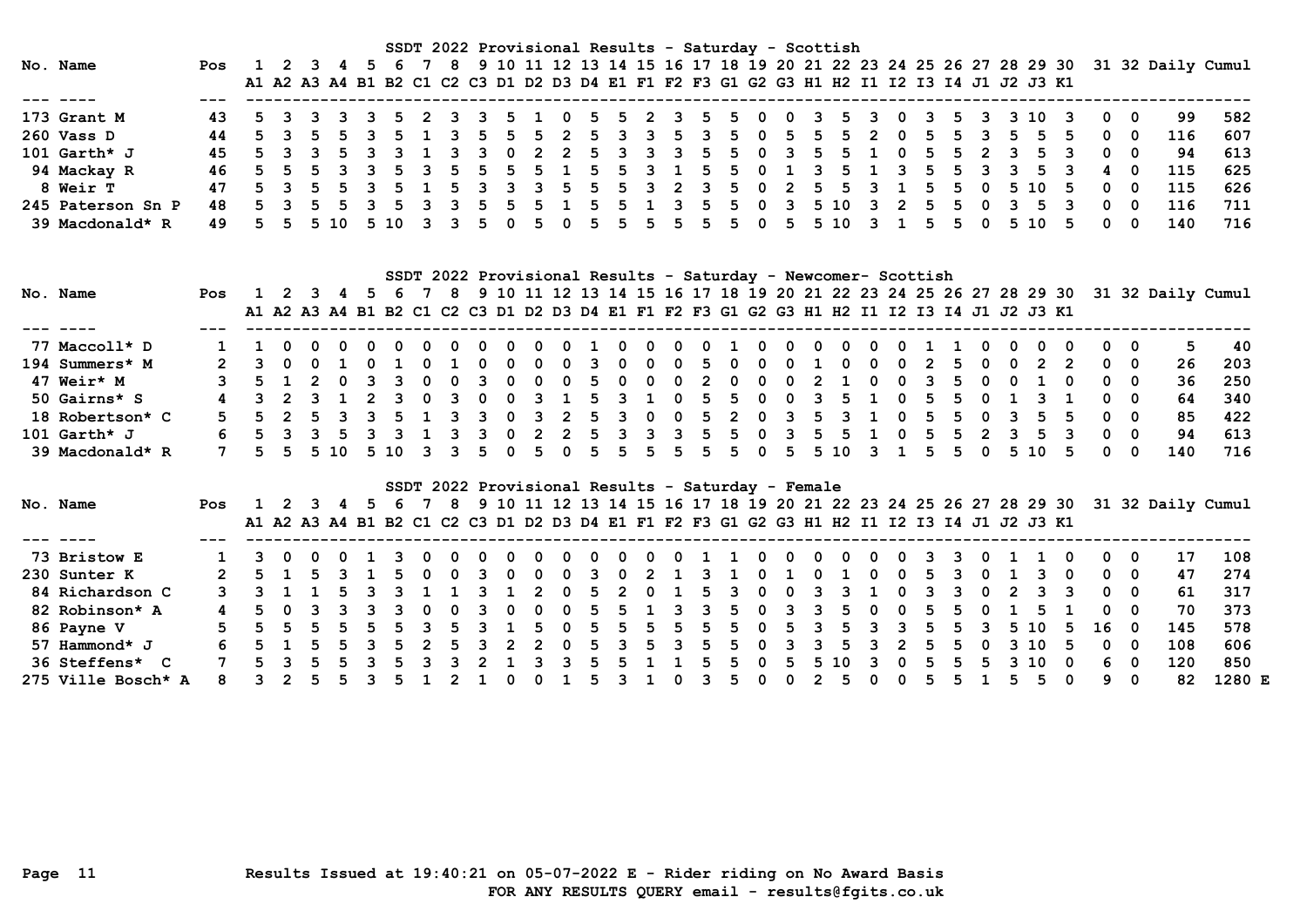|                   |     |                   |         |      |               |    |   |     |      | SSDT 2022 Provisional Results - Saturday - Scottish                                       |       |     |             |   |     |                        |        |     |          |     |     |   |              |    |    |     |                                                                                      |     |
|-------------------|-----|-------------------|---------|------|---------------|----|---|-----|------|-------------------------------------------------------------------------------------------|-------|-----|-------------|---|-----|------------------------|--------|-----|----------|-----|-----|---|--------------|----|----|-----|--------------------------------------------------------------------------------------|-----|
| No. Name          | Pos |                   | 1 2 3 4 |      |               | 6. |   |     |      |                                                                                           |       |     |             |   |     |                        |        |     |          |     |     |   |              |    |    |     | 8 9 10 11 12 13 14 15 16 17 18 19 20 21 22 23 24 25 26 27 28 29 30 31 32 Daily Cumul |     |
|                   |     |                   |         |      |               |    |   |     |      | A1 A2 A3 A4 B1 B2 C1 C2 C3 D1 D2 D3 D4 E1 F1 F2 F3 G1 G2 G3 H1 H2 I1 I2 I3 I4 J1 J2 J3 K1 |       |     |             |   |     |                        |        |     |          |     |     |   |              |    |    |     |                                                                                      |     |
|                   |     |                   |         |      |               |    |   |     |      |                                                                                           |       |     |             |   |     |                        |        |     |          |     |     |   |              |    |    |     |                                                                                      |     |
| 173 Grant M       |     | 5 3 3 3 3 5 2 3 3 |         |      |               |    |   |     |      | 5 1 0 5 5 2 3 5 5 0 0 3 5 3 0                                                             |       |     |             |   |     |                        |        |     |          |     |     |   | 3 5 3 3 10 3 |    | 00 |     | 99                                                                                   | 582 |
| 260 Vass D        |     |                   |         |      | 5 3 5 5 3     | 51 |   | 5.  |      | 5 5 2 5 3 3                                                                               |       |     | $5 \quad 3$ |   | 5 0 | 5                      | 55     | - 2 | $\Omega$ | -5. | 5.  |   |              |    |    | - 0 | 116                                                                                  | 607 |
| 101 $Garth*$ J    |     |                   |         |      | 5 3 3 5 3     |    |   |     |      | 3 3 0 2 2 5 3 3 3 5 5 0 3 5 5 1 0 5 5 2 3                                                 |       |     |             |   |     |                        |        |     |          |     |     |   | 5            |    |    |     | 94                                                                                   | 613 |
| 94 Mackay R       |     |                   |         |      | 5 5 5 3 3 5 3 |    |   |     |      | 5 5 5 5 1 5 5 3 1 5 5 0 1 3 5 1 3 5                                                       |       |     |             |   |     |                        |        |     |          |     | .5. |   |              |    |    |     | 115                                                                                  | 625 |
| <b>8 Weir T</b>   |     |                   |         |      | 5 3 5 5 3 5 1 |    |   |     |      | 5 3 3 3 5 5                                                                               |       |     |             |   |     | 5 3 2 3 5 0 2 5 5 3 1  |        |     |          |     | 55  |   | 0 5 10       | 5. |    | - 0 | 115                                                                                  | 626 |
| 245 Paterson Sn P | 48  |                   |         |      | 5 3 5 5 3 5   |    | 3 | - 5 | $-5$ |                                                                                           | 5 1 5 |     |             |   |     | 5 1 3 5 5 0 3 5 10 3 2 |        |     |          | - 5 | -5. | 0 | 5.           |    | 0  | - 0 | 116                                                                                  | 711 |
| 39 Macdonald* R   |     |                   |         | 5 10 | 510           |    |   |     |      | 5.                                                                                        |       | .5. | 5           | 5 |     |                        | 5 5 10 |     |          |     |     |   | 5 10         |    |    |     | 140                                                                                  | 716 |

| SSDT 2022 Provisional Results - Saturday - Newcomer- Scottish<br>9 10 11 12 13 14 15 16 17 18 19 20 21 22 23 24 25 26 27 28 29 30 31 32 Daily Cumul<br>No. Name<br>8 <sup>1</sup><br>1 2 3 4 |                 |            |  |          |  |           |                |      |              |     |          |   |                         |                         |     |              |    |          |     |                                                                                           |     |                         |              |        |          |          |               |     |               |      |    |              |            |                                                                                    |     |
|----------------------------------------------------------------------------------------------------------------------------------------------------------------------------------------------|-----------------|------------|--|----------|--|-----------|----------------|------|--------------|-----|----------|---|-------------------------|-------------------------|-----|--------------|----|----------|-----|-------------------------------------------------------------------------------------------|-----|-------------------------|--------------|--------|----------|----------|---------------|-----|---------------|------|----|--------------|------------|------------------------------------------------------------------------------------|-----|
|                                                                                                                                                                                              |                 | <b>Pos</b> |  |          |  |           | 5.             | 6.   |              |     |          |   |                         |                         |     |              |    |          |     |                                                                                           |     |                         |              |        |          |          |               |     |               |      |    |              |            |                                                                                    |     |
|                                                                                                                                                                                              |                 |            |  |          |  |           |                |      |              |     |          |   |                         |                         |     |              |    |          |     | A1 A2 A3 A4 B1 B2 C1 C2 C3 D1 D2 D3 D4 E1 F1 F2 F3 G1 G2 G3 H1 H2 I1 I2 I3 I4 J1 J2 J3 K1 |     |                         |              |        |          |          |               |     |               |      |    |              |            |                                                                                    |     |
|                                                                                                                                                                                              |                 |            |  |          |  |           |                |      |              |     |          |   |                         |                         |     |              |    |          |     |                                                                                           |     |                         |              |        |          |          |               |     |               |      |    |              |            |                                                                                    |     |
|                                                                                                                                                                                              | 77 Maccoll* D   |            |  |          |  |           |                |      | 0            |     | - റ      | 0 | $\Omega$                | - റ                     |     | $\mathbf{O}$ |    | 0        | 0   |                                                                                           |     | 0                       | - 0          | - 0    | - 0      | - 0      |               |     |               | റ    |    | $\mathbf{0}$ |            | 5.                                                                                 | -40 |
|                                                                                                                                                                                              | 194 Summers* M  |            |  |          |  | $0\quad1$ |                |      | <sup>0</sup> |     | 0        | 0 | 0                       | 0                       | 3   | $\bullet$ 0  | റ  | 0        | -5. | - 0                                                                                       | 0   | 0                       |              | 0      | $\Omega$ | 0        | $\mathcal{P}$ | 5.  | 0             | 2    |    |              | $0\quad 0$ | 26                                                                                 | 203 |
|                                                                                                                                                                                              | 47 Weir* M      |            |  |          |  |           |                |      |              |     |          | 0 | 0                       | - 0                     | - 5 | - 0          | 0  | 0        | -2  | 0                                                                                         |     | 0                       |              |        | 0        | 0        |               | 5.  |               |      |    | $\mathbf{0}$ | - 0        | 36                                                                                 | 250 |
|                                                                                                                                                                                              | 50 Gairns* S    |            |  | 3 2 3 1  |  |           | $\overline{2}$ | - 3  | $\Omega$     | 3   | $\Omega$ | 0 | $\overline{\mathbf{3}}$ |                         | -5  | 3            |    | $\Omega$ |     | 5 5                                                                                       | - റ | $\Omega$                | $\mathbf{3}$ | - 5    |          | $\Omega$ | - 5           | .5. | 0             |      |    |              | $0\quad 0$ | 64                                                                                 | 340 |
|                                                                                                                                                                                              | 18 Robertson* C |            |  |          |  |           |                |      |              |     |          | 0 | ર પ                     |                         | -5. | 3            | റ  | 0        | 5.  | 2                                                                                         | - 0 | $\overline{\mathbf{3}}$ | 5.           |        |          | . റ      |               | 5.  |               | 5.   |    |              | ი ი        | 85                                                                                 | 422 |
|                                                                                                                                                                                              | 101 Garth* J    |            |  | 5 3 3 5  |  |           |                |      |              |     |          | 0 | $\mathcal{P}$           |                         | 5.  | 3            | -२ | 3        | .5. | .5.                                                                                       |     | 3                       | 5.           | -5.    |          |          |               | 5.  | $\mathcal{P}$ |      |    | $\mathbf{0}$ | . റ        | 94                                                                                 | 613 |
|                                                                                                                                                                                              | 39 Macdonald* R |            |  | 5 5 5 10 |  |           |                | 5 10 | 33           |     | 5.       | 0 | 5.                      | $\overline{\mathbf{0}}$ | 5   | 5            |    | 5 5      | 5.  | 50                                                                                        |     |                         |              | 5 5 10 |          | 31       | -5.           | 5.  | 0             | 5 10 | 5. | . റ          | 0          | 140                                                                                | 716 |
|                                                                                                                                                                                              |                 |            |  |          |  |           |                |      |              |     |          |   |                         |                         |     |              |    |          |     | SSDT 2022 Provisional Results - Saturday - Female                                         |     |                         |              |        |          |          |               |     |               |      |    |              |            |                                                                                    |     |
|                                                                                                                                                                                              | No. Name        | <b>Pos</b> |  | 1 2 3    |  |           | 5.             |      |              | - 8 |          |   |                         |                         |     |              |    |          |     |                                                                                           |     |                         |              |        |          |          |               |     |               |      |    |              |            | 9 10 11 12 13 14 15 16 17 18 19 20 21 22 23 24 25 26 27 28 29 30 31 32 Daily Cumul |     |
|                                                                                                                                                                                              |                 |            |  |          |  |           |                |      |              |     |          |   |                         |                         |     |              |    |          |     | A1 A2 A3 A4 B1 B2 C1 C2 C3 D1 D2 D3 D4 E1 F1 F2 F3 G1 G2 G3 H1 H2 I1 I2 I3 I4 J1 J2 J3 K1 |     |                         |              |        |          |          |               |     |               |      |    |              |            |                                                                                    |     |

| 73 Bristow E       |    | 1 3 0 0 0 1 3 0                                       |            |    |         |  | - 0 | - 0 | $\mathbf{O}$ | 0                       | $0\quad 0\quad 0\quad$ | <b>O</b> | 0110 |    |              | $0\quad 0$ | - 0                               | 0   |                | 33 |     | 011    |      |               | $\overline{0}$ | 0          | 0   | 17  | 108    |
|--------------------|----|-------------------------------------------------------|------------|----|---------|--|-----|-----|--------------|-------------------------|------------------------|----------|------|----|--------------|------------|-----------------------------------|-----|----------------|----|-----|--------|------|---------------|----------------|------------|-----|-----|--------|
| 230 Sunter K       |    | 2 5 1 5 3 1 5 0 0 3 0 0 0 3 0 2 1 3 1 0 1 0 1 0 0 5 3 |            |    |         |  |     |     |              |                         |                        |          |      |    |              |            |                                   |     |                |    |     | 0 1 3  |      |               | - 0            | $0\quad 0$ |     | 47  | 274    |
| 84 Richardson C    |    | 3 3 1 1 5 3 3 1 1 3 1 2 0 5 2 0 1 5 3 0               |            |    |         |  |     |     |              |                         |                        |          |      |    |              |            | 0 3 3 1                           |     |                |    |     |        |      | 0 3 3 0 2 3 3 |                | 0          | - റ | 61  | 317    |
| 82 Robinson* A     |    | 4 5 0 3 3 3 3                                         |            |    |         |  |     |     |              |                         |                        |          |      |    |              |            | 0 0 3 0 0 0 5 5 1 3 3 5 0 3 3 5 0 |     | 0 <sub>5</sub> |    |     |        |      | 5 0 1 5 1     |                | 0          | - 0 | 70. | 373    |
| 86 Payne V         |    | 5 5 5 5 5 5 5 3 5 3 1 5 0 5 5 5 5 5 5 6 5 3 5 3 3 5   |            |    |         |  |     |     |              |                         |                        |          |      |    |              |            |                                   |     |                |    | 5 3 |        | 5 10 |               | 5.             | 160        |     | 145 | 578    |
| 57 Hammond* J      |    | 6 5 1 5 5 3 5 2 5 3 2 2 0 5 3 5 3 5 5 0 3 3 5 3       |            |    |         |  |     |     |              |                         |                        |          |      |    |              |            |                                   |     | 25             |    | -5  | 0 3 10 |      |               | 5.             | 0          | . O | 108 | 606    |
| 36 Steffens* C     |    | 7 5 3 5 5 3 5 3 3 2 1                                 |            |    |         |  |     |     |              |                         | . 335511550            |          |      |    |              | 5 5 10     |                                   |     | 0 <sub>5</sub> |    | -5. | 5 3 10 |      |               | - 0            | -6         | - 0 | 120 | 850    |
| 275 Ville Bosch* A | R. |                                                       | $3\quad 2$ | 5. | 5 3 5 1 |  | 21  |     | $\Omega$     | $\overline{\mathbf{0}}$ | 5 3 1 0 3              |          |      | 5. | $\mathbf{O}$ | $0\quad 2$ | 5.                                | - 0 |                | 5. | 5   |        | 5.   |               |                | 9.         | - 0 | 82  | 1280 E |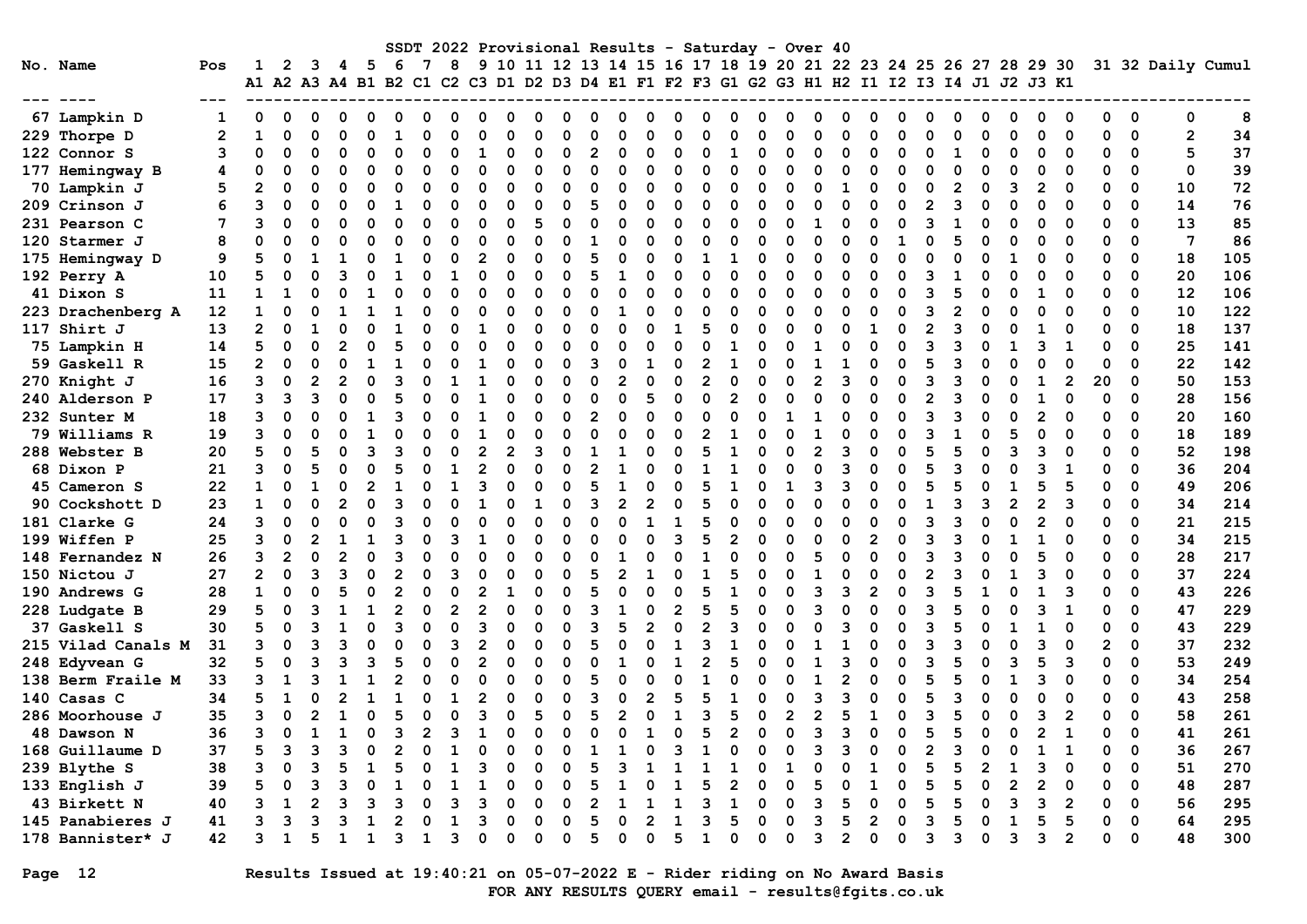|                    |                |                |                |                |   |                                                                                                  |   |   |                |                |   |          |              |                | SSDT 2022 Provisional Results - Saturday - Over 40 |   |                |                |   |          |   |                |          |   |          |                |   |                |   |                                                                  |                |              |             |                   |     |
|--------------------|----------------|----------------|----------------|----------------|---|--------------------------------------------------------------------------------------------------|---|---|----------------|----------------|---|----------|--------------|----------------|----------------------------------------------------|---|----------------|----------------|---|----------|---|----------------|----------|---|----------|----------------|---|----------------|---|------------------------------------------------------------------|----------------|--------------|-------------|-------------------|-----|
| No. Name           | Pos            | 1              | 2              | 3              | 4 | - 5<br>A1 A2 A3 A4 B1 B2 C1 C2 C3 D1 D2 D3 D4 E1 F1 F2 F3 G1 G2 G3 H1 H2 I1 I2 I3 I4 J1 J2 J3 K1 | 6 | 7 | 8              |                |   |          |              |                |                                                    |   |                |                |   |          |   |                |          |   |          |                |   |                |   | 9 10 11 12 13 14 15 16 17 18 19 20 21 22 23 24 25 26 27 28 29 30 |                |              |             | 31 32 Daily Cumul |     |
|                    |                |                |                |                |   |                                                                                                  |   |   |                |                |   |          |              |                |                                                    |   |                |                |   |          |   |                |          |   |          |                |   |                |   |                                                                  |                |              |             |                   |     |
| 67 Lampkin D       | 1              | $\Omega$       | $\Omega$       | 0              | n | 0                                                                                                | O | n | O              | 0              | ი | n        | <sup>0</sup> | O              | C                                                  |   | O              | O              | O | O        | O | ი              | O        | n | 0        | ი              | O | 0              | 0 | O                                                                | O              | ŋ            | $\Omega$    | 0                 | 8   |
| 229 Thorpe D       | $\overline{2}$ | $\mathbf{1}$   | 0              | $\mathbf 0$    |   | 0                                                                                                |   | ი | $\Omega$       | O              | n | $\Omega$ | ŋ            | $\Omega$       |                                                    |   | $\Omega$       | O              | O | $\Omega$ |   | O              | $\Omega$ | O | 0        | n              | O | $\Omega$       | O | 0                                                                | 0              | 0            | 0           | $\mathbf{2}$      | 34  |
| 122 Connor S       | 3              | O              | 0              | $\Omega$       |   | 0                                                                                                | n | O | $\Omega$       |                | 0 | $\Omega$ | O            | $\overline{2}$ | C                                                  |   | $\mathbf 0$    | 0              | 1 | O        |   | O              | $\Omega$ |   | $\Omega$ | n              |   | $\Omega$       | ŋ | $\Omega$                                                         | $\Omega$       | $\Omega$     | 0           | 5                 | 37  |
| 177 Hemingway B    | 4              | O              | $\Omega$       | n              |   | $\Omega$                                                                                         | O | O | $\Omega$       | O              | O | $\Omega$ | O            | 0              | O                                                  | ∩ | $\Omega$       | O              | O | $\Omega$ | ŋ | O              | $\Omega$ | O | $\Omega$ | O              |   | O              | O | 0                                                                | $\Omega$       | O            | 0           | $\mathbf 0$       | 39  |
| 70 Lampkin J       | 5              |                | O              | O              |   | O                                                                                                | O | O | O              | $\Omega$       | ŋ | $\Omega$ | O            | O              | O                                                  |   | $\Omega$       | O              | O | $\Omega$ | U | O              | 1        | O | $\Omega$ | 0              | 2 | $\Omega$       | 3 | 2                                                                | $\Omega$       | O            | 0           | 10                | 72  |
| 209 Crinson J      | 6              | ٩              | 0              | $\Omega$       |   | O                                                                                                |   | O | $\Omega$       | $\Omega$       | O | $\Omega$ | O            | 5              | $\Omega$                                           |   | $\Omega$       | O              | O | $\Omega$ | O | O              | $\Omega$ |   | $\Omega$ |                |   | $\Omega$       |   | $\Omega$                                                         | $\Omega$       | $\Omega$     | $\Omega$    | 14                | 76  |
| 231 Pearson C      | 7              | 3              | $\Omega$       | $\Omega$       |   | O                                                                                                | O |   | $\Omega$       |                | O | 5        | O            | 0              | C                                                  |   | $\Omega$       | O              | O | $\Omega$ |   | 1              | $\Omega$ |   | $\Omega$ | ٩              |   | $\Omega$       |   | O                                                                | $\Omega$       | O            | 0           | 13                | 85  |
| 120 Starmer J      | 8              | O              | $\Omega$       |                |   | O                                                                                                |   |   | $\Omega$       |                | ŋ | $\Omega$ |              | 1              | ∩                                                  |   | $\Omega$       | O              | n | O        |   | O              | O        |   | 1        |                |   | O              |   | n                                                                | $\Omega$       | $\Omega$     | 0           | $7\phantom{.0}$   | 86  |
| 175 Hemingway D    | 9              | 5              | $\Omega$       |                |   | O                                                                                                |   |   | $\Omega$       | $\overline{2}$ | n | $\Omega$ | O            | 5              | O                                                  |   | $\Omega$       |                |   |          | U | O              | $\Omega$ |   | $\Omega$ |                |   |                |   | 0                                                                | ∩              | $\Omega$     | 0           | 18                | 105 |
| 192 Perry A        | 10             | 5              | O              |                |   | O                                                                                                |   |   | 1              | O              | O | $\Omega$ | O            | 5              |                                                    |   | $\Omega$       |                | O | $\Omega$ |   | O              | $\Omega$ |   | $\Omega$ | 3              |   | O              |   | 0                                                                | $\Omega$       | 0            | 0           | 20                | 106 |
| 41 Dixon S         | 11             | $\mathbf{1}$   | 1              | O              |   | 1                                                                                                |   | O | $\Omega$       |                | O | $\Omega$ | O            | 0              | 0                                                  | O | $\mathbf 0$    | O              | O | $\Omega$ | O | O              | $\Omega$ |   | 0        | ٩              | 5 | $\Omega$       |   | 1                                                                | 0              | 0            | 0           | 12                | 106 |
| 223 Drachenberg A  | 12             | $\mathbf{1}$   | $\Omega$       | O              |   | 1                                                                                                |   |   | O              | O              | O | $\Omega$ | ŋ            | 0              |                                                    |   | $\Omega$       | O              | O | $\Omega$ | U | O              | $\Omega$ |   | $\Omega$ | Р              |   | $\Omega$       |   | O                                                                | $\Omega$       | $\Omega$     | $\Omega$    | 10                | 122 |
| 117 Shirt J        | 13             | $\overline{2}$ | $\Omega$       |                |   | O                                                                                                |   |   |                |                | O | $\Omega$ | O            | $\Omega$       | O                                                  | ∩ | 1              | 5              | O | $\Omega$ |   | O              | $\Omega$ |   | $\Omega$ |                |   | $\Omega$       | O |                                                                  |                | O            | 0           | 18                | 137 |
| 75 Lampkin H       | 14             | 5              | $\Omega$       | $\Omega$       |   | O                                                                                                |   |   | $\Omega$       |                | O | $\Omega$ | O            | $\Omega$       | $\Omega$                                           |   | $\Omega$       |                |   |          |   | 1              | $\Omega$ |   | $\Omega$ |                |   |                |   | 3                                                                | 1              | $\Omega$     | $\Omega$    | 25                | 141 |
| 59 Gaskell R       | 15             | $\overline{2}$ | $\mathbf 0$    | $\Omega$       |   | 1                                                                                                |   |   | O              |                | O | $\Omega$ | O            | 3              | C                                                  | 1 | $\mathbf 0$    | 2              | 1 | O        |   | 1              |          |   | 0        | 5              |   | O              |   | O                                                                | $\Omega$       | 0            | $\mathbf 0$ | 22                | 142 |
| 270 Knight J       | 16             | 3              | 0              | $\overline{2}$ |   | $\Omega$                                                                                         | З |   | 1              |                | ŋ | $\Omega$ | O            | 0              | 2                                                  |   | $\mathbf 0$    | $\overline{2}$ | O | O        | U | $\overline{2}$ | 3        |   | $\Omega$ | 3              | 3 | ŋ              |   | 1                                                                | $\overline{2}$ | 20           | 0           | 50                | 153 |
| 240 Alderson P     | 17             | 3              | 3              | 3              |   | O                                                                                                |   |   |                |                | O | $\Omega$ | U            | $\Omega$       | $\Omega$                                           |   | $\Omega$       | O              | 2 |          | ∩ | O              | O        |   | $\Omega$ |                |   |                |   |                                                                  | $\Omega$       | 0            | 0           | 28                | 156 |
| 232 Sunter M       | 18             | 3              | $\Omega$       |                |   | 1                                                                                                | ٩ |   |                |                | O | $\Omega$ | O            | $\overline{2}$ | C                                                  |   | $\Omega$       |                | O |          |   |                | $\Omega$ |   | $\Omega$ | 3              |   | $\Omega$       |   | $\overline{2}$                                                   |                | O            | 0           | 20                | 160 |
| 79 Williams R      | 19             | 3              | $\Omega$       |                |   | 1                                                                                                |   |   |                |                | n | O        |              | O              |                                                    |   | O              |                |   |          |   |                | O        |   | $\Omega$ |                |   | O              |   | O                                                                |                | O            | 0           | 18                | 189 |
| 288 Webster B      | 20             | 5              | 0              | 5              |   | ٩                                                                                                | ٩ |   | O              | 2              | 2 | З        | O            |                |                                                    |   | O              | 5              |   |          |   | 2              | з        |   | $\Omega$ |                |   | O              | ٩ | ٩                                                                |                | $\Omega$     | $\Omega$    | 52                | 198 |
| 68 Dixon P         | 21             | 3              | 0              | 5              |   | O                                                                                                | 5 |   | 1              |                | O | $\Omega$ | O            | $\overline{2}$ |                                                    |   | $\Omega$       |                |   |          | O | O              | з        |   | $\Omega$ | 5              |   | O              |   | 3                                                                | 1              | O            | $\Omega$    | 36                | 204 |
| 45 Cameron S       | 22             | $\mathbf{1}$   | $\Omega$       |                |   | $\overline{2}$                                                                                   |   |   |                |                |   | $\Omega$ |              | 5              |                                                    |   | O              | 5              |   |          |   | 3              | 3        |   | $\Omega$ |                |   |                |   | 5                                                                | 5              | $\Omega$     | 0           | 49                | 206 |
| 90 Cockshott D     | 23             | $\mathbf{1}$   | 0              | O              |   | $\Omega$                                                                                         | З |   | n              |                | n | 1        | ŋ            | 3              | $\mathcal{P}$                                      |   | $\Omega$       | 5              | n |          |   | O              | n        |   | $\Omega$ |                |   | २              |   | $\overline{2}$                                                   | 3              | O            | $\mathbf 0$ | 34                | 214 |
| 181 Clarke G       | 24             | 3              | $\Omega$       | $\Omega$       |   | O                                                                                                | ٩ |   | n              |                | O | $\Omega$ |              | $\Omega$       | ∩                                                  |   | 1              | 5              | O | $\Omega$ |   | ∩              | n        |   | 0        |                |   | O              |   | $\overline{2}$                                                   |                | O            | $\Omega$    | 21                | 215 |
| 199 Wiffen P       | 25             | 3              | 0              |                |   |                                                                                                  |   |   | ิว             |                | n | O        | O            | O              |                                                    |   | २              | 5              | 2 | O        | U | O              | ∩        |   | $\Omega$ | ٩              |   |                |   |                                                                  | $\Omega$       | 0            | 0           | 34                | 215 |
| 148 Fernandez N    | 26             | 3              | $\overline{2}$ | $\Omega$       |   | O                                                                                                | 3 |   | $\Omega$       |                |   | $\Omega$ | O            | $\Omega$       |                                                    |   | $\Omega$       |                | O |          |   | 5              | $\Omega$ |   | $\Omega$ | 3              |   | O              |   | 5                                                                | $\Omega$       | O            | 0           | 28                | 217 |
| 150 Nictou J       | 27             | $\mathbf{2}$   | $\Omega$       | २              |   | $\Omega$                                                                                         | 2 |   | ॎ              |                | n | $\Omega$ | O            | 5              | 2                                                  |   | $\Omega$       | 1              | 5 | O        | U |                | $\Omega$ |   | $\Omega$ |                |   | O              |   | ٩                                                                | $\Omega$       | $\Omega$     | $\Omega$    | 37                | 224 |
| 190 Andrews G      | 28             | $\mathbf{1}$   | $\Omega$       |                |   | $\Omega$                                                                                         | 2 |   | $\Omega$       |                |   | $\Omega$ | O            | 5              | $\Omega$                                           |   | $\Omega$       | 5              |   |          | O | २              | ิว       |   | $\Omega$ | Р              |   |                |   |                                                                  | 3              | $\Omega$     | $\Omega$    | 43                | 226 |
| 228 Ludgate B      | 29             | 5              | $\mathbf 0$    | २              |   | 1                                                                                                | 2 |   | $\mathfrak{p}$ |                | O | $\Omega$ | O            | 3              |                                                    | n | $\overline{2}$ | 5              | 5 | $\Omega$ | U | २              | $\Omega$ |   | $\Omega$ | ٩              |   | O              |   | ٩                                                                | $\mathbf{1}$   | O            | 0           | 47                | 229 |
| 37 Gaskell S       | 30             | 5              | $\Omega$       | ٩              |   | O                                                                                                | ٩ |   | $\Omega$       |                |   | O        |              | 3              |                                                    |   | $\Omega$       |                | २ |          |   | U              | ٩        |   | $\Omega$ |                |   |                |   |                                                                  |                | 0            | 0           | 43                | 229 |
| 215 Vilad Canals M | 31             | 3              | 0              | ٩              |   | O                                                                                                | ٢ |   | 3              |                | O | ∩        | O            | 5              |                                                    |   | 1              | З              |   |          |   |                |          |   | $\Omega$ | ٩              |   | U              |   | 3                                                                | $\Omega$       | $\mathbf{2}$ | $\mathbf 0$ | 37                | 232 |
| 248 Edyvean G      | 32             | 5              | $\Omega$       | Р              |   | ٩                                                                                                | 5 | ი | $\Omega$       | $\overline{2}$ | O | O        | ŋ            | O              |                                                    |   | 1              | 2              |   |          | O | 1              | з        |   | $\Omega$ | Р              |   | $\Omega$       | ٩ | 5                                                                | 3              | O            | 0           | 53                | 249 |
| 138 Berm Fraile M  | 33             | 3              | 1              |                |   | 1                                                                                                |   | O | $\Omega$       | $\Omega$       | O | $\Omega$ | O            | 5              | $\Omega$                                           |   | O              |                | O |          | O | $\mathbf{1}$   |          |   | $\Omega$ |                |   | $\Omega$       |   | 3                                                                | $\Omega$       | $\Omega$     | $\Omega$    | 34                | 254 |
| 140 Casas C        | 34             | 5              | $\mathbf{1}$   | $\Omega$       |   | 1                                                                                                |   |   | $\mathbf{1}$   |                | O | $\Omega$ | O            | 3              | C                                                  |   | 5              | 5              | 1 | O        |   | २              | Р        |   | $\Omega$ | 5              |   | $\Omega$       |   | O                                                                | $\Omega$       | O            | 0           | 43                | 258 |
| 286 Moorhouse J    | 35             | 3              | 0              | 2              |   | O                                                                                                | Ē |   | $\Omega$       | ٩              | O | 5        | O            | 5              |                                                    |   | 1              | २              | 5 | O        | 2 | 2              | 5        |   | $\Omega$ |                |   | O              |   | ٩                                                                | 2              | O            | $\Omega$    | 58                | 261 |
| 48 Dawson N        | 36             | 3              | O              |                |   | O                                                                                                | ٩ |   | ิว             |                | n | O        | U            | O              | C                                                  |   | O              | 5              | 2 |          | U | 3              | 3        |   | $\Omega$ | 5              |   | U              |   | 2                                                                | 1              | 0            | $\Omega$    | 41                | 261 |
| 168 Guillaume D    | 37             | 5              | 3              | 3              |   | 0                                                                                                | 2 |   |                |                |   | $\Omega$ | O            | 1              |                                                    |   | 3              |                | O |          | O | 3              | 3        |   | 0        | $\overline{2}$ |   | O              |   |                                                                  | 1              | 0            | 0           | 36                | 267 |
| 239 Blythe S       | 38             | 3              | $\Omega$       | ٩              |   | 1                                                                                                | 5 |   | 1              | 3              | 0 | $\Omega$ | O            | 5              | 3                                                  |   | 1              |                |   | $\Omega$ | 1 | O              | $\Omega$ |   | 0        | 5              |   | $\overline{2}$ |   | 3                                                                | $\Omega$       | O            | 0           | 51                | 270 |
| 133 English J      | 39             | 5              | $\Omega$       | ٩              |   | $\Omega$                                                                                         |   |   | 1              |                | O | $\Omega$ | O            | 5              |                                                    |   | 1              |                | 2 | O        | U | 5              | O        |   | $\Omega$ | 5              |   | $\Omega$       | 2 | 2                                                                | $\Omega$       | O            | $\Omega$    | 48                | 287 |
| 43 Birkett N       | 40             |                | 1              |                |   | ٦                                                                                                | З |   | ॎ              |                | n | O        | O            | $\overline{2}$ |                                                    |   | 1              | ٩              |   | O        | U | ٩              | 5        |   | $\Omega$ | 5              |   | O              | ٦ | 3                                                                | 2              | O            | 0           | 56                | 295 |
| 145 Panabieres J   | 41             |                | २              |                |   |                                                                                                  |   |   |                |                | O | $\Omega$ | O            | 5              | C                                                  |   |                | ٩              | 5 | O        | U | 3              | 5        |   | $\Omega$ | ٩              |   | $\Omega$       |   | 5                                                                | 5              | $\Omega$     | $\Omega$    | 64                | 295 |
| 178 Bannister* J   | 42             |                | 1              | 5              |   | 1                                                                                                | ٩ |   | 3              |                | O | $\Omega$ | O            | 5              | O                                                  | n | 5              |                | O | O        | U | 3              | 2        | O | 0        | 3              | વ | $\mathbf 0$    | 3 | ٩                                                                | 2              | ŋ            | 0           | 48                | 300 |

# Page 12 Results Issued at 19:40:21 on 05-07-2022 E - Rider riding on No Award Basis FOR ANY RESULTS QUERY email - results@fgits.co.uk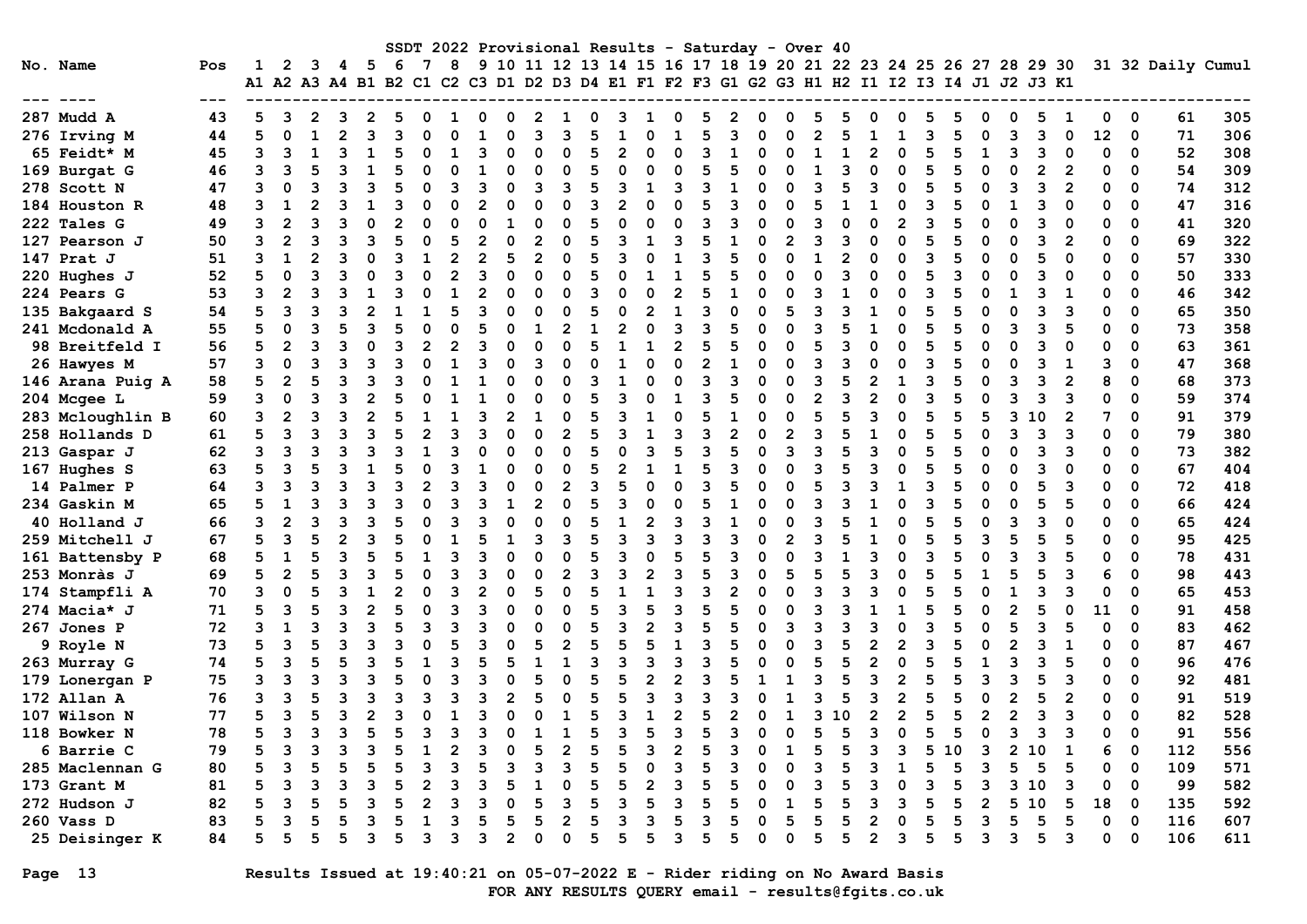| SSDT 2022 Provisional Results - Saturday - Over 40 |                  |     |    |          |   |   |     |     |  |                |   |   |   |   |   |   |   |   |   |   |          |                                                                                           |   |  |   |   |    |              |                |          |   |    |                         |                   |     |
|----------------------------------------------------|------------------|-----|----|----------|---|---|-----|-----|--|----------------|---|---|---|---|---|---|---|---|---|---|----------|-------------------------------------------------------------------------------------------|---|--|---|---|----|--------------|----------------|----------|---|----|-------------------------|-------------------|-----|
|                                                    | No. Name         | Pos |    | 2        | 3 | 4 | - 5 | - 6 |  | 8              |   |   |   |   |   |   |   |   |   |   |          | 9 10 11 12 13 14 15 16 17 18 19 20 21 22 23 24 25 26 27 28 29 30                          |   |  |   |   |    |              |                |          |   |    |                         | 31 32 Daily Cumul |     |
|                                                    |                  |     |    |          |   |   |     |     |  |                |   |   |   |   |   |   |   |   |   |   |          | A1 A2 A3 A4 B1 B2 C1 C2 C3 D1 D2 D3 D4 E1 F1 F2 F3 G1 G2 G3 H1 H2 I1 I2 I3 I4 J1 J2 J3 K1 |   |  |   |   |    |              |                |          |   |    |                         |                   |     |
|                                                    |                  |     |    |          |   |   |     |     |  |                |   |   |   |   |   |   |   |   |   |   |          |                                                                                           |   |  |   |   |    |              |                |          |   |    |                         |                   |     |
|                                                    | 287 Mudd A       | 43  |    |          |   |   |     |     |  |                |   |   |   |   |   |   |   |   |   |   |          |                                                                                           |   |  |   |   |    |              |                |          |   |    | 0                       | 61                | 305 |
|                                                    | 276 Irving M     | 44  | 5  | $\Omega$ |   |   | ٩   |     |  |                |   |   |   |   |   |   |   |   |   |   |          |                                                                                           |   |  |   |   |    |              |                |          |   | 12 | 0                       | 71                | 306 |
|                                                    | 65 Feidt* M      | 45  |    |          |   |   |     |     |  |                |   |   |   |   |   |   |   |   |   |   |          |                                                                                           |   |  |   |   |    |              |                |          |   |    | 0                       | 52                | 308 |
|                                                    | 169 Burgat G     | 46  |    |          |   |   |     |     |  |                |   |   |   |   |   |   |   |   |   |   |          |                                                                                           |   |  |   |   |    |              |                |          |   |    | $\Omega$                | 54                | 309 |
|                                                    | 278 Scott N      | 47  |    |          |   |   |     |     |  |                |   |   |   |   |   |   |   |   |   |   |          |                                                                                           |   |  |   |   |    |              |                |          |   |    | $\Omega$                | 74                | 312 |
|                                                    | 184 Houston R    | 48  |    |          |   |   |     |     |  |                |   |   |   |   |   |   |   |   |   |   |          |                                                                                           |   |  |   |   |    |              |                |          |   |    | $\Omega$                | 47                | 316 |
|                                                    | 222 Tales G      | 49  | 3  |          |   |   |     |     |  |                |   |   |   |   |   |   |   |   |   |   |          |                                                                                           |   |  |   |   |    |              |                |          |   |    | $\Omega$                | 41                | 320 |
|                                                    | 127 Pearson J    | 50  |    |          |   |   |     |     |  |                |   |   |   |   |   |   |   |   |   |   |          |                                                                                           |   |  |   |   |    |              |                |          |   |    | $\Omega$                | 69                | 322 |
|                                                    | 147 Prat J       | 51  |    |          |   |   |     |     |  |                |   |   | 2 |   |   |   |   |   |   |   |          |                                                                                           |   |  | O |   |    |              |                |          |   |    | $\Omega$                | 57                | 330 |
|                                                    | 220 Hughes J     | 52  |    |          |   |   |     |     |  |                |   |   |   |   |   |   |   |   |   |   |          |                                                                                           |   |  |   |   |    |              |                |          |   |    | $\Omega$                | 50                | 333 |
|                                                    | 224 Pears G      | 53  |    |          |   |   |     |     |  |                |   |   |   |   |   |   |   |   |   |   |          |                                                                                           |   |  |   |   |    |              |                |          |   |    | 0                       | 46                | 342 |
|                                                    | 135 Bakgaard S   | 54  |    |          |   |   |     |     |  |                |   |   |   |   |   |   |   |   |   |   |          |                                                                                           |   |  |   |   |    |              |                |          |   |    | 0                       | 65                | 350 |
|                                                    | 241 Mcdonald A   | 55  |    |          |   |   |     |     |  |                |   |   |   |   |   |   |   |   |   |   |          |                                                                                           |   |  |   |   |    |              |                |          |   |    | $\Omega$                | 73                | 358 |
|                                                    | 98 Breitfeld I   | 56  |    |          |   |   |     |     |  |                |   |   |   |   |   |   |   |   |   |   |          |                                                                                           |   |  |   |   |    |              |                |          |   |    | $\Omega$                | 63                | 361 |
|                                                    | 26 Hawyes M      | 57  | 3  |          |   |   |     |     |  |                |   |   |   |   |   |   |   |   |   |   |          |                                                                                           |   |  |   |   |    |              |                |          |   |    | $\Omega$                | 47                | 368 |
|                                                    | 146 Arana Puig A | 58  | 5  |          |   |   |     |     |  |                |   |   |   |   |   |   |   |   |   |   |          |                                                                                           |   |  |   |   |    |              |                |          |   |    | $\mathbf 0$             | 68                | 373 |
|                                                    | 204 Mcgee L      | 59  |    |          |   |   |     |     |  |                |   |   |   |   |   |   |   |   |   |   |          |                                                                                           |   |  |   |   |    |              |                |          |   |    | $\Omega$                | 59                | 374 |
|                                                    | 283 Mcloughlin B | 60  |    |          |   |   |     |     |  |                |   |   |   |   |   |   |   | 0 |   |   |          |                                                                                           |   |  | O |   |    |              |                | $\Omega$ |   |    | $\Omega$                | 91                | 379 |
|                                                    | 258 Hollands D   | 61  |    |          |   |   |     |     |  |                |   |   |   |   |   |   |   |   |   |   | $\Omega$ |                                                                                           |   |  |   |   |    |              |                |          |   |    | $\Omega$                | 79                | 380 |
|                                                    | 213 Gaspar J     | 62  |    | 3        |   |   |     |     |  |                |   |   |   |   |   |   | 3 |   | 3 |   | $\Omega$ |                                                                                           |   |  |   |   |    |              |                |          |   |    | $\mathbf 0$             | 73                | 382 |
|                                                    | 167 Hughes S     | 63  |    |          |   |   |     |     |  |                |   |   |   |   |   |   |   |   |   |   |          |                                                                                           |   |  |   |   |    |              |                |          |   |    | 0                       | 67                | 404 |
|                                                    | 14 Palmer P      | 64  |    |          |   |   |     |     |  |                |   |   |   |   |   |   |   |   |   |   |          |                                                                                           |   |  |   |   |    |              |                |          |   |    | $\Omega$                | 72                | 418 |
|                                                    | 234 Gaskin M     | 65  |    |          |   |   |     |     |  |                |   |   |   |   |   |   |   |   |   |   |          |                                                                                           |   |  |   |   |    |              |                |          |   |    | $\Omega$                | 66                | 424 |
|                                                    | 40 Holland J     | 66  |    |          |   |   |     |     |  |                |   |   |   |   |   |   |   |   |   |   |          |                                                                                           |   |  |   |   |    |              |                |          |   |    | $\Omega$                | 65                | 424 |
|                                                    | 259 Mitchell J   | 67  |    | ٩        |   |   |     |     |  |                |   |   |   |   |   |   |   |   |   |   |          |                                                                                           |   |  |   |   |    |              |                |          |   |    | $\Omega$                | 95                | 425 |
|                                                    | 161 Battensby P  | 68  |    |          |   |   |     |     |  |                |   |   |   |   |   |   |   |   |   |   |          |                                                                                           |   |  |   |   |    |              |                |          |   |    | $\Omega$                | 78                | 431 |
|                                                    | 253 Monràs J     | 69  |    |          |   |   |     |     |  |                |   |   |   |   |   |   |   |   |   |   |          |                                                                                           |   |  |   |   |    |              |                |          |   |    | $\Omega$                | 98                | 443 |
|                                                    | 174 Stampfli A   | 70  |    |          |   |   |     |     |  |                |   |   |   |   |   |   |   |   |   |   |          |                                                                                           |   |  | O |   |    |              |                |          |   | ŋ  | 0                       | 65                | 453 |
|                                                    | 274 Macia* J     | 71  |    | 3        |   |   |     |     |  |                |   |   |   |   |   |   |   |   |   |   |          |                                                                                           |   |  |   |   |    |              |                |          |   | 11 | 0                       | 91                | 458 |
|                                                    | 267 Jones P      | 72  |    |          |   |   |     |     |  |                |   |   |   |   |   |   |   |   |   |   |          |                                                                                           |   |  |   |   |    |              |                |          |   |    | 0                       | 83                | 462 |
|                                                    | 9 Royle N        | 73  |    |          |   |   |     |     |  |                |   |   |   |   |   |   |   |   |   |   |          |                                                                                           |   |  |   |   |    |              |                |          |   |    | 0                       | 87                | 467 |
|                                                    | 263 Murray G     | 74  |    |          |   |   |     |     |  |                |   |   |   |   |   |   |   |   |   |   |          |                                                                                           |   |  |   |   |    |              |                |          |   |    | $\Omega$                | 96                | 476 |
|                                                    | 179 Lonergan P   | 75  |    |          |   |   |     |     |  |                |   |   |   |   |   |   |   |   |   |   |          |                                                                                           |   |  |   |   |    |              |                |          |   |    | $\Omega$                | 92                | 481 |
|                                                    | 172 Allan A      | 76  |    |          |   |   |     |     |  |                |   |   |   |   |   |   |   |   |   |   |          |                                                                                           |   |  |   |   |    |              |                |          |   |    | $\Omega$                | 91                | 519 |
|                                                    | 107 Wilson N     | 77  |    |          |   |   | 2   |     |  |                |   |   |   |   |   |   |   | 2 |   |   |          |                                                                                           | ٩ |  | 2 |   |    | 2            |                |          | 3 |    | $\Omega$                | 82                | 528 |
|                                                    | 118 Bowker N     | 78  |    |          |   |   |     |     |  |                |   |   |   |   |   |   |   |   |   |   |          |                                                                                           |   |  |   |   |    |              |                |          |   |    | $\overline{\mathbf{0}}$ | 91                | 556 |
|                                                    | 6 Barrie C       | 79  | 5  | ٩        |   |   |     |     |  | $\overline{2}$ |   |   |   |   | 5 |   |   | 2 |   |   |          |                                                                                           |   |  | з |   | 10 | 3            | $\overline{2}$ | 10       | 1 |    | 0                       | 112               | 556 |
|                                                    | 285 Maclennan G  | 80  |    |          |   |   |     |     |  |                |   |   |   |   |   |   |   |   |   |   |          |                                                                                           |   |  |   |   |    |              |                | 5        |   |    | $\mathbf 0$             | 109               | 571 |
|                                                    | 173 Grant M      | 81  |    |          |   |   |     |     |  |                |   |   |   |   |   |   |   |   |   |   |          |                                                                                           |   |  |   |   |    | 3            |                | 310      | 3 | 0  | $\mathbf 0$             | 99                | 582 |
|                                                    | 272 Hudson J     | 82  |    |          |   |   |     |     |  |                |   |   |   |   |   |   |   | 3 |   |   | O        |                                                                                           |   |  |   |   |    | $\mathbf{2}$ |                | 510      | 5 | 18 | 0                       | 135               | 592 |
|                                                    | 260 Vass D       | 83  |    |          |   |   |     |     |  | 3              |   |   | 5 |   |   | 3 |   | 5 |   |   |          |                                                                                           |   |  |   |   |    | 3            | 5              | 5        | 5 | 0  | $\mathbf 0$             | 116               | 607 |
|                                                    | 25 Deisinger K   | 84  | 5. | 5        |   |   | 3   |     |  | 3              | З | 2 | 0 | n | 5 | 5 |   | 3 | 5 | 5 | O        |                                                                                           | 5 |  | 3 | 5 |    | 3            | 3              | 5        | 3 | 0  | $\mathbf 0$             | 106               | 611 |

Page 13 Results Issued at 19:40:21 on 05-07-2022 E - Rider riding on No Award Basis FOR ANY RESULTS QUERY email - results@fgits.co.uk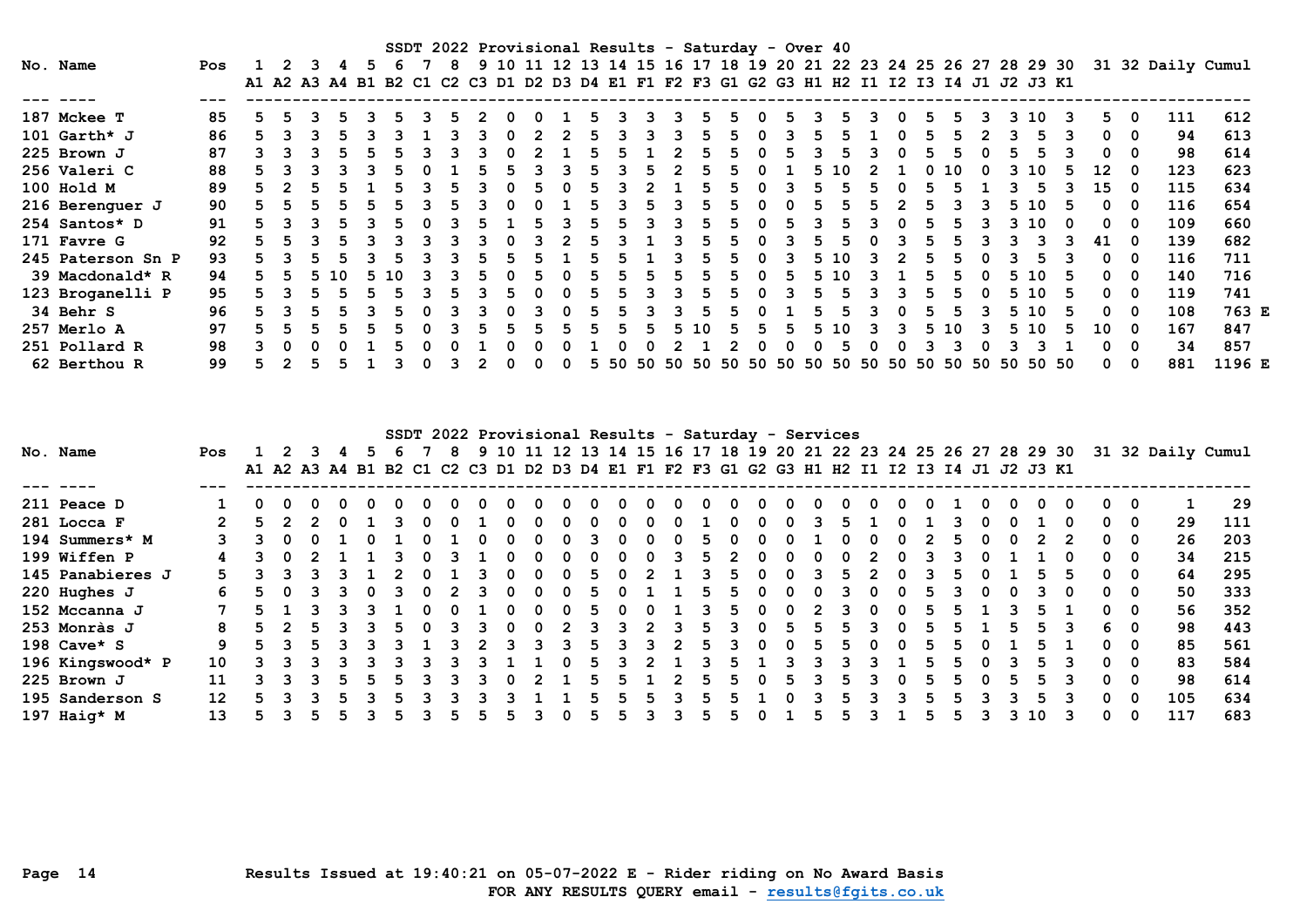SSDT 2022 Provisional Results - Saturday - Over 40 No. Name Pos 1 2 3 4 5 6 7 8 9 10 11 12 13 14 15 16 17 18 19 20 21 22 23 24 25 26 27 28 29 30 31 32 Daily Cumul A1 A2 A3 A4 B1 B2 C1 C2 C3 D1 D2 D3 D4 E1 F1 F2 F3 G1 G2 G3 H1 H2 I1 I2 I3 I4 J1 J2 J3 K1 --- ---- --- ------------------------------------------------------------------------------------------------------------ 187 Mckee T 85 5 5 3 5 3 5 3 5 2 0 0 1 5 3 3 3 5 5 0 5 3 5 3 0 5 5 3 3 10 3 5 0 111 612 101 Garth\* J 86 5 3 3 5 3 3 1 3 3 0 2 2 5 3 3 3 5 5 0 3 5 5 1 0 5 5 2 3 5 3 0 0 94 613 225 Brown J 87 3 3 3 5 5 5 3 3 3 0 2 1 5 5 1 2 5 5 0 5 3 5 3 0 5 5 0 5 5 3 0 0 98 614 256 Valeri C 88 5 3 3 3 3 5 0 1 5 5 3 3 5 3 5 2 5 5 0 1 5 10 2 1 0 10 0 3 10 5 12 0 123 623 100 Hold M 89 5 2 5 5 1 5 3 5 3 0 5 0 5 3 2 1 5 5 0 3 5 5 5 0 5 5 1 3 5 3 15 0 115 634 216 Berenguer J 90 5 5 5 5 5 5 3 5 3 0 0 1 5 3 5 3 5 5 0 0 5 5 5 2 5 3 3 5 10 5 0 0 116 654 254 Santos\* D 91 5 3 3 5 3 5 0 3 5 1 5 3 5 5 3 3 5 5 0 5 3 5 3 0 5 5 3 3 10 0 0 0 109 660 171 Favre G 92 5 5 3 5 3 3 3 3 3 0 3 2 5 3 1 3 5 5 0 3 5 5 0 3 5 5 3 3 3 3 41 0 139 682 245 Paterson Sn P 93 5 3 5 5 3 5 3 3 5 5 5 1 5 5 1 3 5 5 0 3 5 10 3 2 5 5 0 3 5 3 0 0 116 711 39 Macdonald\* R 94 5 5 5 10 5 10 3 3 5 0 5 0 5 5 5 5 5 5 0 5 5 10 3 1 5 5 0 5 10 5 0 0 140 716 123 Broganelli P 95 5 3 5 5 5 5 3 5 3 5 0 0 5 5 3 3 5 5 0 3 5 5 3 3 5 5 0 5 10 5 0 0 119 741 34 Behr S 96 5 3 5 5 3 5 0 3 3 0 3 0 5 5 3 3 5 5 0 1 5 5 3 0 5 5 3 5 10 5 0 0 108 763 E 257 Merlo A 97 5 5 5 5 5 5 0 3 5 5 5 5 5 5 5 5 10 5 5 5 5 10 3 3 5 10 3 5 10 5 10 0 167 847 251 Pollard R 98 3 0 0 0 1 5 0 0 1 0 0 0 1 0 0 2 1 2 0 0 0 5 0 0 3 3 0 3 3 1 0 0 34 857 62 Berthou R 99 5 2 5 5 1 3 0 3 2 0 0 0 5 50 50 50 50 50 50 50 50 50 50 50 50 50 50 50 50 50 0 0 881 1196 E

| SSDT 2022 Provisional Results - Saturday - Services<br>9 10 11 12 13 14 15 16 17 18 19 20 21 22 23 24 25 26 27 28 29 30 31 32 Daily Cumul |                  |     |    |  |  |  |    |  |  |   |  |  |   |   |    |              |  |              |              |          |                                                                                           |  |              |   |  |   |    |   |          |          |     |     |
|-------------------------------------------------------------------------------------------------------------------------------------------|------------------|-----|----|--|--|--|----|--|--|---|--|--|---|---|----|--------------|--|--------------|--------------|----------|-------------------------------------------------------------------------------------------|--|--------------|---|--|---|----|---|----------|----------|-----|-----|
|                                                                                                                                           | No. Name         | Pos |    |  |  |  | 5. |  |  | 8 |  |  |   |   |    |              |  |              |              |          |                                                                                           |  |              |   |  |   |    |   |          |          |     |     |
|                                                                                                                                           |                  |     |    |  |  |  |    |  |  |   |  |  |   |   |    |              |  |              |              |          | A1 A2 A3 A4 B1 B2 C1 C2 C3 D1 D2 D3 D4 E1 F1 F2 F3 G1 G2 G3 H1 H2 I1 I2 I3 I4 J1 J2 J3 K1 |  |              |   |  |   |    |   |          |          |     |     |
|                                                                                                                                           |                  |     |    |  |  |  |    |  |  |   |  |  |   |   |    |              |  |              |              |          |                                                                                           |  |              |   |  |   |    |   |          |          |     |     |
|                                                                                                                                           | 211 Peace D      |     | 0  |  |  |  |    |  |  |   |  |  |   |   |    |              |  | <sup>0</sup> |              |          |                                                                                           |  |              |   |  |   |    |   |          |          |     | 29  |
|                                                                                                                                           | 281 Locca F      |     | 5. |  |  |  |    |  |  |   |  |  |   |   |    | <sup>0</sup> |  |              | <sup>0</sup> |          | 0                                                                                         |  |              |   |  |   |    |   | 0        | 0        | 29  | 111 |
|                                                                                                                                           | 194 Summers* M   |     |    |  |  |  |    |  |  |   |  |  |   |   |    |              |  |              |              |          |                                                                                           |  |              |   |  |   |    |   |          | 0        | 26  | 203 |
|                                                                                                                                           | 199 Wiffen P     | 4   |    |  |  |  |    |  |  |   |  |  |   |   |    |              |  | 5.           |              |          |                                                                                           |  |              |   |  |   |    |   | 0        | 0        | 34  | 215 |
|                                                                                                                                           | 145 Panabieres J | 5.  |    |  |  |  |    |  |  |   |  |  |   |   | 5. | <sup>0</sup> |  |              |              |          |                                                                                           |  |              |   |  |   |    |   | n.       | - 0      | 64  | 295 |
|                                                                                                                                           | 220 Hughes J     |     |    |  |  |  |    |  |  |   |  |  | 0 | 0 | 5. | 0            |  | 5.           |              |          |                                                                                           |  | 0            |   |  |   |    |   | 0        | 0        | 50  | 333 |
|                                                                                                                                           | 152 Mccanna J    |     | 5. |  |  |  |    |  |  |   |  |  |   | 0 | 5  |              |  |              |              |          |                                                                                           |  | 0            |   |  |   |    |   |          | 0        | 56  | 352 |
|                                                                                                                                           | 253 Monràs J     | 8   |    |  |  |  |    |  |  |   |  |  |   |   |    |              |  |              |              |          |                                                                                           |  |              |   |  |   |    |   |          | - 0      | 98  | 443 |
|                                                                                                                                           | 198 Cave* S      | 9.  | 5. |  |  |  |    |  |  |   |  |  | 3 |   | 5. | 3            |  | 5.           |              | $\Omega$ |                                                                                           |  | <sup>0</sup> |   |  |   |    |   | n.       | 0        | 85  | 561 |
|                                                                                                                                           | 196 Kingswood* P | 10  |    |  |  |  |    |  |  |   |  |  |   |   |    |              |  |              |              |          |                                                                                           |  |              |   |  |   |    |   |          | 0        | 83  | 584 |
|                                                                                                                                           | 225 Brown J      | 11  |    |  |  |  |    |  |  |   |  |  |   |   |    |              |  | 5.           | 5.           |          | 5.                                                                                        |  |              | 0 |  | 0 | 5. |   | $\Omega$ | - 0      | 98  | 614 |
|                                                                                                                                           | 195 Sanderson S  | 12  | 5. |  |  |  |    |  |  |   |  |  |   |   |    |              |  |              |              |          |                                                                                           |  |              |   |  |   | 5  |   |          | 0        | 105 | 634 |
|                                                                                                                                           | 197 Haig* M      | 13  |    |  |  |  |    |  |  |   |  |  |   |   | 5  | ר            |  | b.           |              |          |                                                                                           |  |              |   |  |   | 10 | 3 |          | $\Omega$ | 117 | 683 |